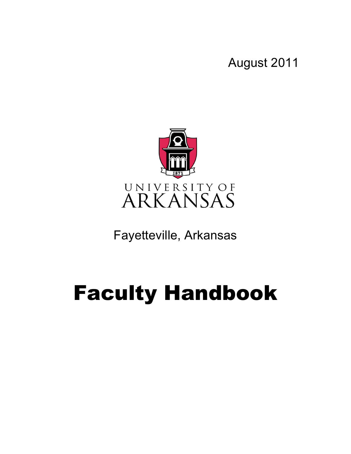August 2011



Fayetteville, Arkansas

# Faculty Handbook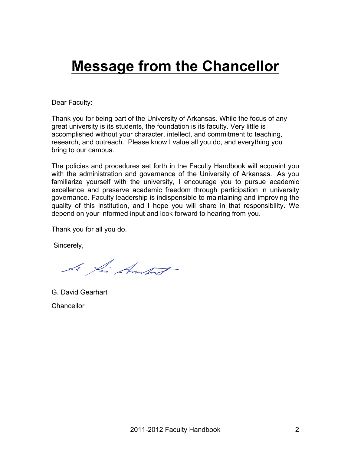## **Message from the Chancellor**

Dear Faculty:

Thank you for being part of the University of Arkansas. While the focus of any great university is its students, the foundation is its faculty. Very little is accomplished without your character, intellect, and commitment to teaching, research, and outreach. Please know I value all you do, and everything you bring to our campus.

The policies and procedures set forth in the Faculty Handbook will acquaint you with the administration and governance of the University of Arkansas. As you familiarize yourself with the university, I encourage you to pursue academic excellence and preserve academic freedom through participation in university governance. Faculty leadership is indispensible to maintaining and improving the quality of this institution, and I hope you will share in that responsibility. We depend on your informed input and look forward to hearing from you.

Thank you for all you do.

Sincerely,

Le fai Amport

G. David Gearhart **Chancellor**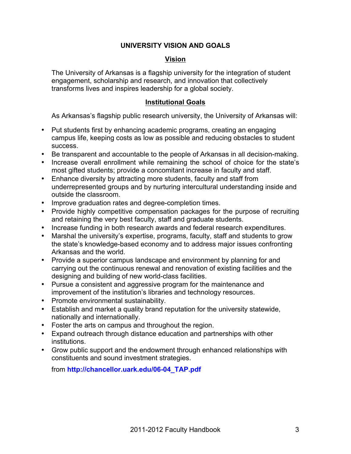#### **UNIVERSITY VISION AND GOALS**

#### **Vision**

The University of Arkansas is a flagship university for the integration of student engagement, scholarship and research, and innovation that collectively transforms lives and inspires leadership for a global society.

#### **Institutional Goals**

As Arkansas's flagship public research university, the University of Arkansas will:

- Put students first by enhancing academic programs, creating an engaging campus life, keeping costs as low as possible and reducing obstacles to student success.
- Be transparent and accountable to the people of Arkansas in all decision-making.
- Increase overall enrollment while remaining the school of choice for the state's most gifted students; provide a concomitant increase in faculty and staff.
- Enhance diversity by attracting more students, faculty and staff from underrepresented groups and by nurturing intercultural understanding inside and outside the classroom.
- Improve graduation rates and degree-completion times.
- Provide highly competitive compensation packages for the purpose of recruiting and retaining the very best faculty, staff and graduate students.
- Increase funding in both research awards and federal research expenditures.
- Marshal the university's expertise, programs, faculty, staff and students to grow the state's knowledge-based economy and to address major issues confronting Arkansas and the world.
- Provide a superior campus landscape and environment by planning for and carrying out the continuous renewal and renovation of existing facilities and the designing and building of new world-class facilities.
- Pursue a consistent and aggressive program for the maintenance and improvement of the institution's libraries and technology resources.
- Promote environmental sustainability.
- Establish and market a quality brand reputation for the university statewide, nationally and internationally.
- Foster the arts on campus and throughout the region.
- Expand outreach through distance education and partnerships with other institutions.
- Grow public support and the endowment through enhanced relationships with constituents and sound investment strategies.

from **http://chancellor.uark.edu/06-04\_TAP.pdf**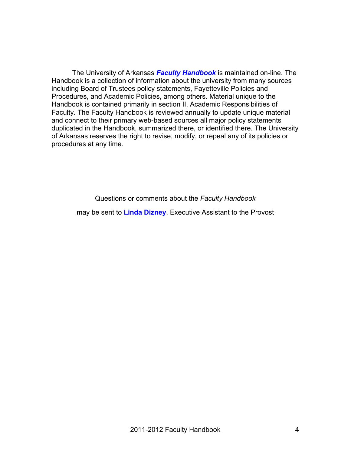The University of Arkansas *Faculty Handbook* is maintained on-line. The Handbook is a collection of information about the university from many sources including Board of Trustees policy statements, Fayetteville Policies and Procedures, and Academic Policies, among others. Material unique to the Handbook is contained primarily in section II, Academic Responsibilities of Faculty. The Faculty Handbook is reviewed annually to update unique material and connect to their primary web-based sources all major policy statements duplicated in the Handbook, summarized there, or identified there. The University of Arkansas reserves the right to revise, modify, or repeal any of its policies or procedures at any time.

Questions or comments about the *Faculty Handbook*

may be sent to **Linda Dizney**, Executive Assistant to the Provost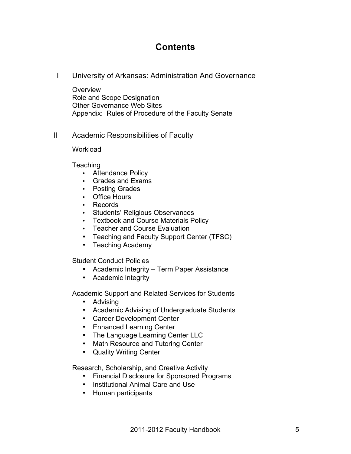## **Contents**

I University of Arkansas: Administration And Governance

**Overview** Role and Scope Designation Other Governance Web Sites Appendix: Rules of Procedure of the Faculty Senate

II Academic Responsibilities of Faculty

**Workload** 

**Teaching** 

- Attendance Policy
- Grades and Exams
- Posting Grades
- Office Hours
- Records
- Students' Religious Observances
- Textbook and Course Materials Policy
- Teacher and Course Evaluation
- Teaching and Faculty Support Center (TFSC)
- Teaching Academy

Student Conduct Policies

- Academic Integrity Term Paper Assistance
- Academic Integrity

Academic Support and Related Services for Students

- Advising
- Academic Advising of Undergraduate Students
- Career Development Center
- Enhanced Learning Center
- The Language Learning Center LLC
- Math Resource and Tutoring Center
- Quality Writing Center

Research, Scholarship, and Creative Activity

- Financial Disclosure for Sponsored Programs
- Institutional Animal Care and Use
- Human participants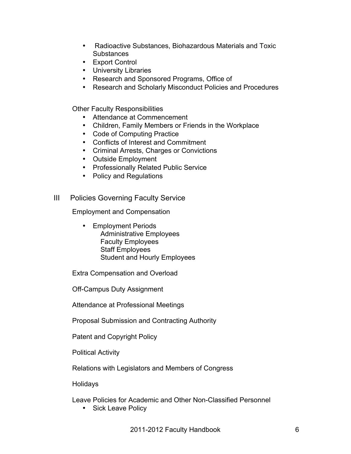- Radioactive Substances, Biohazardous Materials and Toxic **Substances**
- Export Control
- University Libraries
- Research and Sponsored Programs, Office of
- Research and Scholarly Misconduct Policies and Procedures

Other Faculty Responsibilities

- Attendance at Commencement
- Children, Family Members or Friends in the Workplace
- Code of Computing Practice
- Conflicts of Interest and Commitment
- Criminal Arrests, Charges or Convictions
- Outside Employment
- Professionally Related Public Service
- Policy and Regulations

#### III Policies Governing Faculty Service

Employment and Compensation

• Employment Periods Administrative Employees Faculty Employees Staff Employees Student and Hourly Employees

Extra Compensation and Overload

Off-Campus Duty Assignment

Attendance at Professional Meetings

Proposal Submission and Contracting Authority

Patent and Copyright Policy

Political Activity

Relations with Legislators and Members of Congress

**Holidays** 

Leave Policies for Academic and Other Non-Classified Personnel

• Sick Leave Policy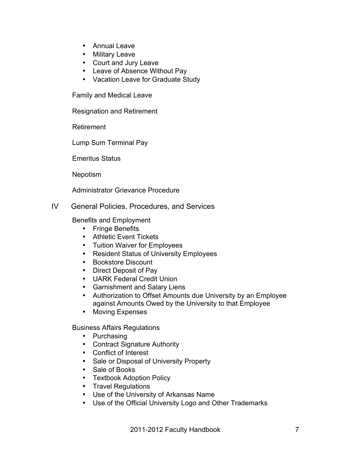- Annual Leave
- Military Leave
- Court and Jury Leave
- Leave of Absence Without Pay
- Vacation Leave for Graduate Study

Family and Medical Leave

Resignation and Retirement

Retirement

Lump Sum Terminal Pay

Emeritus Status

Nepotism

Administrator Grievance Procedure

#### IV General Policies, Procedures, and Services

Benefits and Employment

- Fringe Benefits
- Athletic Event Tickets
- Tuition Waiver for Employees
- Resident Status of University Employees
- Bookstore Discount
- Direct Deposit of Pay
- UARK Federal Credit Union
- Garnishment and Salary Liens
- Authorization to Offset Amounts due University by an Employee against Amounts Owed by the University to that Employee
- Moving Expenses

Business Affairs Regulations

- Purchasing
- Contract Signature Authority
- Conflict of Interest
- Sale or Disposal of University Property
- Sale of Books
- Textbook Adoption Policy
- Travel Regulations
- Use of the University of Arkansas Name
- Use of the Official University Logo and Other Trademarks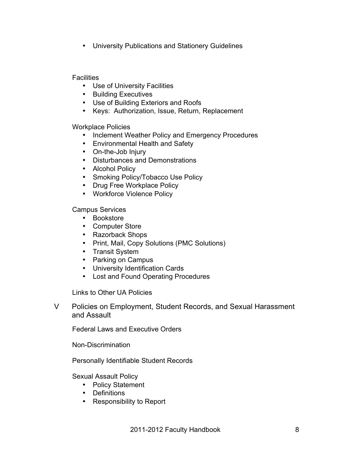• University Publications and Stationery Guidelines

**Facilities** 

- Use of University Facilities
- Building Executives
- Use of Building Exteriors and Roofs
- Keys: Authorization, Issue, Return, Replacement

Workplace Policies

- Inclement Weather Policy and Emergency Procedures
- Environmental Health and Safety
- On-the-Job Injury
- Disturbances and Demonstrations
- Alcohol Policy
- Smoking Policy/Tobacco Use Policy
- Drug Free Workplace Policy
- Workforce Violence Policy

Campus Services

- Bookstore
- Computer Store
- Razorback Shops
- Print, Mail, Copy Solutions (PMC Solutions)
- Transit System
- Parking on Campus
- University Identification Cards
- Lost and Found Operating Procedures

Links to Other UA Policies

V Policies on Employment, Student Records, and Sexual Harassment and Assault

Federal Laws and Executive Orders

Non-Discrimination

Personally Identifiable Student Records

Sexual Assault Policy

- Policy Statement
- Definitions
- Responsibility to Report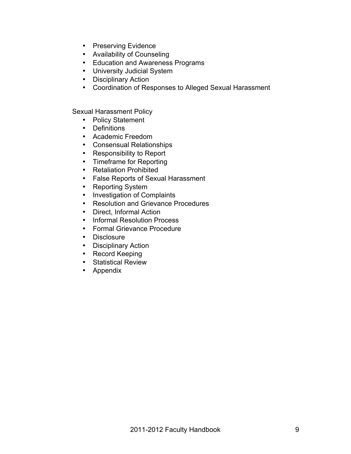- Preserving Evidence
- Availability of Counseling
- Education and Awareness Programs
- University Judicial System
- Disciplinary Action
- Coordination of Responses to Alleged Sexual Harassment

Sexual Harassment Policy

- Policy Statement
- Definitions
- Academic Freedom
- Consensual Relationships
- Responsibility to Report
- Timeframe for Reporting
- Retaliation Prohibited
- False Reports of Sexual Harassment
- Reporting System
- Investigation of Complaints
- Resolution and Grievance Procedures
- Direct, Informal Action
- Informal Resolution Process
- Formal Grievance Procedure
- Disclosure
- Disciplinary Action
- Record Keeping
- Statistical Review
- Appendix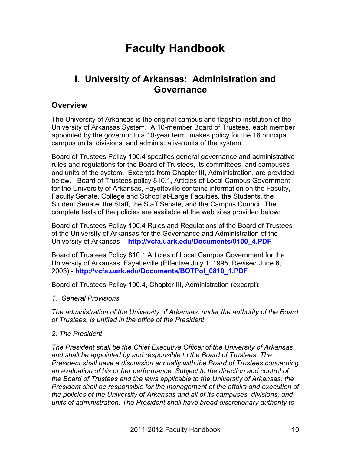## **Faculty Handbook**

## **I. University of Arkansas: Administration and Governance**

### **Overview**

The University of Arkansas is the original campus and flagship institution of the University of Arkansas System. A 10-member Board of Trustees, each member appointed by the governor to a 10-year term, makes policy for the 18 principal campus units, divisions, and administrative units of the system.

Board of Trustees Policy 100.4 specifies general governance and administrative rules and regulations for the Board of Trustees, its committees, and campuses and units of the system. Excerpts from Chapter III, Administration, are provided below. Board of Trustees policy 810.1, Articles of Local Campus Government for the University of Arkansas, Fayetteville contains information on the Faculty, Faculty Senate, College and School at-Large Faculties, the Students, the Student Senate, the Staff, the Staff Senate, and the Campus Council. The complete texts of the policies are available at the web sites provided below:

Board of Trustees Policy 100.4 Rules and Regulations of the Board of Trustees of the University of Arkansas for the Governance and Administration of the University of Arkansas - **http://vcfa.uark.edu/Documents/0100\_4.PDF**

Board of Trustees Policy 810.1 Articles of Local Campus Government for the University of Arkansas, Fayetteville (Effective July 1, 1995; Revised June 6, 2003) - **http://vcfa.uark.edu/Documents/BOTPol\_0810\_1.PDF**

Board of Trustees Policy 100.4, Chapter III, Administration (excerpt):

*1. General Provisions*

*The administration of the University of Arkansas, under the authority of the Board of Trustees, is unified in the office of the President.* 

#### *2. The President*

*The President shall be the Chief Executive Officer of the University of Arkansas and shall be appointed by and responsible to the Board of Trustees. The President shall have a discussion annually with the Board of Trustees concerning an evaluation of his or her performance. Subject to the direction and control of the Board of Trustees and the laws applicable to the University of Arkansas, the President shall be responsible for the management of the affairs and execution of the policies of the University of Arkansas and all of its campuses, divisions, and units of administration. The President shall have broad discretionary authority to*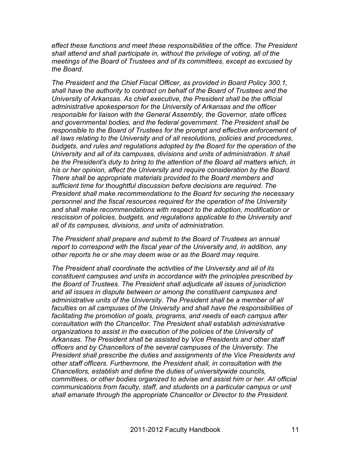*effect these functions and meet these responsibilities of the office. The President shall attend and shall participate in, without the privilege of voting, all of the meetings of the Board of Trustees and of its committees, except as excused by the Board.* 

*The President and the Chief Fiscal Officer, as provided in Board Policy 300.1, shall have the authority to contract on behalf of the Board of Trustees and the University of Arkansas. As chief executive, the President shall be the official administrative spokesperson for the University of Arkansas and the officer responsible for liaison with the General Assembly, the Governor, state offices and governmental bodies, and the federal government. The President shall be responsible to the Board of Trustees for the prompt and effective enforcement of all laws relating to the University and of all resolutions, policies and procedures, budgets, and rules and regulations adopted by the Board for the operation of the University and all of its campuses, divisions and units of administration. It shall be the President's duty to bring to the attention of the Board all matters which, in his or her opinion, affect the University and require consideration by the Board. There shall be appropriate materials provided to the Board members and sufficient time for thoughtful discussion before decisions are required. The President shall make recommendations to the Board for securing the necessary personnel and the fiscal resources required for the operation of the University and shall make recommendations with respect to the adoption, modification or rescission of policies, budgets, and regulations applicable to the University and all of its campuses, divisions, and units of administration.* 

*The President shall prepare and submit to the Board of Trustees an annual report to correspond with the fiscal year of the University and, in addition, any other reports he or she may deem wise or as the Board may require.* 

*The President shall coordinate the activities of the University and all of its constituent campuses and units in accordance with the principles prescribed by the Board of Trustees. The President shall adjudicate all issues of jurisdiction and all issues in dispute between or among the constituent campuses and administrative units of the University. The President shall be a member of all faculties on all campuses of the University and shall have the responsibilities of facilitating the promotion of goals, programs, and needs of each campus after consultation with the Chancellor. The President shall establish administrative organizations to assist in the execution of the policies of the University of Arkansas. The President shall be assisted by Vice Presidents and other staff officers and by Chancellors of the several campuses of the University. The President shall prescribe the duties and assignments of the Vice Presidents and other staff officers. Furthermore, the President shall, in consultation with the Chancellors, establish and define the duties of universitywide councils, committees, or other bodies organized to advise and assist him or her. All official communications from faculty, staff, and students on a particular campus or unit shall emanate through the appropriate Chancellor or Director to the President.*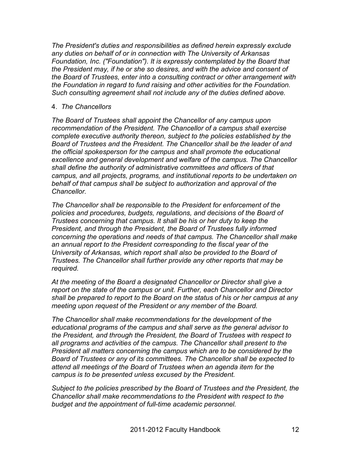*The President's duties and responsibilities as defined herein expressly exclude any duties on behalf of or in connection with The University of Arkansas Foundation, Inc. ("Foundation"). It is expressly contemplated by the Board that the President may, if he or she so desires, and with the advice and consent of the Board of Trustees, enter into a consulting contract or other arrangement with the Foundation in regard to fund raising and other activities for the Foundation. Such consulting agreement shall not include any of the duties defined above.* 

#### 4. *The Chancellors*

*The Board of Trustees shall appoint the Chancellor of any campus upon recommendation of the President. The Chancellor of a campus shall exercise complete executive authority thereon, subject to the policies established by the Board of Trustees and the President. The Chancellor shall be the leader of and the official spokesperson for the campus and shall promote the educational excellence and general development and welfare of the campus. The Chancellor shall define the authority of administrative committees and officers of that campus, and all projects, programs, and institutional reports to be undertaken on behalf of that campus shall be subject to authorization and approval of the Chancellor.*

*The Chancellor shall be responsible to the President for enforcement of the policies and procedures, budgets, regulations, and decisions of the Board of Trustees concerning that campus. It shall be his or her duty to keep the President, and through the President, the Board of Trustees fully informed concerning the operations and needs of that campus. The Chancellor shall make an annual report to the President corresponding to the fiscal year of the University of Arkansas, which report shall also be provided to the Board of Trustees. The Chancellor shall further provide any other reports that may be required.*

*At the meeting of the Board a designated Chancellor or Director shall give a report on the state of the campus or unit. Further, each Chancellor and Director shall be prepared to report to the Board on the status of his or her campus at any meeting upon request of the President or any member of the Board.*

*The Chancellor shall make recommendations for the development of the educational programs of the campus and shall serve as the general advisor to the President, and through the President, the Board of Trustees with respect to all programs and activities of the campus. The Chancellor shall present to the President all matters concerning the campus which are to be considered by the Board of Trustees or any of its committees. The Chancellor shall be expected to attend all meetings of the Board of Trustees when an agenda item for the campus is to be presented unless excused by the President.*

*Subject to the policies prescribed by the Board of Trustees and the President, the Chancellor shall make recommendations to the President with respect to the budget and the appointment of full-time academic personnel.*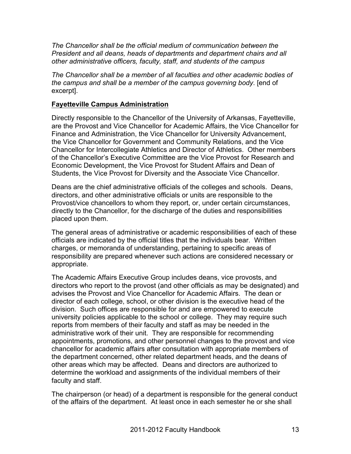*The Chancellor shall be the official medium of communication between the President and all deans, heads of departments and department chairs and all other administrative officers, faculty, staff, and students of the campus*

*The Chancellor shall be a member of all faculties and other academic bodies of the campus and shall be a member of the campus governing body*. [end of excerpt].

#### **Fayetteville Campus Administration**

Directly responsible to the Chancellor of the University of Arkansas, Fayetteville, are the Provost and Vice Chancellor for Academic Affairs, the Vice Chancellor for Finance and Administration, the Vice Chancellor for University Advancement, the Vice Chancellor for Government and Community Relations, and the Vice Chancellor for Intercollegiate Athletics and Director of Athletics. Other members of the Chancellor's Executive Committee are the Vice Provost for Research and Economic Development, the Vice Provost for Student Affairs and Dean of Students, the Vice Provost for Diversity and the Associate Vice Chancellor.

Deans are the chief administrative officials of the colleges and schools. Deans, directors, and other administrative officials or units are responsible to the Provost/vice chancellors to whom they report, or, under certain circumstances, directly to the Chancellor, for the discharge of the duties and responsibilities placed upon them.

The general areas of administrative or academic responsibilities of each of these officials are indicated by the official titles that the individuals bear. Written charges, or memoranda of understanding, pertaining to specific areas of responsibility are prepared whenever such actions are considered necessary or appropriate.

The Academic Affairs Executive Group includes deans, vice provosts, and directors who report to the provost (and other officials as may be designated) and advises the Provost and Vice Chancellor for Academic Affairs. The dean or director of each college, school, or other division is the executive head of the division. Such offices are responsible for and are empowered to execute university policies applicable to the school or college. They may require such reports from members of their faculty and staff as may be needed in the administrative work of their unit. They are responsible for recommending appointments, promotions, and other personnel changes to the provost and vice chancellor for academic affairs after consultation with appropriate members of the department concerned, other related department heads, and the deans of other areas which may be affected. Deans and directors are authorized to determine the workload and assignments of the individual members of their faculty and staff.

The chairperson (or head) of a department is responsible for the general conduct of the affairs of the department. At least once in each semester he or she shall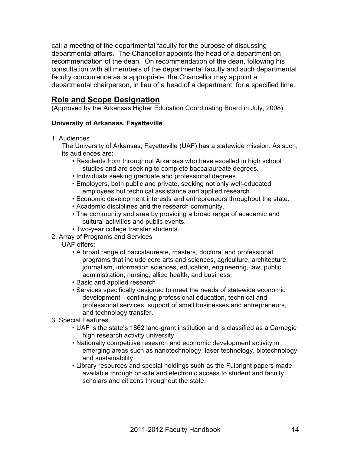call a meeting of the departmental faculty for the purpose of discussing departmental affairs. The Chancellor appoints the head of a department on recommendation of the dean. On recommendation of the dean, following his consultation with all members of the departmental faculty and such departmental faculty concurrence as is appropriate, the Chancellor may appoint a departmental chairperson, in lieu of a head of a department, for a specified time.

## **Role and Scope Designation**

(Approved by the Arkansas Higher Education Coordinating Board in July, 2008)

#### **University of Arkansas, Fayetteville**

1. Audiences

The University of Arkansas, Fayetteville (UAF) has a statewide mission. As such, its audiences are:

- Residents from throughout Arkansas who have excelled in high school studies and are seeking to complete baccalaureate degrees.
- Individuals seeking graduate and professional degrees.
- Employers, both public and private, seeking not only well-educated employees but technical assistance and applied research.
- Economic development interests and entrepreneurs throughout the state.
- Academic disciplines and the research community.
- The community and area by providing a broad range of academic and cultural activities and public events.
- Two-year college transfer students.
- 2. Array of Programs and Services
	- UAF offers:
		- A broad range of baccalaureate, masters, doctoral and professional programs that include core arts and sciences, agriculture, architecture, journalism, information sciences, education, engineering, law, public administration, nursing, allied health, and business.
		- Basic and applied research
		- Services specifically designed to meet the needs of statewide economic development—continuing professional education, technical and professional services, support of small businesses and entrepreneurs, and technology transfer.
- 3. Special Features
	- UAF is the state's 1862 land-grant institution and is classified as a Carnegie high research activity university.
	- Nationally competitive research and economic development activity in emerging areas such as nanotechnology, laser technology, biotechnology, and sustainability.
	- Library resources and special holdings such as the Fulbright papers made available through on-site and electronic access to student and faculty scholars and citizens throughout the state.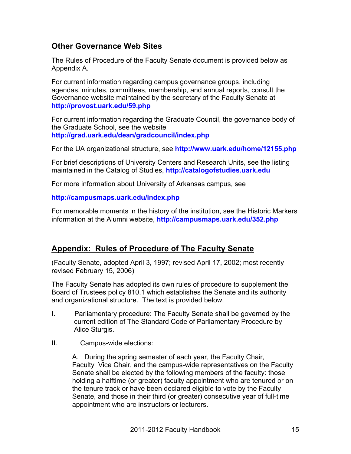## **Other Governance Web Sites**

The Rules of Procedure of the Faculty Senate document is provided below as Appendix A.

For current information regarding campus governance groups, including agendas, minutes, committees, membership, and annual reports, consult the Governance website maintained by the secretary of the Faculty Senate at **http://provost.uark.edu/59.php**

For current information regarding the Graduate Council, the governance body of the Graduate School, see the website **http://grad.uark.edu/dean/gradcouncil/index.php**

For the UA organizational structure, see **http://www.uark.edu/home/12155.php**

For brief descriptions of University Centers and Research Units, see the listing maintained in the Catalog of Studies, **http://catalogofstudies.uark.edu**

For more information about University of Arkansas campus, see

**http://campusmaps.uark.edu/index.php**

For memorable moments in the history of the institution, see the Historic Markers information at the Alumni website, **http://campusmaps.uark.edu/352.php**

## **Appendix: Rules of Procedure of The Faculty Senate**

(Faculty Senate, adopted April 3, 1997; revised April 17, 2002; most recently revised February 15, 2006)

The Faculty Senate has adopted its own rules of procedure to supplement the Board of Trustees policy 810.1 which establishes the Senate and its authority and organizational structure. The text is provided below.

- I. Parliamentary procedure: The Faculty Senate shall be governed by the current edition of The Standard Code of Parliamentary Procedure by Alice Sturgis.
- II. Campus-wide elections:

A. During the spring semester of each year, the Faculty Chair, Faculty Vice Chair, and the campus-wide representatives on the Faculty Senate shall be elected by the following members of the faculty: those holding a halftime (or greater) faculty appointment who are tenured or on the tenure track or have been declared eligible to vote by the Faculty Senate, and those in their third (or greater) consecutive year of full-time appointment who are instructors or lecturers.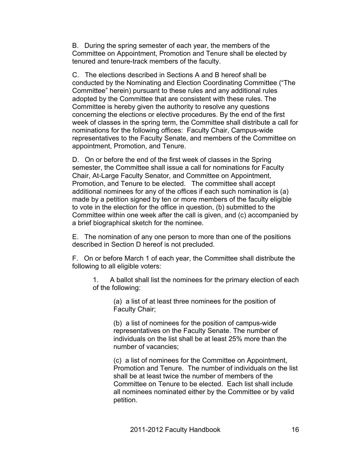B. During the spring semester of each year, the members of the Committee on Appointment, Promotion and Tenure shall be elected by tenured and tenure-track members of the faculty.

C. The elections described in Sections A and B hereof shall be conducted by the Nominating and Election Coordinating Committee ("The Committee" herein) pursuant to these rules and any additional rules adopted by the Committee that are consistent with these rules. The Committee is hereby given the authority to resolve any questions concerning the elections or elective procedures. By the end of the first week of classes in the spring term, the Committee shall distribute a call for nominations for the following offices: Faculty Chair, Campus-wide representatives to the Faculty Senate, and members of the Committee on appointment, Promotion, and Tenure.

D. On or before the end of the first week of classes in the Spring semester, the Committee shall issue a call for nominations for Faculty Chair, At-Large Faculty Senator, and Committee on Appointment, Promotion, and Tenure to be elected. The committee shall accept additional nominees for any of the offices if each such nomination is (a) made by a petition signed by ten or more members of the faculty eligible to vote in the election for the office in question, (b) submitted to the Committee within one week after the call is given, and (c) accompanied by a brief biographical sketch for the nominee.

E. The nomination of any one person to more than one of the positions described in Section D hereof is not precluded.

F. On or before March 1 of each year, the Committee shall distribute the following to all eligible voters:

1. A ballot shall list the nominees for the primary election of each of the following:

> (a) a list of at least three nominees for the position of Faculty Chair;

(b) a list of nominees for the position of campus-wide representatives on the Faculty Senate. The number of individuals on the list shall be at least 25% more than the number of vacancies;

(c) a list of nominees for the Committee on Appointment, Promotion and Tenure. The number of individuals on the list shall be at least twice the number of members of the Committee on Tenure to be elected. Each list shall include all nominees nominated either by the Committee or by valid petition.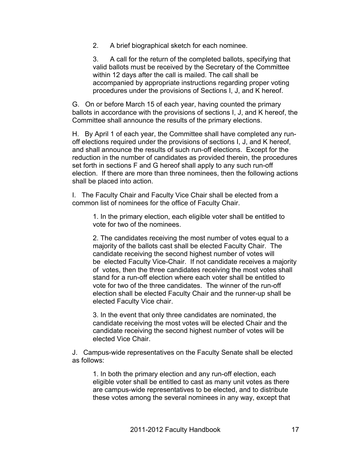2. A brief biographical sketch for each nominee.

3. A call for the return of the completed ballots, specifying that valid ballots must be received by the Secretary of the Committee within 12 days after the call is mailed. The call shall be accompanied by appropriate instructions regarding proper voting procedures under the provisions of Sections I, J, and K hereof.

G. On or before March 15 of each year, having counted the primary ballots in accordance with the provisions of sections I, J, and K hereof, the Committee shall announce the results of the primary elections.

H. By April 1 of each year, the Committee shall have completed any runoff elections required under the provisions of sections I, J, and K hereof, and shall announce the results of such run-off elections. Except for the reduction in the number of candidates as provided therein, the procedures set forth in sections F and G hereof shall apply to any such run-off election. If there are more than three nominees, then the following actions shall be placed into action.

I. The Faculty Chair and Faculty Vice Chair shall be elected from a common list of nominees for the office of Faculty Chair.

1. In the primary election, each eligible voter shall be entitled to vote for two of the nominees.

2. The candidates receiving the most number of votes equal to a majority of the ballots cast shall be elected Faculty Chair. The candidate receiving the second highest number of votes will be elected Faculty Vice-Chair. If not candidate receives a majority of votes, then the three candidates receiving the most votes shall stand for a run-off election where each voter shall be entitled to vote for two of the three candidates. The winner of the run-off election shall be elected Faculty Chair and the runner-up shall be elected Faculty Vice chair.

3. In the event that only three candidates are nominated, the candidate receiving the most votes will be elected Chair and the candidate receiving the second highest number of votes will be elected Vice Chair.

J. Campus-wide representatives on the Faculty Senate shall be elected as follows:

1. In both the primary election and any run-off election, each eligible voter shall be entitled to cast as many unit votes as there are campus-wide representatives to be elected, and to distribute these votes among the several nominees in any way, except that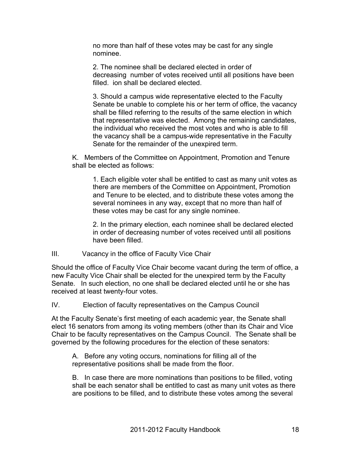no more than half of these votes may be cast for any single nominee.

2. The nominee shall be declared elected in order of decreasing number of votes received until all positions have been filled. ion shall be declared elected.

3. Should a campus wide representative elected to the Faculty Senate be unable to complete his or her term of office, the vacancy shall be filled referring to the results of the same election in which that representative was elected. Among the remaining candidates, the individual who received the most votes and who is able to fill the vacancy shall be a campus-wide representative in the Faculty Senate for the remainder of the unexpired term.

K. Members of the Committee on Appointment, Promotion and Tenure shall be elected as follows:

1. Each eligible voter shall be entitled to cast as many unit votes as there are members of the Committee on Appointment, Promotion and Tenure to be elected, and to distribute these votes among the several nominees in any way, except that no more than half of these votes may be cast for any single nominee.

2. In the primary election, each nominee shall be declared elected in order of decreasing number of votes received until all positions have been filled.

#### III. Vacancy in the office of Faculty Vice Chair

Should the office of Faculty Vice Chair become vacant during the term of office, a new Faculty Vice Chair shall be elected for the unexpired term by the Faculty Senate. In such election, no one shall be declared elected until he or she has received at least twenty-four votes.

IV. Election of faculty representatives on the Campus Council

At the Faculty Senate's first meeting of each academic year, the Senate shall elect 16 senators from among its voting members (other than its Chair and Vice Chair to be faculty representatives on the Campus Council. The Senate shall be governed by the following procedures for the election of these senators:

A. Before any voting occurs, nominations for filling all of the representative positions shall be made from the floor.

B. In case there are more nominations than positions to be filled, voting shall be each senator shall be entitled to cast as many unit votes as there are positions to be filled, and to distribute these votes among the several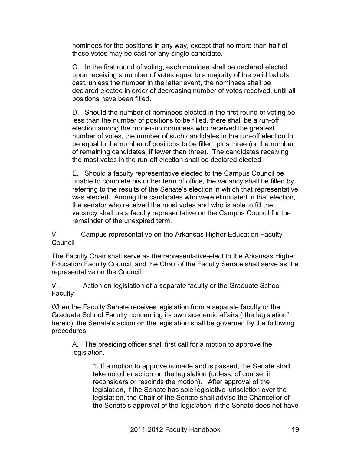nominees for the positions in any way, except that no more than half of these votes may be cast for any single candidate.

C. In the first round of voting, each nominee shall be declared elected upon receiving a number of votes equal to a majority of the valid ballots cast, unless the number In the latter event, the nominees shall be declared elected in order of decreasing number of votes received, until all positions have been filled.

D. Should the number of nominees elected in the first round of voting be less than the number of positions to be filled, there shall be a run-off election among the runner-up nominees who received the greatest number of votes, the number of such candidates in the run-off election to be equal to the number of positions to be filled, plus three (or the number of remaining candidates, if fewer than three). The candidates receiving the most votes in the run-off election shall be declared elected.

E. Should a faculty representative elected to the Campus Council be unable to complete his or her term of office, the vacancy shall be filled by referring to the results of the Senate's election in which that representative was elected. Among the candidates who were eliminated in that election, the senator who received the most votes and who is able to fill the vacancy shall be a faculty representative on the Campus Council for the remainder of the unexpired term.

V. Campus representative on the Arkansas Higher Education Faculty **Council** 

The Faculty Chair shall serve as the representative-elect to the Arkansas Higher Education Faculty Council, and the Chair of the Faculty Senate shall serve as the representative on the Council.

VI. Action on legislation of a separate faculty or the Graduate School Faculty

When the Faculty Senate receives legislation from a separate faculty or the Graduate School Faculty concerning its own academic affairs ("the legislation" herein), the Senate's action on the legislation shall be governed by the following procedures:

A. The presiding officer shall first call for a motion to approve the legislation.

> 1. If a motion to approve is made and is passed, the Senate shall take no other action on the legislation (unless, of course, it reconsiders or rescinds the motion). After approval of the legislation, if the Senate has sole legislative jurisdiction over the legislation, the Chair of the Senate shall advise the Chancellor of the Senate's approval of the legislation; if the Senate does not have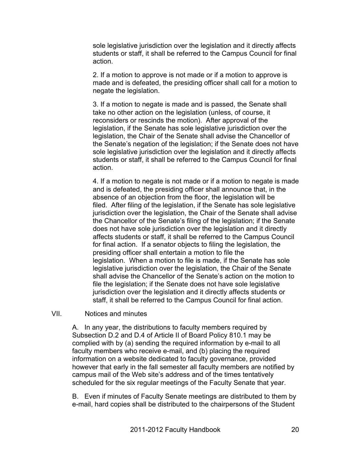sole legislative jurisdiction over the legislation and it directly affects students or staff, it shall be referred to the Campus Council for final action.

2. If a motion to approve is not made or if a motion to approve is made and is defeated, the presiding officer shall call for a motion to negate the legislation.

3. If a motion to negate is made and is passed, the Senate shall take no other action on the legislation (unless, of course, it reconsiders or rescinds the motion). After approval of the legislation, if the Senate has sole legislative jurisdiction over the legislation, the Chair of the Senate shall advise the Chancellor of the Senate's negation of the legislation; if the Senate does not have sole legislative jurisdiction over the legislation and it directly affects students or staff, it shall be referred to the Campus Council for final action.

4. If a motion to negate is not made or if a motion to negate is made and is defeated, the presiding officer shall announce that, in the absence of an objection from the floor, the legislation will be filed. After filing of the legislation, if the Senate has sole legislative jurisdiction over the legislation, the Chair of the Senate shall advise the Chancellor of the Senate's filing of the legislation; if the Senate does not have sole jurisdiction over the legislation and it directly affects students or staff, it shall be referred to the Campus Council for final action. If a senator objects to filing the legislation, the presiding officer shall entertain a motion to file the legislation. When a motion to file is made, if the Senate has sole legislative jurisdiction over the legislation, the Chair of the Senate shall advise the Chancellor of the Senate's action on the motion to file the legislation; if the Senate does not have sole legislative jurisdiction over the legislation and it directly affects students or staff, it shall be referred to the Campus Council for final action.

VII. Notices and minutes

A. In any year, the distributions to faculty members required by Subsection D.2 and D.4 of Article II of Board Policy 810.1 may be complied with by (a) sending the required information by e-mail to all faculty members who receive e-mail, and (b) placing the required information on a website dedicated to faculty governance, provided however that early in the fall semester all faculty members are notified by campus mail of the Web site's address and of the times tentatively scheduled for the six regular meetings of the Faculty Senate that year.

B. Even if minutes of Faculty Senate meetings are distributed to them by e-mail, hard copies shall be distributed to the chairpersons of the Student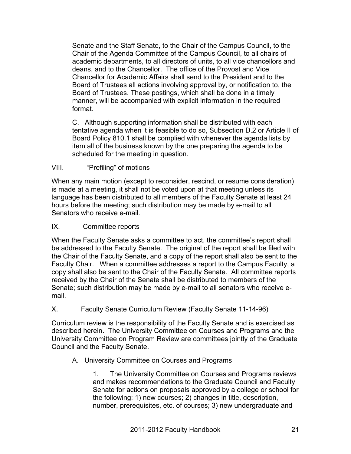Senate and the Staff Senate, to the Chair of the Campus Council, to the Chair of the Agenda Committee of the Campus Council, to all chairs of academic departments, to all directors of units, to all vice chancellors and deans, and to the Chancellor. The office of the Provost and Vice Chancellor for Academic Affairs shall send to the President and to the Board of Trustees all actions involving approval by, or notification to, the Board of Trustees. These postings, which shall be done in a timely manner, will be accompanied with explicit information in the required format.

C. Although supporting information shall be distributed with each tentative agenda when it is feasible to do so, Subsection D.2 or Article II of Board Policy 810.1 shall be complied with whenever the agenda lists by item all of the business known by the one preparing the agenda to be scheduled for the meeting in question.

#### VIII. "Prefiling" of motions

When any main motion (except to reconsider, rescind, or resume consideration) is made at a meeting, it shall not be voted upon at that meeting unless its language has been distributed to all members of the Faculty Senate at least 24 hours before the meeting; such distribution may be made by e-mail to all Senators who receive e-mail.

#### IX. Committee reports

When the Faculty Senate asks a committee to act, the committee's report shall be addressed to the Faculty Senate. The original of the report shall be filed with the Chair of the Faculty Senate, and a copy of the report shall also be sent to the Faculty Chair. When a committee addresses a report to the Campus Faculty, a copy shall also be sent to the Chair of the Faculty Senate. All committee reports received by the Chair of the Senate shall be distributed to members of the Senate; such distribution may be made by e-mail to all senators who receive email.

#### X. Faculty Senate Curriculum Review (Faculty Senate 11-14-96)

Curriculum review is the responsibility of the Faculty Senate and is exercised as described herein. The University Committee on Courses and Programs and the University Committee on Program Review are committees jointly of the Graduate Council and the Faculty Senate.

#### A. University Committee on Courses and Programs

1. The University Committee on Courses and Programs reviews and makes recommendations to the Graduate Council and Faculty Senate for actions on proposals approved by a college or school for the following: 1) new courses; 2) changes in title, description, number, prerequisites, etc. of courses; 3) new undergraduate and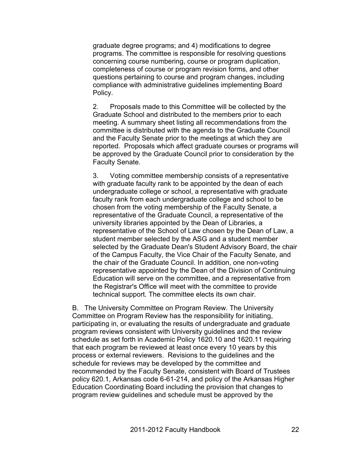graduate degree programs; and 4) modifications to degree programs. The committee is responsible for resolving questions concerning course numbering, course or program duplication, completeness of course or program revision forms, and other questions pertaining to course and program changes, including compliance with administrative guidelines implementing Board Policy.

2. Proposals made to this Committee will be collected by the Graduate School and distributed to the members prior to each meeting. A summary sheet listing all recommendations from the committee is distributed with the agenda to the Graduate Council and the Faculty Senate prior to the meetings at which they are reported. Proposals which affect graduate courses or programs will be approved by the Graduate Council prior to consideration by the Faculty Senate.

3. Voting committee membership consists of a representative with graduate faculty rank to be appointed by the dean of each undergraduate college or school, a representative with graduate faculty rank from each undergraduate college and school to be chosen from the voting membership of the Faculty Senate, a representative of the Graduate Council, a representative of the university libraries appointed by the Dean of Libraries, a representative of the School of Law chosen by the Dean of Law, a student member selected by the ASG and a student member selected by the Graduate Dean's Student Advisory Board, the chair of the Campus Faculty, the Vice Chair of the Faculty Senate, and the chair of the Graduate Council. In addition, one non-voting representative appointed by the Dean of the Division of Continuing Education will serve on the committee, and a representative from the Registrar's Office will meet with the committee to provide technical support. The committee elects its own chair.

B. The University Committee on Program Review. The University Committee on Program Review has the responsibility for initiating, participating in, or evaluating the results of undergraduate and graduate program reviews consistent with University guidelines and the review schedule as set forth in Academic Policy 1620.10 and 1620.11 requiring that each program be reviewed at least once every 10 years by this process or external reviewers. Revisions to the guidelines and the schedule for reviews may be developed by the committee and recommended by the Faculty Senate, consistent with Board of Trustees policy 620.1, Arkansas code 6-61-214, and policy of the Arkansas Higher Education Coordinating Board including the provision that changes to program review guidelines and schedule must be approved by the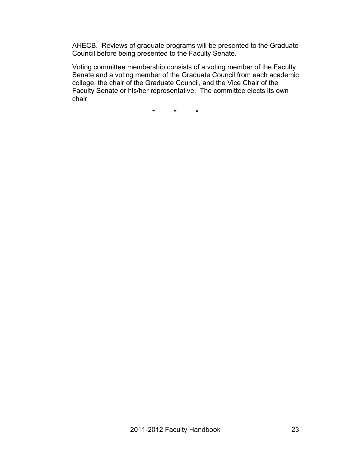AHECB. Reviews of graduate programs will be presented to the Graduate Council before being presented to the Faculty Senate.

Voting committee membership consists of a voting member of the Faculty Senate and a voting member of the Graduate Council from each academic college, the chair of the Graduate Council, and the Vice Chair of the Faculty Senate or his/her representative. The committee elects its own chair.

\* \* \*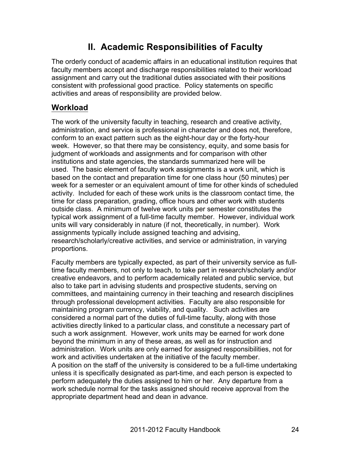## **II. Academic Responsibilities of Faculty**

The orderly conduct of academic affairs in an educational institution requires that faculty members accept and discharge responsibilities related to their workload assignment and carry out the traditional duties associated with their positions consistent with professional good practice. Policy statements on specific activities and areas of responsibility are provided below.

## **Workload**

The work of the university faculty in teaching, research and creative activity, administration, and service is professional in character and does not, therefore, conform to an exact pattern such as the eight-hour day or the forty-hour week. However, so that there may be consistency, equity, and some basis for judgment of workloads and assignments and for comparison with other institutions and state agencies, the standards summarized here will be used. The basic element of faculty work assignments is a work unit, which is based on the contact and preparation time for one class hour (50 minutes) per week for a semester or an equivalent amount of time for other kinds of scheduled activity. Included for each of these work units is the classroom contact time, the time for class preparation, grading, office hours and other work with students outside class. A minimum of twelve work units per semester constitutes the typical work assignment of a full-time faculty member. However, individual work units will vary considerably in nature (if not, theoretically, in number). Work assignments typically include assigned teaching and advising, research/scholarly/creative activities, and service or administration, in varying proportions.

Faculty members are typically expected, as part of their university service as fulltime faculty members, not only to teach, to take part in research/scholarly and/or creative endeavors, and to perform academically related and public service, but also to take part in advising students and prospective students, serving on committees, and maintaining currency in their teaching and research disciplines through professional development activities. Faculty are also responsible for maintaining program currency, viability, and quality. Such activities are considered a normal part of the duties of full-time faculty, along with those activities directly linked to a particular class, and constitute a necessary part of such a work assignment. However, work units may be earned for work done beyond the minimum in any of these areas, as well as for instruction and administration. Work units are only earned for assigned responsibilities, not for work and activities undertaken at the initiative of the faculty member. A position on the staff of the university is considered to be a full-time undertaking unless it is specifically designated as part-time, and each person is expected to perform adequately the duties assigned to him or her. Any departure from a work schedule normal for the tasks assigned should receive approval from the appropriate department head and dean in advance.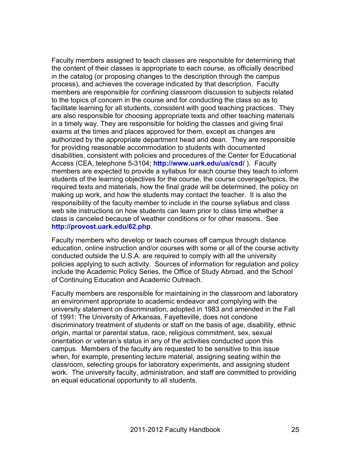Faculty members assigned to teach classes are responsible for determining that the content of their classes is appropriate to each course, as officially described in the catalog (or proposing changes to the description through the campus process), and achieves the coverage indicated by that description. Faculty members are responsible for confining classroom discussion to subjects related to the topics of concern in the course and for conducting the class so as to facilitate learning for all students, consistent with good teaching practices. They are also responsible for choosing appropriate texts and other teaching materials in a timely way. They are responsible for holding the classes and giving final exams at the times and places approved for them, except as changes are authorized by the appropriate department head and dean. They are responsible for providing reasonable accommodation to students with documented disabilities, consistent with policies and procedures of the Center for Educational Access (CEA, telephone 5-3104; **http://www.uark.edu/ua/csd/** ). Faculty members are expected to provide a syllabus for each course they teach to inform students of the learning objectives for the course, the course coverage/topics, the required texts and materials, how the final grade will be determined, the policy on making up work, and how the students may contact the teacher. It is also the responsibility of the faculty member to include in the course syllabus and class web site instructions on how students can learn prior to class time whether a class is canceled because of weather conditions or for other reasons. See **http://provost.uark.edu/62.php**.

Faculty members who develop or teach courses off campus through distance education, online instruction and/or courses with some or all of the course activity conducted outside the U.S.A. are required to comply with all the university policies applying to such activity. Sources of information for regulation and policy include the Academic Policy Series, the Office of Study Abroad, and the School of Continuing Education and Academic Outreach.

Faculty members are responsible for maintaining in the classroom and laboratory an environment appropriate to academic endeavor and complying with the university statement on discrimination, adopted in 1983 and amended in the Fall of 1991: The University of Arkansas, Fayetteville, does not condone discriminatory treatment of students or staff on the basis of age, disability, ethnic origin, marital or parental status, race, religious commitment, sex, sexual orientation or veteran's status in any of the activities conducted upon this campus. Members of the faculty are requested to be sensitive to this issue when, for example, presenting lecture material, assigning seating within the classroom, selecting groups for laboratory experiments, and assigning student work. The university faculty, administration, and staff are committed to providing an equal educational opportunity to all students.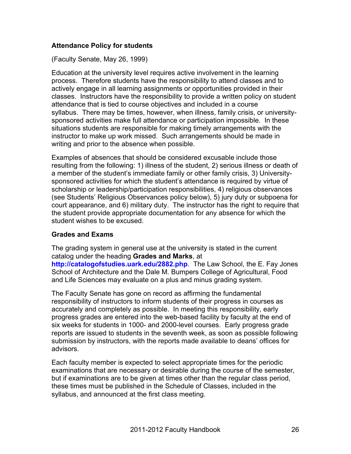#### **Attendance Policy for students**

(Faculty Senate, May 26, 1999)

Education at the university level requires active involvement in the learning process. Therefore students have the responsibility to attend classes and to actively engage in all learning assignments or opportunities provided in their classes. Instructors have the responsibility to provide a written policy on student attendance that is tied to course objectives and included in a course syllabus. There may be times, however, when illness, family crisis, or universitysponsored activities make full attendance or participation impossible. In these situations students are responsible for making timely arrangements with the instructor to make up work missed. Such arrangements should be made in writing and prior to the absence when possible.

Examples of absences that should be considered excusable include those resulting from the following: 1) illness of the student, 2) serious illness or death of a member of the student's immediate family or other family crisis, 3) Universitysponsored activities for which the student's attendance is required by virtue of scholarship or leadership/participation responsibilities, 4) religious observances (see Students' Religious Observances policy below), 5) jury duty or subpoena for court appearance, and 6) military duty. The instructor has the right to require that the student provide appropriate documentation for any absence for which the student wishes to be excused.

#### **Grades and Exams**

The grading system in general use at the university is stated in the current catalog under the heading **Grades and Marks**, at **http://catalogofstudies.uark.edu/2882.php**. The Law School, the E. Fay Jones

School of Architecture and the Dale M. Bumpers College of Agricultural, Food and Life Sciences may evaluate on a plus and minus grading system.

The Faculty Senate has gone on record as affirming the fundamental responsibility of instructors to inform students of their progress in courses as accurately and completely as possible. In meeting this responsibility, early progress grades are entered into the web-based facility by faculty at the end of six weeks for students in 1000- and 2000-level courses. Early progress grade reports are issued to students in the seventh week, as soon as possible following submission by instructors, with the reports made available to deans' offices for advisors.

Each faculty member is expected to select appropriate times for the periodic examinations that are necessary or desirable during the course of the semester, but if examinations are to be given at times other than the regular class period, these times must be published in the Schedule of Classes, included in the syllabus, and announced at the first class meeting.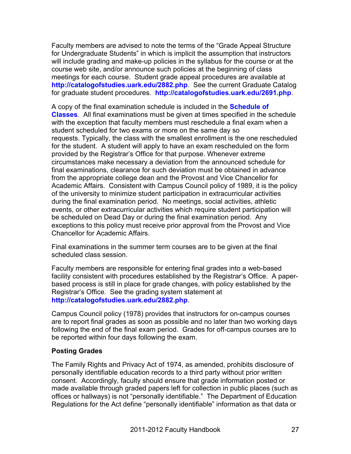Faculty members are advised to note the terms of the "Grade Appeal Structure for Undergraduate Students" in which is implicit the assumption that instructors will include grading and make-up policies in the syllabus for the course or at the course web site, and/or announce such policies at the beginning of class meetings for each course. Student grade appeal procedures are available at **http://catalogofstudies.uark.edu/2882.php**. See the current Graduate Catalog for graduate student procedures. **http://catalogofstudies.uark.edu/2691.php**.

A copy of the final examination schedule is included in the **Schedule of Classes**. All final examinations must be given at times specified in the schedule with the exception that faculty members must reschedule a final exam when a student scheduled for two exams or more on the same day so requests. Typically, the class with the smallest enrollment is the one rescheduled for the student. A student will apply to have an exam rescheduled on the form provided by the Registrar's Office for that purpose. Whenever extreme circumstances make necessary a deviation from the announced schedule for final examinations, clearance for such deviation must be obtained in advance from the appropriate college dean and the Provost and Vice Chancellor for Academic Affairs. Consistent with Campus Council policy of 1989, it is the policy of the university to minimize student participation in extracurricular activities during the final examination period. No meetings, social activities, athletic events, or other extracurricular activities which require student participation will be scheduled on Dead Day or during the final examination period. Any exceptions to this policy must receive prior approval from the Provost and Vice Chancellor for Academic Affairs.

Final examinations in the summer term courses are to be given at the final scheduled class session.

Faculty members are responsible for entering final grades into a web-based facility consistent with procedures established by the Registrar's Office. A paperbased process is still in place for grade changes, with policy established by the Registrar's Office. See the grading system statement at **http://catalogofstudies.uark.edu/2882.php**.

Campus Council policy (1978) provides that instructors for on-campus courses are to report final grades as soon as possible and no later than two working days following the end of the final exam period. Grades for off-campus courses are to be reported within four days following the exam.

#### **Posting Grades**

The Family Rights and Privacy Act of 1974, as amended, prohibits disclosure of personally identifiable education records to a third party without prior written consent. Accordingly, faculty should ensure that grade information posted or made available through graded papers left for collection in public places (such as offices or hallways) is not "personally identifiable." The Department of Education Regulations for the Act define "personally identifiable" information as that data or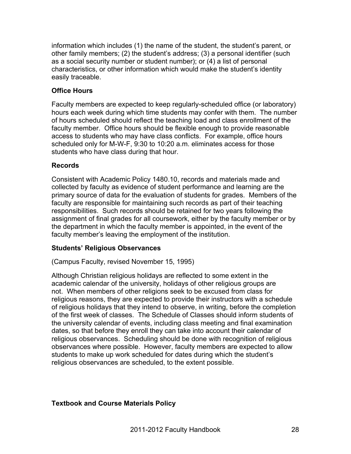information which includes (1) the name of the student, the student's parent, or other family members; (2) the student's address; (3) a personal identifier (such as a social security number or student number); or (4) a list of personal characteristics, or other information which would make the student's identity easily traceable.

#### **Office Hours**

Faculty members are expected to keep regularly-scheduled office (or laboratory) hours each week during which time students may confer with them. The number of hours scheduled should reflect the teaching load and class enrollment of the faculty member. Office hours should be flexible enough to provide reasonable access to students who may have class conflicts. For example, office hours scheduled only for M-W-F, 9:30 to 10:20 a.m. eliminates access for those students who have class during that hour.

#### **Records**

Consistent with Academic Policy 1480.10, records and materials made and collected by faculty as evidence of student performance and learning are the primary source of data for the evaluation of students for grades. Members of the faculty are responsible for maintaining such records as part of their teaching responsibilities. Such records should be retained for two years following the assignment of final grades for all coursework, either by the faculty member or by the department in which the faculty member is appointed, in the event of the faculty member's leaving the employment of the institution.

#### **Students' Religious Observances**

(Campus Faculty, revised November 15, 1995)

Although Christian religious holidays are reflected to some extent in the academic calendar of the university, holidays of other religious groups are not. When members of other religions seek to be excused from class for religious reasons, they are expected to provide their instructors with a schedule of religious holidays that they intend to observe, in writing, before the completion of the first week of classes. The Schedule of Classes should inform students of the university calendar of events, including class meeting and final examination dates, so that before they enroll they can take into account their calendar of religious observances. Scheduling should be done with recognition of religious observances where possible. However, faculty members are expected to allow students to make up work scheduled for dates during which the student's religious observances are scheduled, to the extent possible.

### **Textbook and Course Materials Policy**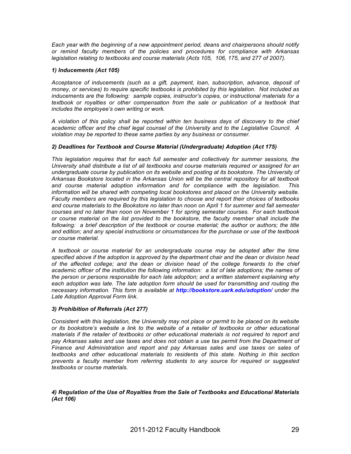*Each year with the beginning of a new appointment period, deans and chairpersons should notify or remind faculty members of the policies and procedures for compliance with Arkansas legislation relating to textbooks and course materials (Acts 105, 106, 175, and 277 of 2007).* 

#### *1) Inducements (Act 105)*

*Acceptance of inducements (such as a gift, payment, loan, subscription, advance, deposit of money, or services) to require specific textbooks is prohibited by this legislation. Not included as inducements are the following: sample copies, instructor's copies, or instructional materials for a textbook or royalties or other compensation from the sale or publication of a textbook that includes the employee's own writing or work.* 

*A violation of this policy shall be reported within ten business days of discovery to the chief academic officer and the chief legal counsel of the University and to the Legislative Council. A violation may be reported to these same parties by any business or consumer.*

#### *2) Deadlines for Textbook and Course Material (Undergraduate) Adoption (Act 175)*

*This legislation requires that for each full semester and collectively for summer sessions, the University shall distribute a list of all textbooks and course materials required or assigned for an undergraduate course by publication on its website and posting at its bookstore. The University of Arkansas Bookstore located in the Arkansas Union will be the central repository for all textbook and course material adoption information and for compliance with the legislation. This information will be shared with competing local bookstores and placed on the University website. Faculty members are required by this legislation to choose and report their choices of textbooks and course materials to the Bookstore no later than noon on April 1 for summer and fall semester courses and no later than noon on November 1 for spring semester courses. For each textbook or course material on the list provided to the bookstore, the faculty member shall include the*  following: a brief description of the textbook or course material; the author or authors; the title *and edition; and any special instructions or circumstances for the purchase or use of the textbook or course material.* 

*A textbook or course material for an undergraduate course may be adopted after the time specified above if the adoption is approved by the department chair and the dean or division head of the affected college; and the dean or division head of the college forwards to the chief academic officer of the institution the following information: a list of late adoptions; the names of the person or persons responsible for each late adoption; and a written statement explaining why*  each adoption was late. The late adoption form should be used for transmitting and routing the *necessary information. This form is available at http://bookstore.uark.edu/adoption/ under the Late Adoption Approval Form link.*

#### *3) Prohibition of Referrals (Act 277)*

*Consistent with this legislation, the University may not place or permit to be placed on its website or its bookstore's website a link to the website of a retailer of textbooks or other educational materials if the retailer of textbooks or other educational materials is not required to report and*  pay Arkansas sales and use taxes and does not obtain a use tax permit from the Department of *Finance and Administration and report and pay Arkansas sales and use taxes on sales of textbooks and other educational materials to residents of this state. Nothing in this section prevents a faculty member from referring students to any source for required or suggested textbooks or course materials.*

#### *4) Regulation of the Use of Royalties from the Sale of Textbooks and Educational Materials (Act 106)*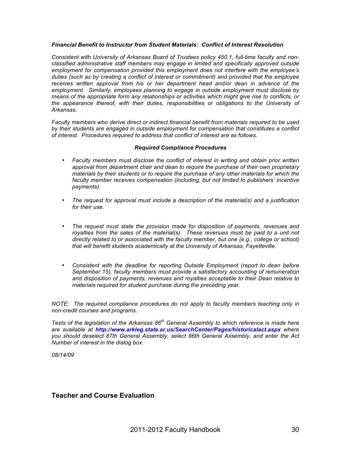#### *Financial Benefit to Instructor from Student Materials: Conflict of Interest Resolution*

*Consistent with University of Arkansas Board of Trustees policy 450.1, full-time faculty and nonclassified administrative staff members may engage in limited and specifically approved outside employment for compensation provided this employment does not interfere with the employee's duties (such as by creating a conflict of interest or commitment) and provided that the employee receives written approval from his or her department head and/or dean in advance of the employment. Similarly, employees planning to engage in outside employment must disclose by means of the appropriate form any relationships or activities which might give rise to conflicts, or the appearance thereof, with their duties, responsibilities or obligations to the University of Arkansas.*

*Faculty members who derive direct or indirect financial benefit from materials required to be used by their students are engaged in outside employment for compensation that constitutes a conflict of interest. Procedures required to address that conflict of interest are as follows.*

#### *Required Compliance Procedures*

- *Faculty members must disclose the conflict of interest in writing and obtain prior written approval from department chair and dean to require the purchase of their own proprietary materials by their students or to require the purchase of any other materials for which the*  faculty member receives compensation (including, but not limited to publishers' incentive *payments).*
- *The request for approval must include a description of the material(s) and a justification for their use.*
- *The request must state the provision made for disposition of payments, revenues and*  royalties from the sales of the material(s). These revenues must be paid to a unit not *directly related to or associated with the faculty member, but one (e.g., college or school) that will benefit students academically at the University of Arkansas, Fayetteville.*
- *Consistent with the deadline for reporting Outside Employment (report to dean before September 15), faculty members must provide a satisfactory accounting of remuneration and disposition of payments, revenues and royalties acceptable to their Dean relative to materials required for student purchase during the preceding year.*

*NOTE: The required compliance procedures do not apply to faculty members teaching only in non-credit courses and programs.*

*Texts of the legislation of the Arkansas 86th General Assembly to which reference is made here are available at http://www.arkleg.state.ar.us/SearchCenter/Pages/historicalact.aspx where you should deselect 87th General Assembly, select 86th General Assembly, and enter the Act Number of interest in the dialog box.*

*08/14/09*

#### **Teacher and Course Evaluation**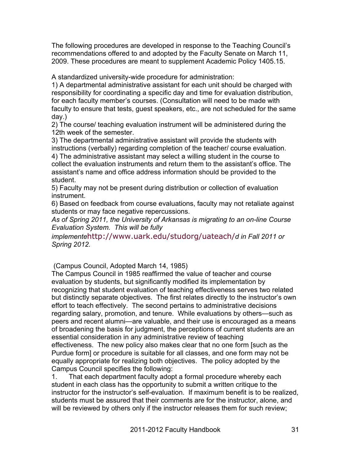The following procedures are developed in response to the Teaching Council's recommendations offered to and adopted by the Faculty Senate on March 11, 2009. These procedures are meant to supplement Academic Policy 1405.15.

A standardized university-wide procedure for administration:

1) A departmental administrative assistant for each unit should be charged with responsibility for coordinating a specific day and time for evaluation distribution, for each faculty member's courses. (Consultation will need to be made with faculty to ensure that tests, guest speakers, etc., are not scheduled for the same day.)

2) The course/ teaching evaluation instrument will be administered during the 12th week of the semester.

3) The departmental administrative assistant will provide the students with instructions (verbally) regarding completion of the teacher/ course evaluation. 4) The administrative assistant may select a willing student in the course to collect the evaluation instruments and return them to the assistant's office. The

assistant's name and office address information should be provided to the student.

5) Faculty may not be present during distribution or collection of evaluation instrument.

6) Based on feedback from course evaluations, faculty may not retaliate against students or may face negative repercussions.

*As of Spring 2011, the University of Arkansas is migrating to an on-line Course Evaluation System. This will be fully* 

*implemente*http://www.uark.edu/studorg/uateach/*d in Fall 2011 or Spring 2012.*

(Campus Council, Adopted March 14, 1985)

The Campus Council in 1985 reaffirmed the value of teacher and course evaluation by students, but significantly modified its implementation by recognizing that student evaluation of teaching effectiveness serves two related but distinctly separate objectives. The first relates directly to the instructor's own effort to teach effectively. The second pertains to administrative decisions regarding salary, promotion, and tenure. While evaluations by others—such as peers and recent alumni—are valuable, and their use is encouraged as a means of broadening the basis for judgment, the perceptions of current students are an essential consideration in any administrative review of teaching effectiveness. The new policy also makes clear that no one form [such as the Purdue form] or procedure is suitable for all classes, and one form may not be equally appropriate for realizing both objectives. The policy adopted by the Campus Council specifies the following:

1. That each department faculty adopt a formal procedure whereby each student in each class has the opportunity to submit a written critique to the instructor for the instructor's self-evaluation. If maximum benefit is to be realized, students must be assured that their comments are for the instructor, alone, and will be reviewed by others only if the instructor releases them for such review;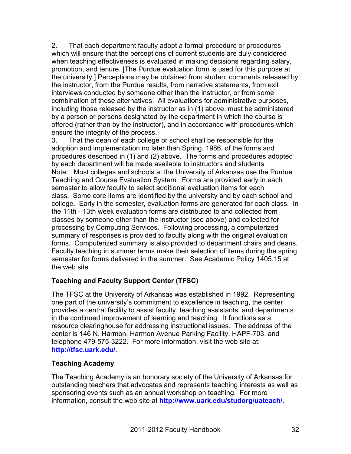2. That each department faculty adopt a formal procedure or procedures which will ensure that the perceptions of current students are duly considered when teaching effectiveness is evaluated in making decisions regarding salary, promotion, and tenure. [The Purdue evaluation form is used for this purpose at the university.] Perceptions may be obtained from student comments released by the instructor, from the Purdue results, from narrative statements, from exit interviews conducted by someone other than the instructor, or from some combination of these alternatives. All evaluations for administrative purposes, including those released by the instructor as in (1) above, must be administered by a person or persons designated by the department in which the course is offered (rather than by the instructor), and in accordance with procedures which ensure the integrity of the process.

3. That the dean of each college or school shall be responsible for the adoption and implementation no later than Spring, 1986, of the forms and procedures described in (1) and (2) above. The forms and procedures adopted by each department will be made available to instructors and students. Note: Most colleges and schools at the University of Arkansas use the Purdue Teaching and Course Evaluation System. Forms are provided early in each semester to allow faculty to select additional evaluation items for each class. Some core items are identified by the university and by each school and college. Early in the semester, evaluation forms are generated for each class. In the 11th - 13th week evaluation forms are distributed to and collected from classes by someone other than the instructor (see above) and collected for processing by Computing Services. Following processing, a computerized summary of responses is provided to faculty along with the original evaluation forms. Computerized summary is also provided to department chairs and deans. Faculty teaching in summer terms make their selection of items during the spring semester for forms delivered in the summer. See Academic Policy 1405.15 at the web site.

#### **Teaching and Faculty Support Center (TFSC)**

The TFSC at the University of Arkansas was established in 1992. Representing one part of the university's commitment to excellence in teaching, the center provides a central facility to assist faculty, teaching assistants, and departments in the continued improvement of learning and teaching. It functions as a resource clearinghouse for addressing instructional issues. The address of the center is 146 N. Harmon, Harmon Avenue Parking Facility, HAPF-703, and telephone 479-575-3222. For more information, visit the web site at: **http://tfsc.uark.edu/**.

#### **Teaching Academy**

The Teaching Academy is an honorary society of the University of Arkansas for outstanding teachers that advocates and represents teaching interests as well as sponsoring events such as an annual workshop on teaching. For more information, consult the web site at **http://www.uark.edu/studorg/uateach/**.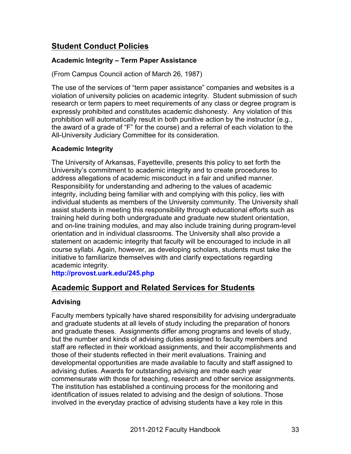## **Student Conduct Policies**

#### **Academic Integrity – Term Paper Assistance**

(From Campus Council action of March 26, 1987)

The use of the services of "term paper assistance" companies and websites is a violation of university policies on academic integrity. Student submission of such research or term papers to meet requirements of any class or degree program is expressly prohibited and constitutes academic dishonesty. Any violation of this prohibition will automatically result in both punitive action by the instructor (e.g., the award of a grade of "F" for the course) and a referral of each violation to the All-University Judiciary Committee for its consideration.

#### **Academic Integrity**

The University of Arkansas, Fayetteville, presents this policy to set forth the University's commitment to academic integrity and to create procedures to address allegations of academic misconduct in a fair and unified manner. Responsibility for understanding and adhering to the values of academic integrity, including being familiar with and complying with this policy, lies with individual students as members of the University community. The University shall assist students in meeting this responsibility through educational efforts such as training held during both undergraduate and graduate new student orientation, and on-line training modules, and may also include training during program-level orientation and in individual classrooms. The University shall also provide a statement on academic integrity that faculty will be encouraged to include in all course syllabi. Again, however, as developing scholars, students must take the initiative to familiarize themselves with and clarify expectations regarding academic integrity.

**http://provost.uark.edu/245.php**

## **Academic Support and Related Services for Students**

#### **Advising**

Faculty members typically have shared responsibility for advising undergraduate and graduate students at all levels of study including the preparation of honors and graduate theses. Assignments differ among programs and levels of study, but the number and kinds of advising duties assigned to faculty members and staff are reflected in their workload assignments, and their accomplishments and those of their students reflected in their merit evaluations. Training and developmental opportunities are made available to faculty and staff assigned to advising duties. Awards for outstanding advising are made each year commensurate with those for teaching, research and other service assignments. The institution has established a continuing process for the monitoring and identification of issues related to advising and the design of solutions. Those involved in the everyday practice of advising students have a key role in this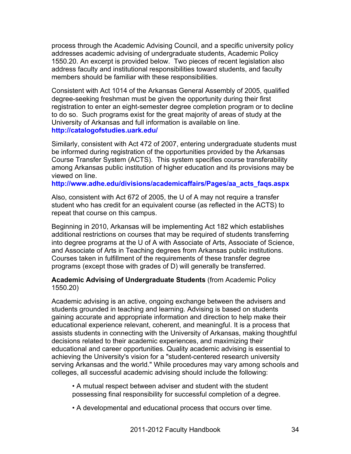process through the Academic Advising Council, and a specific university policy addresses academic advising of undergraduate students, Academic Policy 1550.20. An excerpt is provided below. Two pieces of recent legislation also address faculty and institutional responsibilities toward students, and faculty members should be familiar with these responsibilities.

Consistent with Act 1014 of the Arkansas General Assembly of 2005, qualified degree-seeking freshman must be given the opportunity during their first registration to enter an eight-semester degree completion program or to decline to do so. Such programs exist for the great majority of areas of study at the University of Arkansas and full information is available on line. **http://catalogofstudies.uark.edu/**

Similarly, consistent with Act 472 of 2007, entering undergraduate students must be informed during registration of the opportunities provided by the Arkansas Course Transfer System (ACTS). This system specifies course transferability among Arkansas public institution of higher education and its provisions may be viewed on line.

**http://www.adhe.edu/divisions/academicaffairs/Pages/aa\_acts\_faqs.aspx**

Also, consistent with Act 672 of 2005, the U of A may not require a transfer student who has credit for an equivalent course (as reflected in the ACTS) to repeat that course on this campus.

Beginning in 2010, Arkansas will be implementing Act 182 which establishes additional restrictions on courses that may be required of students transferring into degree programs at the U of A with Associate of Arts, Associate of Science, and Associate of Arts in Teaching degrees from Arkansas public institutions. Courses taken in fulfillment of the requirements of these transfer degree programs (except those with grades of D) will generally be transferred.

#### **Academic Advising of Undergraduate Students** (from Academic Policy 1550.20)

Academic advising is an active, ongoing exchange between the advisers and students grounded in teaching and learning. Advising is based on students gaining accurate and appropriate information and direction to help make their educational experience relevant, coherent, and meaningful. It is a process that assists students in connecting with the University of Arkansas, making thoughtful decisions related to their academic experiences, and maximizing their educational and career opportunities. Quality academic advising is essential to achieving the University's vision for a "student-centered research university serving Arkansas and the world." While procedures may vary among schools and colleges, all successful academic advising should include the following:

• A mutual respect between adviser and student with the student possessing final responsibility for successful completion of a degree.

• A developmental and educational process that occurs over time.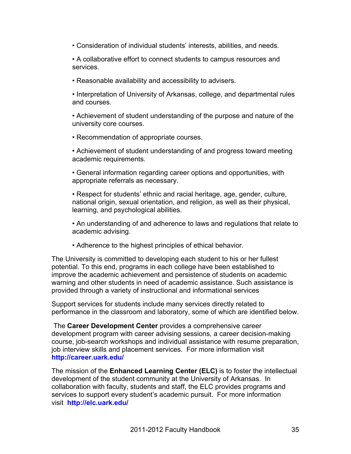• Consideration of individual students' interests, abilities, and needs.

• A collaborative effort to connect students to campus resources and services.

• Reasonable availability and accessibility to advisers.

• Interpretation of University of Arkansas, college, and departmental rules and courses.

• Achievement of student understanding of the purpose and nature of the university core courses.

- Recommendation of appropriate courses.
- Achievement of student understanding of and progress toward meeting academic requirements.
- General information regarding career options and opportunities, with appropriate referrals as necessary.

• Respect for students' ethnic and racial heritage, age, gender, culture, national origin, sexual orientation, and religion, as well as their physical, learning, and psychological abilities.

- An understanding of and adherence to laws and regulations that relate to academic advising.
- Adherence to the highest principles of ethical behavior.

The University is committed to developing each student to his or her fullest potential. To this end, programs in each college have been established to improve the academic achievement and persistence of students on academic warning and other students in need of academic assistance. Such assistance is provided through a variety of instructional and informational services

Support services for students include many services directly related to performance in the classroom and laboratory, some of which are identified below.

The **Career Development Center** provides a comprehensive career development program with career advising sessions, a career decision-making course, job-search workshops and individual assistance with resume preparation, job interview skills and placement services. For more information visit **http://career.uark.edu/**

The mission of the **Enhanced Learning Center (ELC)** is to foster the intellectual development of the student community at the University of Arkansas. In collaboration with faculty, students and staff, the ELC provides programs and services to support every student's academic pursuit. For more information visit **http://elc.uark.edu/**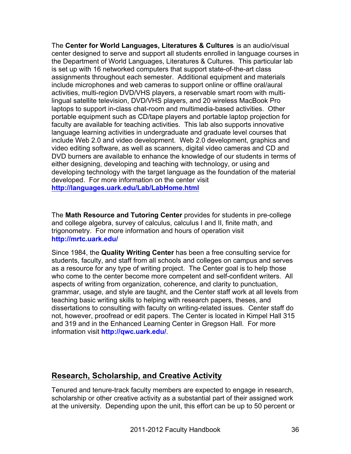The **Center for World Languages, Literatures & Cultures** is an audio/visual center designed to serve and support all students enrolled in language courses in the Department of World Languages, Literatures & Cultures. This particular lab is set up with 16 networked computers that support state-of-the-art class assignments throughout each semester. Additional equipment and materials include microphones and web cameras to support online or offline oral/aural activities, multi-region DVD/VHS players, a reservable smart room with multilingual satellite television, DVD/VHS players, and 20 wireless MacBook Pro laptops to support in-class chat-room and multimedia-based activities. Other portable equipment such as CD/tape players and portable laptop projection for faculty are available for teaching activities. This lab also supports innovative language learning activities in undergraduate and graduate level courses that include Web 2.0 and video development. Web 2.0 development, graphics and video editing software, as well as scanners, digital video cameras and CD and DVD burners are available to enhance the knowledge of our students in terms of either designing, developing and teaching with technology, or using and developing technology with the target language as the foundation of the material developed. For more information on the center visit **http://languages.uark.edu/Lab/LabHome.html**

The **Math Resource and Tutoring Center** provides for students in pre-college and college algebra, survey of calculus, calculus I and II, finite math, and trigonometry. For more information and hours of operation visit **http://mrtc.uark.edu/**

Since 1984, the **Quality Writing Center** has been a free consulting service for students, faculty, and staff from all schools and colleges on campus and serves as a resource for any type of writing project. The Center goal is to help those who come to the center become more competent and self-confident writers. All aspects of writing from organization, coherence, and clarity to punctuation, grammar, usage, and style are taught, and the Center staff work at all levels from teaching basic writing skills to helping with research papers, theses, and dissertations to consulting with faculty on writing-related issues. Center staff do not, however, proofread or edit papers. The Center is located in Kimpel Hall 315 and 319 and in the Enhanced Learning Center in Gregson Hall. For more information visit **http://qwc.uark.edu/**.

## **Research, Scholarship, and Creative Activity**

Tenured and tenure-track faculty members are expected to engage in research, scholarship or other creative activity as a substantial part of their assigned work at the university. Depending upon the unit, this effort can be up to 50 percent or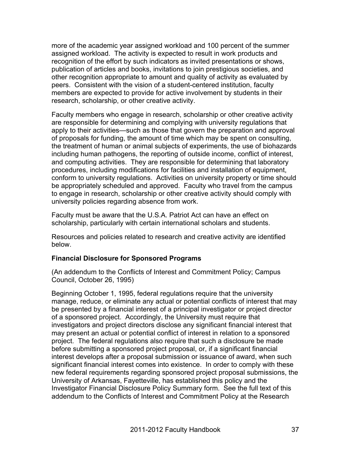more of the academic year assigned workload and 100 percent of the summer assigned workload. The activity is expected to result in work products and recognition of the effort by such indicators as invited presentations or shows, publication of articles and books, invitations to join prestigious societies, and other recognition appropriate to amount and quality of activity as evaluated by peers. Consistent with the vision of a student-centered institution, faculty members are expected to provide for active involvement by students in their research, scholarship, or other creative activity.

Faculty members who engage in research, scholarship or other creative activity are responsible for determining and complying with university regulations that apply to their activities—such as those that govern the preparation and approval of proposals for funding, the amount of time which may be spent on consulting, the treatment of human or animal subjects of experiments, the use of biohazards including human pathogens, the reporting of outside income, conflict of interest, and computing activities. They are responsible for determining that laboratory procedures, including modifications for facilities and installation of equipment, conform to university regulations. Activities on university property or time should be appropriately scheduled and approved. Faculty who travel from the campus to engage in research, scholarship or other creative activity should comply with university policies regarding absence from work.

Faculty must be aware that the U.S.A. Patriot Act can have an effect on scholarship, particularly with certain international scholars and students.

Resources and policies related to research and creative activity are identified below.

### **Financial Disclosure for Sponsored Programs**

(An addendum to the Conflicts of Interest and Commitment Policy; Campus Council, October 26, 1995)

Beginning October 1, 1995, federal regulations require that the university manage, reduce, or eliminate any actual or potential conflicts of interest that may be presented by a financial interest of a principal investigator or project director of a sponsored project. Accordingly, the University must require that investigators and project directors disclose any significant financial interest that may present an actual or potential conflict of interest in relation to a sponsored project. The federal regulations also require that such a disclosure be made before submitting a sponsored project proposal, or, if a significant financial interest develops after a proposal submission or issuance of award, when such significant financial interest comes into existence. In order to comply with these new federal requirements regarding sponsored project proposal submissions, the University of Arkansas, Fayetteville, has established this policy and the Investigator Financial Disclosure Policy Summary form. See the full text of this addendum to the Conflicts of Interest and Commitment Policy at the Research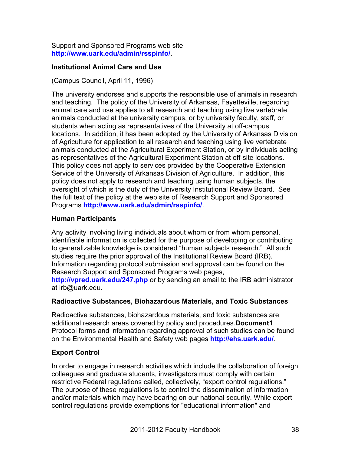Support and Sponsored Programs web site **http://www.uark.edu/admin/rsspinfo/**.

## **Institutional Animal Care and Use**

(Campus Council, April 11, 1996)

The university endorses and supports the responsible use of animals in research and teaching. The policy of the University of Arkansas, Fayetteville, regarding animal care and use applies to all research and teaching using live vertebrate animals conducted at the university campus, or by university faculty, staff, or students when acting as representatives of the University at off-campus locations. In addition, it has been adopted by the University of Arkansas Division of Agriculture for application to all research and teaching using live vertebrate animals conducted at the Agricultural Experiment Station, or by individuals acting as representatives of the Agricultural Experiment Station at off-site locations. This policy does not apply to services provided by the Cooperative Extension Service of the University of Arkansas Division of Agriculture. In addition, this policy does not apply to research and teaching using human subjects, the oversight of which is the duty of the University Institutional Review Board. See the full text of the policy at the web site of Research Support and Sponsored Programs **http://www.uark.edu/admin/rsspinfo/**.

### **Human Participants**

Any activity involving living individuals about whom or from whom personal, identifiable information is collected for the purpose of developing or contributing to generalizable knowledge is considered "human subjects research." All such studies require the prior approval of the Institutional Review Board (IRB). Information regarding protocol submission and approval can be found on the Research Support and Sponsored Programs web pages, **http://vpred.uark.edu/247.php** or by sending an email to the IRB administrator

### **Radioactive Substances, Biohazardous Materials, and Toxic Substances**

Radioactive substances, biohazardous materials, and toxic substances are additional research areas covered by policy and procedures.**Document1** Protocol forms and information regarding approval of such studies can be found on the Environmental Health and Safety web pages **http://ehs.uark.edu/**.

## **Export Control**

at irb@uark.edu.

In order to engage in research activities which include the collaboration of foreign colleagues and graduate students, investigators must comply with certain restrictive Federal regulations called, collectively, "export control regulations." The purpose of these regulations is to control the dissemination of information and/or materials which may have bearing on our national security. While export control regulations provide exemptions for "educational information" and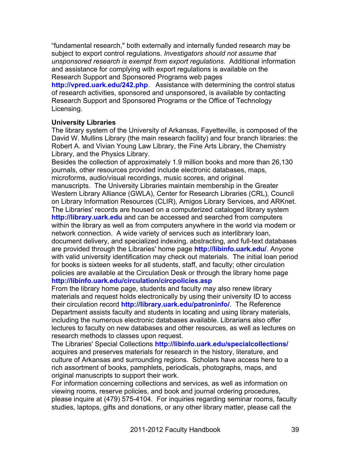"fundamental research," both externally and internally funded research may be subject to export control regulations. *Investigators should not assume that unsponsored research is exempt from export regulations.* Additional information and assistance for complying with export regulations is available on the Research Support and Sponsored Programs web pages

**http://vpred.uark.edu/242.php**. Assistance with determining the control status of research activities, sponsored and unsponsored, is available by contacting Research Support and Sponsored Programs or the Office of Technology Licensing.

### **University Libraries**

The library system of the University of Arkansas, Fayetteville, is composed of the David W. Mullins Library (the main research facility) and four branch libraries: the Robert A. and Vivian Young Law Library, the Fine Arts Library, the Chemistry Library, and the Physics Library.

Besides the collection of approximately 1.9 million books and more than 26,130 journals, other resources provided include electronic databases, maps, microforms, audio/visual recordings, music scores, and original manuscripts. The University Libraries maintain membership in the Greater Western Library Alliance (GWLA), Center for Research Libraries (CRL), Council on Library Information Resources (CLIR), Amigos Library Services, and ARKnet. The Libraries' records are housed on a computerized cataloged library system **http://library.uark.edu** and can be accessed and searched from computers within the library as well as from computers anywhere in the world via modem or network connection. A wide variety of services such as interlibrary loan, document delivery, and specialized indexing, abstracting, and full-text databases are provided through the Libraries' home page **http://libinfo.uark.edu/**. Anyone with valid university identification may check out materials. The initial loan period for books is sixteen weeks for all students, staff, and faculty; other circulation policies are available at the Circulation Desk or through the library home page **http://libinfo.uark.edu/circulation/circpolicies.asp**

From the library home page, students and faculty may also renew library materials and request holds electronically by using their university ID to access their circulation record **http://library.uark.edu/patroninfo/**. The Reference Department assists faculty and students in locating and using library materials, including the numerous electronic databases available. Librarians also offer lectures to faculty on new databases and other resources, as well as lectures on research methods to classes upon request.

The Libraries' Special Collections **http://libinfo.uark.edu/specialcollections/** acquires and preserves materials for research in the history, literature, and culture of Arkansas and surrounding regions. Scholars have access here to a rich assortment of books, pamphlets, periodicals, photographs, maps, and original manuscripts to support their work.

For information concerning collections and services, as well as information on viewing rooms, reserve policies, and book and journal ordering procedures, please inquire at (479) 575-4104. For inquiries regarding seminar rooms, faculty studies, laptops, gifts and donations, or any other library matter, please call the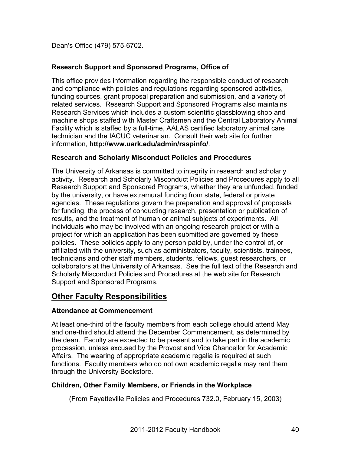Dean's Office (479) 575-6702.

# **Research Support and Sponsored Programs, Office of**

This office provides information regarding the responsible conduct of research and compliance with policies and regulations regarding sponsored activities, funding sources, grant proposal preparation and submission, and a variety of related services. Research Support and Sponsored Programs also maintains Research Services which includes a custom scientific glassblowing shop and machine shops staffed with Master Craftsmen and the Central Laboratory Animal Facility which is staffed by a full-time, AALAS certified laboratory animal care technician and the IACUC veterinarian. Consult their web site for further information, **http://www.uark.edu/admin/rsspinfo/**.

# **Research and Scholarly Misconduct Policies and Procedures**

The University of Arkansas is committed to integrity in research and scholarly activity. Research and Scholarly Misconduct Policies and Procedures apply to all Research Support and Sponsored Programs, whether they are unfunded, funded by the university, or have extramural funding from state, federal or private agencies. These regulations govern the preparation and approval of proposals for funding, the process of conducting research, presentation or publication of results, and the treatment of human or animal subjects of experiments. All individuals who may be involved with an ongoing research project or with a project for which an application has been submitted are governed by these policies. These policies apply to any person paid by, under the control of, or affiliated with the university, such as administrators, faculty, scientists, trainees, technicians and other staff members, students, fellows, guest researchers, or collaborators at the University of Arkansas. See the full text of the Research and Scholarly Misconduct Policies and Procedures at the web site for Research Support and Sponsored Programs.

# **Other Faculty Responsibilities**

# **Attendance at Commencement**

At least one-third of the faculty members from each college should attend May and one-third should attend the December Commencement, as determined by the dean. Faculty are expected to be present and to take part in the academic procession, unless excused by the Provost and Vice Chancellor for Academic Affairs. The wearing of appropriate academic regalia is required at such functions. Faculty members who do not own academic regalia may rent them through the University Bookstore.

# **Children, Other Family Members, or Friends in the Workplace**

(From Fayetteville Policies and Procedures 732.0, February 15, 2003)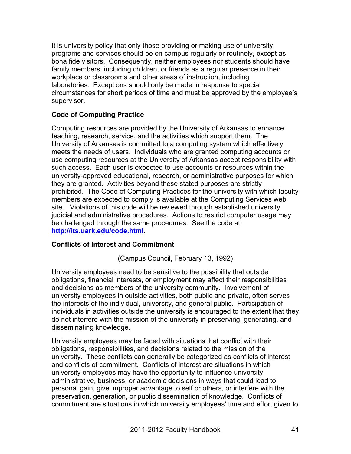It is university policy that only those providing or making use of university programs and services should be on campus regularly or routinely, except as bona fide visitors. Consequently, neither employees nor students should have family members, including children, or friends as a regular presence in their workplace or classrooms and other areas of instruction, including laboratories. Exceptions should only be made in response to special circumstances for short periods of time and must be approved by the employee's supervisor.

### **Code of Computing Practice**

Computing resources are provided by the University of Arkansas to enhance teaching, research, service, and the activities which support them. The University of Arkansas is committed to a computing system which effectively meets the needs of users. Individuals who are granted computing accounts or use computing resources at the University of Arkansas accept responsibility with such access. Each user is expected to use accounts or resources within the university-approved educational, research, or administrative purposes for which they are granted. Activities beyond these stated purposes are strictly prohibited. The Code of Computing Practices for the university with which faculty members are expected to comply is available at the Computing Services web site. Violations of this code will be reviewed through established university judicial and administrative procedures. Actions to restrict computer usage may be challenged through the same procedures. See the code at **http://its.uark.edu/code.html**.

### **Conflicts of Interest and Commitment**

(Campus Council, February 13, 1992)

University employees need to be sensitive to the possibility that outside obligations, financial interests, or employment may affect their responsibilities and decisions as members of the university community. Involvement of university employees in outside activities, both public and private, often serves the interests of the individual, university, and general public. Participation of individuals in activities outside the university is encouraged to the extent that they do not interfere with the mission of the university in preserving, generating, and disseminating knowledge.

University employees may be faced with situations that conflict with their obligations, responsibilities, and decisions related to the mission of the university. These conflicts can generally be categorized as conflicts of interest and conflicts of commitment. Conflicts of interest are situations in which university employees may have the opportunity to influence university administrative, business, or academic decisions in ways that could lead to personal gain, give improper advantage to self or others, or interfere with the preservation, generation, or public dissemination of knowledge. Conflicts of commitment are situations in which university employees' time and effort given to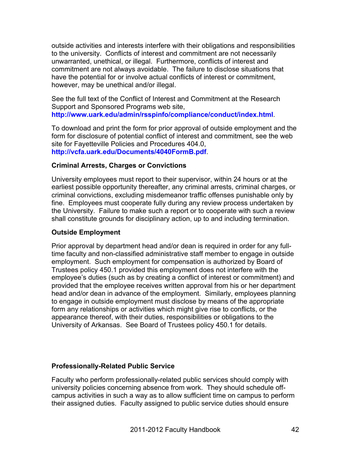outside activities and interests interfere with their obligations and responsibilities to the university. Conflicts of interest and commitment are not necessarily unwarranted, unethical, or illegal. Furthermore, conflicts of interest and commitment are not always avoidable. The failure to disclose situations that have the potential for or involve actual conflicts of interest or commitment, however, may be unethical and/or illegal.

See the full text of the Conflict of Interest and Commitment at the Research Support and Sponsored Programs web site, **http://www.uark.edu/admin/rsspinfo/compliance/conduct/index.html**.

To download and print the form for prior approval of outside employment and the form for disclosure of potential conflict of interest and commitment, see the web site for Fayetteville Policies and Procedures 404.0, **http://vcfa.uark.edu/Documents/4040FormB.pdf**.

### **Criminal Arrests, Charges or Convictions**

University employees must report to their supervisor, within 24 hours or at the earliest possible opportunity thereafter, any criminal arrests, criminal charges, or criminal convictions, excluding misdemeanor traffic offenses punishable only by fine. Employees must cooperate fully during any review process undertaken by the University. Failure to make such a report or to cooperate with such a review shall constitute grounds for disciplinary action, up to and including termination.

### **Outside Employment**

Prior approval by department head and/or dean is required in order for any fulltime faculty and non-classified administrative staff member to engage in outside employment. Such employment for compensation is authorized by Board of Trustees policy 450.1 provided this employment does not interfere with the employee's duties (such as by creating a conflict of interest or commitment) and provided that the employee receives written approval from his or her department head and/or dean in advance of the employment. Similarly, employees planning to engage in outside employment must disclose by means of the appropriate form any relationships or activities which might give rise to conflicts, or the appearance thereof, with their duties, responsibilities or obligations to the University of Arkansas. See Board of Trustees policy 450.1 for details.

## **Professionally-Related Public Service**

Faculty who perform professionally-related public services should comply with university policies concerning absence from work. They should schedule offcampus activities in such a way as to allow sufficient time on campus to perform their assigned duties. Faculty assigned to public service duties should ensure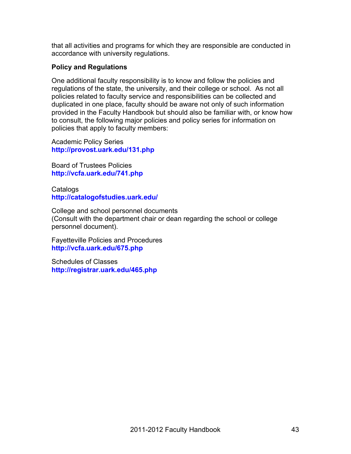that all activities and programs for which they are responsible are conducted in accordance with university regulations.

## **Policy and Regulations**

One additional faculty responsibility is to know and follow the policies and regulations of the state, the university, and their college or school. As not all policies related to faculty service and responsibilities can be collected and duplicated in one place, faculty should be aware not only of such information provided in the Faculty Handbook but should also be familiar with, or know how to consult, the following major policies and policy series for information on policies that apply to faculty members:

Academic Policy Series **http://provost.uark.edu/131.php**

Board of Trustees Policies **http://vcfa.uark.edu/741.php**

Catalogs **http://catalogofstudies.uark.edu/**

College and school personnel documents (Consult with the department chair or dean regarding the school or college personnel document).

Fayetteville Policies and Procedures **http://vcfa.uark.edu/675.php**

Schedules of Classes **http://registrar.uark.edu/465.php**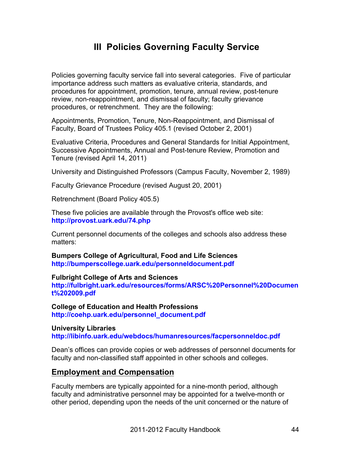# **III Policies Governing Faculty Service**

Policies governing faculty service fall into several categories. Five of particular importance address such matters as evaluative criteria, standards, and procedures for appointment, promotion, tenure, annual review, post-tenure review, non-reappointment, and dismissal of faculty; faculty grievance procedures, or retrenchment. They are the following:

Appointments, Promotion, Tenure, Non-Reappointment, and Dismissal of Faculty, Board of Trustees Policy 405.1 (revised October 2, 2001)

Evaluative Criteria, Procedures and General Standards for Initial Appointment, Successive Appointments, Annual and Post-tenure Review, Promotion and Tenure (revised April 14, 2011)

University and Distinguished Professors (Campus Faculty, November 2, 1989)

Faculty Grievance Procedure (revised August 20, 2001)

Retrenchment (Board Policy 405.5)

These five policies are available through the Provost's office web site: **http://provost.uark.edu/74.php**

Current personnel documents of the colleges and schools also address these matters:

**Bumpers College of Agricultural, Food and Life Sciences http://bumperscollege.uark.edu/personneldocument.pdf**

**Fulbright College of Arts and Sciences**

**http://fulbright.uark.edu/resources/forms/ARSC%20Personnel%20Documen t%202009.pdf**

**College of Education and Health Professions http://coehp.uark.edu/personnel\_document.pdf**

**University Libraries http://libinfo.uark.edu/webdocs/humanresources/facpersonneldoc.pdf**

Dean's offices can provide copies or web addresses of personnel documents for faculty and non-classified staff appointed in other schools and colleges.

### **Employment and Compensation**

Faculty members are typically appointed for a nine-month period, although faculty and administrative personnel may be appointed for a twelve-month or other period, depending upon the needs of the unit concerned or the nature of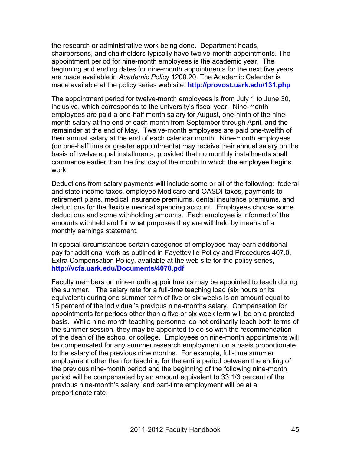the research or administrative work being done. Department heads, chairpersons, and chairholders typically have twelve-month appointments. The appointment period for nine-month employees is the academic year. The beginning and ending dates for nine-month appointments for the next five years are made available in *Academic Polic*y 1200.20. The Academic Calendar is made available at the policy series web site: **http://provost.uark.edu/131.php**

The appointment period for twelve-month employees is from July 1 to June 30, inclusive, which corresponds to the university's fiscal year. Nine-month employees are paid a one-half month salary for August, one-ninth of the ninemonth salary at the end of each month from September through April, and the remainder at the end of May. Twelve-month employees are paid one-twelfth of their annual salary at the end of each calendar month. Nine-month employees (on one-half time or greater appointments) may receive their annual salary on the basis of twelve equal installments, provided that no monthly installments shall commence earlier than the first day of the month in which the employee begins work.

Deductions from salary payments will include some or all of the following: federal and state income taxes, employee Medicare and OASDI taxes, payments to retirement plans, medical insurance premiums, dental insurance premiums, and deductions for the flexible medical spending account. Employees choose some deductions and some withholding amounts. Each employee is informed of the amounts withheld and for what purposes they are withheld by means of a monthly earnings statement.

In special circumstances certain categories of employees may earn additional pay for additional work as outlined in Fayetteville Policy and Procedures 407.0, Extra Compensation Policy, available at the web site for the policy series, **http://vcfa.uark.edu/Documents/4070.pdf**

Faculty members on nine-month appointments may be appointed to teach during the summer. The salary rate for a full-time teaching load (six hours or its equivalent) during one summer term of five or six weeks is an amount equal to 15 percent of the individual's previous nine-months salary. Compensation for appointments for periods other than a five or six week term will be on a prorated basis. While nine-month teaching personnel do not ordinarily teach both terms of the summer session, they may be appointed to do so with the recommendation of the dean of the school or college. Employees on nine-month appointments will be compensated for any summer research employment on a basis proportionate to the salary of the previous nine months. For example, full-time summer employment other than for teaching for the entire period between the ending of the previous nine-month period and the beginning of the following nine-month period will be compensated by an amount equivalent to 33 1/3 percent of the previous nine-month's salary, and part-time employment will be at a proportionate rate.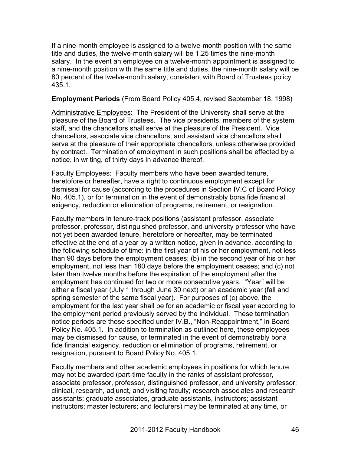If a nine-month employee is assigned to a twelve-month position with the same title and duties, the twelve-month salary will be 1.25 times the nine-month salary. In the event an employee on a twelve-month appointment is assigned to a nine-month position with the same title and duties, the nine-month salary will be 80 percent of the twelve-month salary, consistent with Board of Trustees policy 435.1.

### **Employment Periods** (From Board Policy 405.4, revised September 18, 1998)

Administrative Employees: The President of the University shall serve at the pleasure of the Board of Trustees. The vice presidents, members of the system staff, and the chancellors shall serve at the pleasure of the President. Vice chancellors, associate vice chancellors, and assistant vice chancellors shall serve at the pleasure of their appropriate chancellors, unless otherwise provided by contract. Termination of employment in such positions shall be effected by a notice, in writing, of thirty days in advance thereof.

Faculty Employees: Faculty members who have been awarded tenure, heretofore or hereafter, have a right to continuous employment except for dismissal for cause (according to the procedures in Section IV.C of Board Policy No. 405.1), or for termination in the event of demonstrably bona fide financial exigency, reduction or elimination of programs, retirement, or resignation.

Faculty members in tenure-track positions (assistant professor, associate professor, professor, distinguished professor, and university professor who have not yet been awarded tenure, heretofore or hereafter, may be terminated effective at the end of a year by a written notice, given in advance, according to the following schedule of time: in the first year of his or her employment, not less than 90 days before the employment ceases; (b) in the second year of his or her employment, not less than 180 days before the employment ceases; and (c) not later than twelve months before the expiration of the employment after the employment has continued for two or more consecutive years. "Year" will be either a fiscal year (July 1 through June 30 next) or an academic year (fall and spring semester of the same fiscal year). For purposes of (c) above, the employment for the last year shall be for an academic or fiscal year according to the employment period previously served by the individual. These termination notice periods are those specified under IV.B., "Non-Reappointment," in Board Policy No. 405.1. In addition to termination as outlined here, these employees may be dismissed for cause, or terminated in the event of demonstrably bona fide financial exigency, reduction or elimination of programs, retirement, or resignation, pursuant to Board Policy No. 405.1.

Faculty members and other academic employees in positions for which tenure may not be awarded (part-time faculty in the ranks of assistant professor, associate professor, professor, distinguished professor, and university professor; clinical, research, adjunct, and visiting faculty; research associates and research assistants; graduate associates, graduate assistants, instructors; assistant instructors; master lecturers; and lecturers) may be terminated at any time, or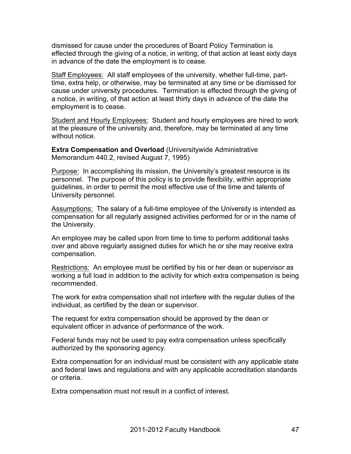dismissed for cause under the procedures of Board Policy Termination is effected through the giving of a notice, in writing, of that action at least sixty days in advance of the date the employment is to cease.

Staff Employees: All staff employees of the university, whether full-time, parttime, extra help, or otherwise, may be terminated at any time or be dismissed for cause under university procedures. Termination is effected through the giving of a notice, in writing, of that action at least thirty days in advance of the date the employment is to cease.

Student and Hourly Employees: Student and hourly employees are hired to work at the pleasure of the university and, therefore, may be terminated at any time without notice.

**Extra Compensation and Overload** (Universitywide Administrative Memorandum 440.2, revised August 7, 1995)

Purpose: In accomplishing its mission, the University's greatest resource is its personnel. The purpose of this policy is to provide flexibility, within appropriate guidelines, in order to permit the most effective use of the time and talents of University personnel.

Assumptions: The salary of a full-time employee of the University is intended as compensation for all regularly assigned activities performed for or in the name of the University.

An employee may be called upon from time to time to perform additional tasks over and above regularly assigned duties for which he or she may receive extra compensation.

Restrictions: An employee must be certified by his or her dean or supervisor as working a full load in addition to the activity for which extra compensation is being recommended.

The work for extra compensation shall not interfere with the regular duties of the individual, as certified by the dean or supervisor.

The request for extra compensation should be approved by the dean or equivalent officer in advance of performance of the work.

Federal funds may not be used to pay extra compensation unless specifically authorized by the sponsoring agency.

Extra compensation for an individual must be consistent with any applicable state and federal laws and regulations and with any applicable accreditation standards or criteria.

Extra compensation must not result in a conflict of interest.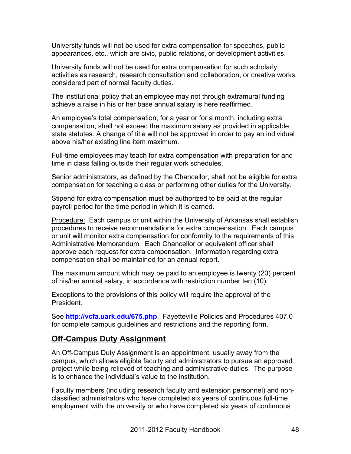University funds will not be used for extra compensation for speeches, public appearances, etc., which are civic, public relations, or development activities.

University funds will not be used for extra compensation for such scholarly activities as research, research consultation and collaboration, or creative works considered part of normal faculty duties.

The institutional policy that an employee may not through extramural funding achieve a raise in his or her base annual salary is here reaffirmed.

An employee's total compensation, for a year or for a month, including extra compensation, shall not exceed the maximum salary as provided in applicable state statutes. A change of title will not be approved in order to pay an individual above his/her existing line item maximum.

Full-time employees may teach for extra compensation with preparation for and time in class falling outside their regular work schedules.

Senior administrators, as defined by the Chancellor, shall not be eligible for extra compensation for teaching a class or performing other duties for the University.

Stipend for extra compensation must be authorized to be paid at the regular payroll period for the time period in which it is earned.

Procedure: Each campus or unit within the University of Arkansas shall establish procedures to receive recommendations for extra compensation. Each campus or unit will monitor extra compensation for conformity to the requirements of this Administrative Memorandum. Each Chancellor or equivalent officer shall approve each request for extra compensation. Information regarding extra compensation shall be maintained for an annual report.

The maximum amount which may be paid to an employee is twenty (20) percent of his/her annual salary, in accordance with restriction number ten (10).

Exceptions to the provisions of this policy will require the approval of the President.

See **http://vcfa.uark.edu/675.php**. Fayetteville Policies and Procedures 407.0 for complete campus guidelines and restrictions and the reporting form.

# **Off-Campus Duty Assignment**

An Off-Campus Duty Assignment is an appointment, usually away from the campus, which allows eligible faculty and administrators to pursue an approved project while being relieved of teaching and administrative duties. The purpose is to enhance the individual's value to the institution.

Faculty members (including research faculty and extension personnel) and nonclassified administrators who have completed six years of continuous full-time employment with the university or who have completed six years of continuous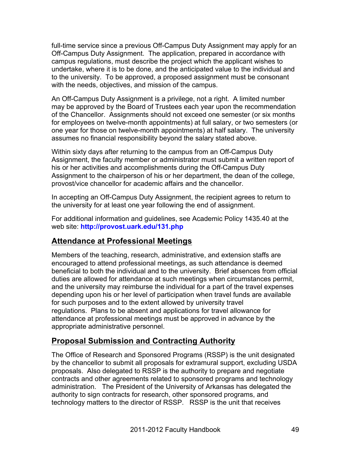full-time service since a previous Off-Campus Duty Assignment may apply for an Off-Campus Duty Assignment. The application, prepared in accordance with campus regulations, must describe the project which the applicant wishes to undertake, where it is to be done, and the anticipated value to the individual and to the university. To be approved, a proposed assignment must be consonant with the needs, objectives, and mission of the campus.

An Off-Campus Duty Assignment is a privilege, not a right. A limited number may be approved by the Board of Trustees each year upon the recommendation of the Chancellor. Assignments should not exceed one semester (or six months for employees on twelve-month appointments) at full salary, or two semesters (or one year for those on twelve-month appointments) at half salary. The university assumes no financial responsibility beyond the salary stated above.

Within sixty days after returning to the campus from an Off-Campus Duty Assignment, the faculty member or administrator must submit a written report of his or her activities and accomplishments during the Off-Campus Duty Assignment to the chairperson of his or her department, the dean of the college, provost/vice chancellor for academic affairs and the chancellor.

In accepting an Off-Campus Duty Assignment, the recipient agrees to return to the university for at least one year following the end of assignment.

For additional information and guidelines, see Academic Policy 1435.40 at the web site: **http://provost.uark.edu/131.php**

# **Attendance at Professional Meetings**

Members of the teaching, research, administrative, and extension staffs are encouraged to attend professional meetings, as such attendance is deemed beneficial to both the individual and to the university. Brief absences from official duties are allowed for attendance at such meetings when circumstances permit, and the university may reimburse the individual for a part of the travel expenses depending upon his or her level of participation when travel funds are available for such purposes and to the extent allowed by university travel regulations. Plans to be absent and applications for travel allowance for attendance at professional meetings must be approved in advance by the appropriate administrative personnel.

# **Proposal Submission and Contracting Authority**

The Office of Research and Sponsored Programs (RSSP) is the unit designated by the chancellor to submit all proposals for extramural support, excluding USDA proposals. Also delegated to RSSP is the authority to prepare and negotiate contracts and other agreements related to sponsored programs and technology administration. The President of the University of Arkansas has delegated the authority to sign contracts for research, other sponsored programs, and technology matters to the director of RSSP. RSSP is the unit that receives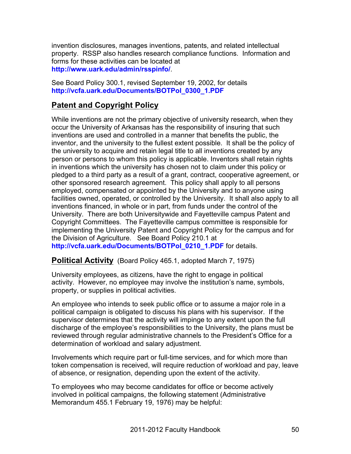invention disclosures, manages inventions, patents, and related intellectual property. RSSP also handles research compliance functions. Information and forms for these activities can be located at **http://www.uark.edu/admin/rsspinfo/**.

See Board Policy 300.1, revised September 19, 2002, for details **http://vcfa.uark.edu/Documents/BOTPol\_0300\_1.PDF**

# **Patent and Copyright Policy**

While inventions are not the primary objective of university research, when they occur the University of Arkansas has the responsibility of insuring that such inventions are used and controlled in a manner that benefits the public, the inventor, and the university to the fullest extent possible. It shall be the policy of the university to acquire and retain legal title to all inventions created by any person or persons to whom this policy is applicable. Inventors shall retain rights in inventions which the university has chosen not to claim under this policy or pledged to a third party as a result of a grant, contract, cooperative agreement, or other sponsored research agreement. This policy shall apply to all persons employed, compensated or appointed by the University and to anyone using facilities owned, operated, or controlled by the University. It shall also apply to all inventions financed, in whole or in part, from funds under the control of the University. There are both Universitywide and Fayetteville campus Patent and Copyright Committees. The Fayetteville campus committee is responsible for implementing the University Patent and Copyright Policy for the campus and for the Division of Agriculture. See Board Policy 210.1 at **http://vcfa.uark.edu/Documents/BOTPol\_0210\_1.PDF** for details.

**Political Activity** (Board Policy 465.1, adopted March 7, 1975)

University employees, as citizens, have the right to engage in political activity. However, no employee may involve the institution's name, symbols, property, or supplies in political activities.

An employee who intends to seek public office or to assume a major role in a political campaign is obligated to discuss his plans with his supervisor. If the supervisor determines that the activity will impinge to any extent upon the full discharge of the employee's responsibilities to the University, the plans must be reviewed through regular administrative channels to the President's Office for a determination of workload and salary adjustment.

Involvements which require part or full-time services, and for which more than token compensation is received, will require reduction of workload and pay, leave of absence, or resignation, depending upon the extent of the activity.

To employees who may become candidates for office or become actively involved in political campaigns, the following statement (Administrative Memorandum 455.1 February 19, 1976) may be helpful: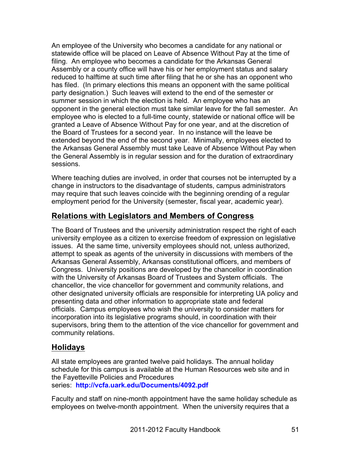An employee of the University who becomes a candidate for any national or statewide office will be placed on Leave of Absence Without Pay at the time of filing. An employee who becomes a candidate for the Arkansas General Assembly or a county office will have his or her employment status and salary reduced to halftime at such time after filing that he or she has an opponent who has filed. (In primary elections this means an opponent with the same political party designation.) Such leaves will extend to the end of the semester or summer session in which the election is held. An employee who has an opponent in the general election must take similar leave for the fall semester. An employee who is elected to a full-time county, statewide or national office will be granted a Leave of Absence Without Pay for one year, and at the discretion of the Board of Trustees for a second year. In no instance will the leave be extended beyond the end of the second year. Minimally, employees elected to the Arkansas General Assembly must take Leave of Absence Without Pay when the General Assembly is in regular session and for the duration of extraordinary sessions.

Where teaching duties are involved, in order that courses not be interrupted by a change in instructors to the disadvantage of students, campus administrators may require that such leaves coincide with the beginning orending of a regular employment period for the University (semester, fiscal year, academic year).

# **Relations with Legislators and Members of Congress**

The Board of Trustees and the university administration respect the right of each university employee as a citizen to exercise freedom of expression on legislative issues. At the same time, university employees should not, unless authorized, attempt to speak as agents of the university in discussions with members of the Arkansas General Assembly, Arkansas constitutional officers, and members of Congress. University positions are developed by the chancellor in coordination with the University of Arkansas Board of Trustees and System officials. The chancellor, the vice chancellor for government and community relations, and other designated university officials are responsible for interpreting UA policy and presenting data and other information to appropriate state and federal officials. Campus employees who wish the university to consider matters for incorporation into its legislative programs should, in coordination with their supervisors, bring them to the attention of the vice chancellor for government and community relations.

# **Holidays**

All state employees are granted twelve paid holidays. The annual holiday schedule for this campus is available at the Human Resources web site and in the Fayetteville Policies and Procedures series: **http://vcfa.uark.edu/Documents/4092.pdf**

Faculty and staff on nine-month appointment have the same holiday schedule as employees on twelve-month appointment. When the university requires that a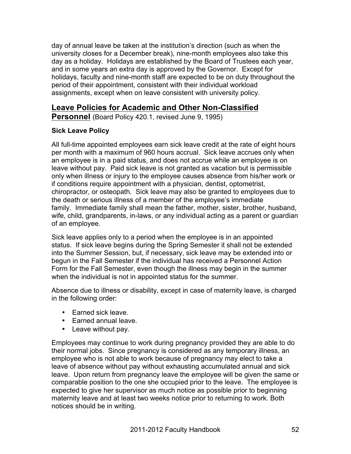day of annual leave be taken at the institution's direction (such as when the university closes for a December break), nine-month employees also take this day as a holiday. Holidays are established by the Board of Trustees each year, and in some years an extra day is approved by the Governor. Except for holidays, faculty and nine-month staff are expected to be on duty throughout the period of their appointment, consistent with their individual workload assignments, except when on leave consistent with university policy.

# **Leave Policies for Academic and Other Non-Classified**

**Personnel** (Board Policy 420.1, revised June 9, 1995)

## **Sick Leave Policy**

All full-time appointed employees earn sick leave credit at the rate of eight hours per month with a maximum of 960 hours accrual. Sick leave accrues only when an employee is in a paid status, and does not accrue while an employee is on leave without pay. Paid sick leave is not granted as vacation but is permissible only when illness or injury to the employee causes absence from his/her work or if conditions require appointment with a physician, dentist, optometrist, chiropractor, or osteopath. Sick leave may also be granted to employees due to the death or serious illness of a member of the employee's immediate family. Immediate family shall mean the father, mother, sister, brother, husband, wife, child, grandparents, in-laws, or any individual acting as a parent or guardian of an employee.

Sick leave applies only to a period when the employee is in an appointed status. If sick leave begins during the Spring Semester it shall not be extended into the Summer Session, but, if necessary, sick leave may be extended into or begun in the Fall Semester if the individual has received a Personnel Action Form for the Fall Semester, even though the illness may begin in the summer when the individual is not in appointed status for the summer.

Absence due to illness or disability, except in case of maternity leave, is charged in the following order:

- Earned sick leave.
- Earned annual leave.
- Leave without pay.

Employees may continue to work during pregnancy provided they are able to do their normal jobs. Since pregnancy is considered as any temporary illness, an employee who is not able to work because of pregnancy may elect to take a leave of absence without pay without exhausting accumulated annual and sick leave. Upon return from pregnancy leave the employee will be given the same or comparable position to the one she occupied prior to the leave. The employee is expected to give her supervisor as much notice as possible prior to beginning maternity leave and at least two weeks notice prior to returning to work. Both notices should be in writing.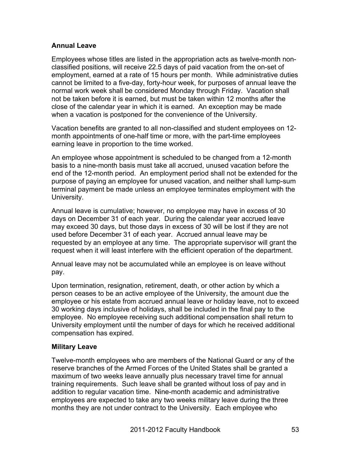## **Annual Leave**

Employees whose titles are listed in the appropriation acts as twelve-month nonclassified positions, will receive 22.5 days of paid vacation from the on-set of employment, earned at a rate of 15 hours per month. While administrative duties cannot be limited to a five-day, forty-hour week, for purposes of annual leave the normal work week shall be considered Monday through Friday. Vacation shall not be taken before it is earned, but must be taken within 12 months after the close of the calendar year in which it is earned. An exception may be made when a vacation is postponed for the convenience of the University.

Vacation benefits are granted to all non-classified and student employees on 12 month appointments of one-half time or more, with the part-time employees earning leave in proportion to the time worked.

An employee whose appointment is scheduled to be changed from a 12-month basis to a nine-month basis must take all accrued, unused vacation before the end of the 12-month period. An employment period shall not be extended for the purpose of paying an employee for unused vacation, and neither shall lump-sum terminal payment be made unless an employee terminates employment with the University.

Annual leave is cumulative; however, no employee may have in excess of 30 days on December 31 of each year. During the calendar year accrued leave may exceed 30 days, but those days in excess of 30 will be lost if they are not used before December 31 of each year. Accrued annual leave may be requested by an employee at any time. The appropriate supervisor will grant the request when it will least interfere with the efficient operation of the department.

Annual leave may not be accumulated while an employee is on leave without pay.

Upon termination, resignation, retirement, death, or other action by which a person ceases to be an active employee of the University, the amount due the employee or his estate from accrued annual leave or holiday leave, not to exceed 30 working days inclusive of holidays, shall be included in the final pay to the employee. No employee receiving such additional compensation shall return to University employment until the number of days for which he received additional compensation has expired.

## **Military Leave**

Twelve-month employees who are members of the National Guard or any of the reserve branches of the Armed Forces of the United States shall be granted a maximum of two weeks leave annually plus necessary travel time for annual training requirements. Such leave shall be granted without loss of pay and in addition to regular vacation time. Nine-month academic and administrative employees are expected to take any two weeks military leave during the three months they are not under contract to the University. Each employee who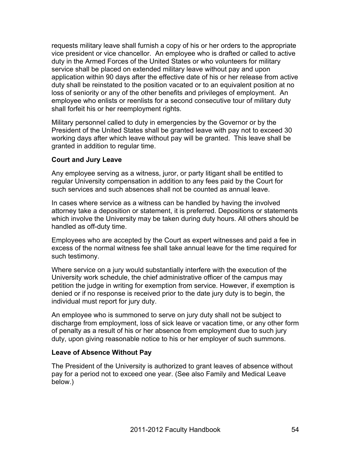requests military leave shall furnish a copy of his or her orders to the appropriate vice president or vice chancellor. An employee who is drafted or called to active duty in the Armed Forces of the United States or who volunteers for military service shall be placed on extended military leave without pay and upon application within 90 days after the effective date of his or her release from active duty shall be reinstated to the position vacated or to an equivalent position at no loss of seniority or any of the other benefits and privileges of employment. An employee who enlists or reenlists for a second consecutive tour of military duty shall forfeit his or her reemployment rights.

Military personnel called to duty in emergencies by the Governor or by the President of the United States shall be granted leave with pay not to exceed 30 working days after which leave without pay will be granted. This leave shall be granted in addition to regular time.

### **Court and Jury Leave**

Any employee serving as a witness, juror, or party litigant shall be entitled to regular University compensation in addition to any fees paid by the Court for such services and such absences shall not be counted as annual leave.

In cases where service as a witness can be handled by having the involved attorney take a deposition or statement, it is preferred. Depositions or statements which involve the University may be taken during duty hours. All others should be handled as off-duty time.

Employees who are accepted by the Court as expert witnesses and paid a fee in excess of the normal witness fee shall take annual leave for the time required for such testimony.

Where service on a jury would substantially interfere with the execution of the University work schedule, the chief administrative officer of the campus may petition the judge in writing for exemption from service. However, if exemption is denied or if no response is received prior to the date jury duty is to begin, the individual must report for jury duty.

An employee who is summoned to serve on jury duty shall not be subject to discharge from employment, loss of sick leave or vacation time, or any other form of penalty as a result of his or her absence from employment due to such jury duty, upon giving reasonable notice to his or her employer of such summons.

### **Leave of Absence Without Pay**

The President of the University is authorized to grant leaves of absence without pay for a period not to exceed one year. (See also Family and Medical Leave below.)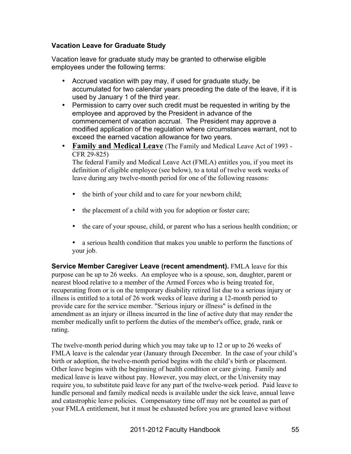## **Vacation Leave for Graduate Study**

Vacation leave for graduate study may be granted to otherwise eligible employees under the following terms:

- Accrued vacation with pay may, if used for graduate study, be accumulated for two calendar years preceding the date of the leave, if it is used by January 1 of the third year.
- Permission to carry over such credit must be requested in writing by the employee and approved by the President in advance of the commencement of vacation accrual. The President may approve a modified application of the regulation where circumstances warrant, not to exceed the earned vacation allowance for two years.
- **Family and Medical Leave** (The Family and Medical Leave Act of 1993 CFR 29-825)

The federal Family and Medical Leave Act (FMLA) entitles you, if you meet its definition of eligible employee (see below), to a total of twelve work weeks of leave during any twelve-month period for one of the following reasons:

- the birth of your child and to care for your newborn child;
- the placement of a child with you for adoption or foster care;
- the care of your spouse, child, or parent who has a serious health condition; or
- a serious health condition that makes you unable to perform the functions of your job.

**Service Member Caregiver Leave (recent amendment).** FMLA leave for this purpose can be up to 26 weeks. An employee who is a spouse, son, daughter, parent or nearest blood relative to a member of the Armed Forces who is being treated for, recuperating from or is on the temporary disability retired list due to a serious injury or illness is entitled to a total of 26 work weeks of leave during a 12-month period to provide care for the service member. "Serious injury or illness" is defined in the amendment as an injury or illness incurred in the line of active duty that may render the member medically unfit to perform the duties of the member's office, grade, rank or rating.

The twelve-month period during which you may take up to 12 or up to 26 weeks of FMLA leave is the calendar year (January through December. In the case of your child's birth or adoption, the twelve-month period begins with the child's birth or placement. Other leave begins with the beginning of health condition or care giving. Family and medical leave is leave without pay. However, you may elect, or the University may require you, to substitute paid leave for any part of the twelve-week period. Paid leave to handle personal and family medical needs is available under the sick leave, annual leave and catastrophic leave policies. Compensatory time off may not be counted as part of your FMLA entitlement, but it must be exhausted before you are granted leave without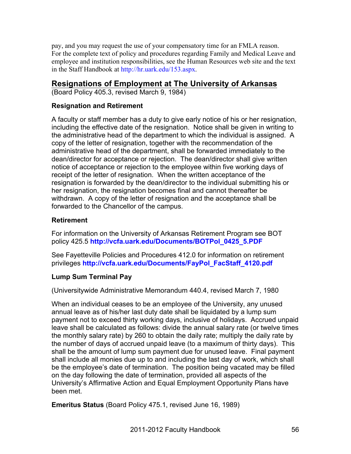pay, and you may request the use of your compensatory time for an FMLA reason. For the complete text of policy and procedures regarding Family and Medical Leave and employee and institution responsibilities, see the Human Resources web site and the text in the Staff Handbook at http://hr.uark.edu/153.aspx.

# **Resignations of Employment at The University of Arkansas**

(Board Policy 405.3, revised March 9, 1984)

## **Resignation and Retirement**

A faculty or staff member has a duty to give early notice of his or her resignation, including the effective date of the resignation. Notice shall be given in writing to the administrative head of the department to which the individual is assigned. A copy of the letter of resignation, together with the recommendation of the administrative head of the department, shall be forwarded immediately to the dean/director for acceptance or rejection. The dean/director shall give written notice of acceptance or rejection to the employee within five working days of receipt of the letter of resignation. When the written acceptance of the resignation is forwarded by the dean/director to the individual submitting his or her resignation, the resignation becomes final and cannot thereafter be withdrawn. A copy of the letter of resignation and the acceptance shall be forwarded to the Chancellor of the campus.

# **Retirement**

For information on the University of Arkansas Retirement Program see BOT policy 425.5 **http://vcfa.uark.edu/Documents/BOTPol\_0425\_5.PDF**

See Fayetteville Policies and Procedures 412.0 for information on retirement privileges **http://vcfa.uark.edu/Documents/FayPol\_FacStaff\_4120.pdf**

# **Lump Sum Terminal Pay**

(Universitywide Administrative Memorandum 440.4, revised March 7, 1980

When an individual ceases to be an employee of the University, any unused annual leave as of his/her last duty date shall be liquidated by a lump sum payment not to exceed thirty working days, inclusive of holidays. Accrued unpaid leave shall be calculated as follows: divide the annual salary rate (or twelve times the monthly salary rate) by 260 to obtain the daily rate; multiply the daily rate by the number of days of accrued unpaid leave (to a maximum of thirty days). This shall be the amount of lump sum payment due for unused leave. Final payment shall include all monies due up to and including the last day of work, which shall be the employee's date of termination. The position being vacated may be filled on the day following the date of termination, provided all aspects of the University's Affirmative Action and Equal Employment Opportunity Plans have been met.

**Emeritus Status** (Board Policy 475.1, revised June 16, 1989)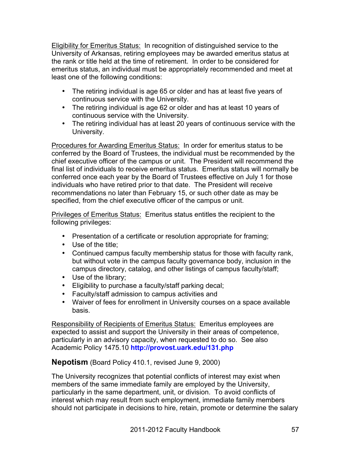Eligibility for Emeritus Status: In recognition of distinguished service to the University of Arkansas, retiring employees may be awarded emeritus status at the rank or title held at the time of retirement. In order to be considered for emeritus status, an individual must be appropriately recommended and meet at least one of the following conditions:

- The retiring individual is age 65 or older and has at least five years of continuous service with the University.
- The retiring individual is age 62 or older and has at least 10 years of continuous service with the University.
- The retiring individual has at least 20 years of continuous service with the University.

Procedures for Awarding Emeritus Status: In order for emeritus status to be conferred by the Board of Trustees, the individual must be recommended by the chief executive officer of the campus or unit. The President will recommend the final list of individuals to receive emeritus status. Emeritus status will normally be conferred once each year by the Board of Trustees effective on July 1 for those individuals who have retired prior to that date. The President will receive recommendations no later than February 15, or such other date as may be specified, from the chief executive officer of the campus or unit.

Privileges of Emeritus Status: Emeritus status entitles the recipient to the following privileges:

- Presentation of a certificate or resolution appropriate for framing;
- Use of the title;
- Continued campus faculty membership status for those with faculty rank, but without vote in the campus faculty governance body, inclusion in the campus directory, catalog, and other listings of campus faculty/staff;
- Use of the library;
- Eligibility to purchase a faculty/staff parking decal;
- Faculty/staff admission to campus activities and
- Waiver of fees for enrollment in University courses on a space available basis.

Responsibility of Recipients of Emeritus Status: Emeritus employees are expected to assist and support the University in their areas of competence, particularly in an advisory capacity, when requested to do so. See also Academic Policy 1475.10 **http://provost.uark.edu/131.php**

**Nepotism** (Board Policy 410.1, revised June 9, 2000)

The University recognizes that potential conflicts of interest may exist when members of the same immediate family are employed by the University, particularly in the same department, unit, or division. To avoid conflicts of interest which may result from such employment, immediate family members should not participate in decisions to hire, retain, promote or determine the salary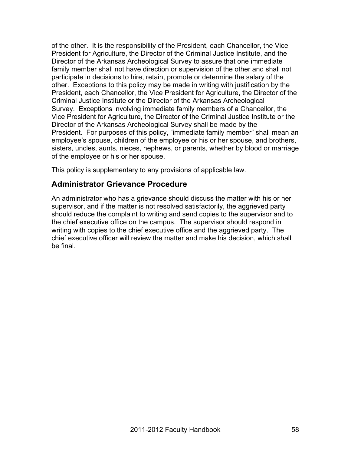of the other. It is the responsibility of the President, each Chancellor, the Vice President for Agriculture, the Director of the Criminal Justice Institute, and the Director of the Arkansas Archeological Survey to assure that one immediate family member shall not have direction or supervision of the other and shall not participate in decisions to hire, retain, promote or determine the salary of the other. Exceptions to this policy may be made in writing with justification by the President, each Chancellor, the Vice President for Agriculture, the Director of the Criminal Justice Institute or the Director of the Arkansas Archeological Survey. Exceptions involving immediate family members of a Chancellor, the Vice President for Agriculture, the Director of the Criminal Justice Institute or the Director of the Arkansas Archeological Survey shall be made by the President. For purposes of this policy, "immediate family member" shall mean an employee's spouse, children of the employee or his or her spouse, and brothers, sisters, uncles, aunts, nieces, nephews, or parents, whether by blood or marriage of the employee or his or her spouse.

This policy is supplementary to any provisions of applicable law.

# **Administrator Grievance Procedure**

An administrator who has a grievance should discuss the matter with his or her supervisor, and if the matter is not resolved satisfactorily, the aggrieved party should reduce the complaint to writing and send copies to the supervisor and to the chief executive office on the campus. The supervisor should respond in writing with copies to the chief executive office and the aggrieved party. The chief executive officer will review the matter and make his decision, which shall be final.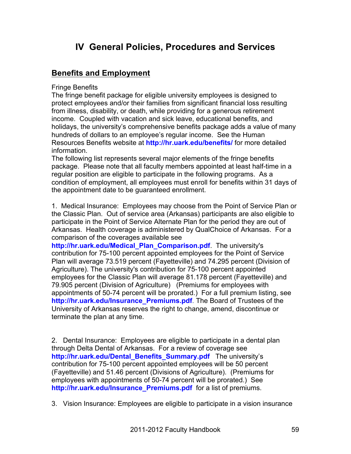# **IV General Policies, Procedures and Services**

# **Benefits and Employment**

Fringe Benefits

The fringe benefit package for eligible university employees is designed to protect employees and/or their families from significant financial loss resulting from illness, disability, or death, while providing for a generous retirement income. Coupled with vacation and sick leave, educational benefits, and holidays, the university's comprehensive benefits package adds a value of many hundreds of dollars to an employee's regular income. See the Human Resources Benefits website at **http://hr.uark.edu/benefits/** for more detailed information.

The following list represents several major elements of the fringe benefits package. Please note that all faculty members appointed at least half-time in a regular position are eligible to participate in the following programs. As a condition of employment, all employees must enroll for benefits within 31 days of the appointment date to be guaranteed enrollment.

1. Medical Insurance: Employees may choose from the Point of Service Plan or the Classic Plan. Out of service area (Arkansas) participants are also eligible to participate in the Point of Service Alternate Plan for the period they are out of Arkansas. Health coverage is administered by QualChoice of Arkansas. For a comparison of the coverages available see

**http://hr.uark.edu/Medical\_Plan\_Comparison.pdf**. The university's contribution for 75-100 percent appointed employees for the Point of Service Plan will average 73.519 percent (Fayetteville) and 74.295 percent (Division of Agriculture). The university's contribution for 75-100 percent appointed employees for the Classic Plan will average 81.178 percent (Fayetteville) and 79.905 percent (Division of Agriculture) (Premiums for employees with appointments of 50-74 percent will be prorated.) For a full premium listing, see **http://hr.uark.edu/Insurance\_Premiums.pdf**. The Board of Trustees of the University of Arkansas reserves the right to change, amend, discontinue or terminate the plan at any time.

2. Dental Insurance: Employees are eligible to participate in a dental plan through Delta Dental of Arkansas. For a review of coverage see **http://hr.uark.edu/Dental\_Benefits\_Summary.pdf** The university's contribution for 75-100 percent appointed employees will be 50 percent (Fayetteville) and 51.46 percent (Divisions of Agriculture). (Premiums for employees with appointments of 50-74 percent will be prorated.) See **http://hr.uark.edu/Insurance\_Premiums.pdf** for a list of premiums.

3. Vision Insurance: Employees are eligible to participate in a vision insurance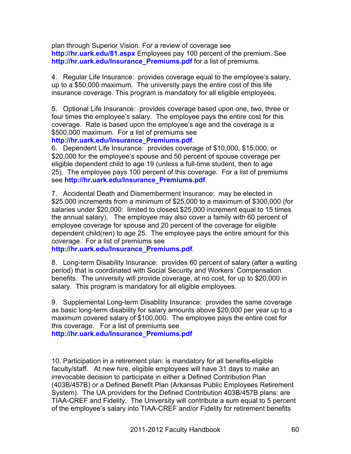plan through Superior Vision. For a review of coverage see **http://hr.uark.edu/81.aspx** Employees pay 100 percent of the premium. See **http://hr.uark.edu/Insurance\_Premiums.pdf** for a list of premiums.

4. Regular Life Insurance: provides coverage equal to the employee's salary, up to a \$50,000 maximum. The university pays the entire cost of this life insurance coverage. This program is mandatory for all eligible employees.

5. Optional Life Insurance: provides coverage based upon one, two, three or four times the employee's salary. The employee pays the entire cost for this coverage. Rate is based upon the employee's age and the coverage is a \$500,000 maximum. For a list of premiums see

### **http://hr.uark.edu/Insurance\_Premiums.pdf**.

6. Dependent Life Insurance: provides coverage of \$10,000, \$15,000, or \$20,000 for the employee's spouse and 50 percent of spouse coverage per eligible dependent child to age 19 (unless a full-time student, then to age 25). The employee pays 100 percent of this coverage. For a list of premiums see **http://hr.uark.edu/Insurance\_Premiums.pdf**.

7. Accidental Death and Dismemberment Insurance: may be elected in \$25,000 increments from a minimum of \$25,000 to a maximum of \$300,000 (for salaries under \$20,000: limited to closest \$25,000 increment equal to 15 times the annual salary). The employee may also cover a family with 60 percent of employee coverage for spouse and 20 percent of the coverage for eligible dependent child(ren) to age 25. The employee pays the entire amount for this coverage. For a list of premiums see

**http://hr.uark.edu/Insurance\_Premiums.pdf**.

8. Long-term Disability Insurance: provides 60 percent of salary (after a waiting period) that is coordinated with Social Security and Workers' Compensation benefits. The university will provide coverage, at no cost, for up to \$20,000 in salary. This program is mandatory for all eligible employees.

9. Supplemental Long-term Disability Insurance: provides the same coverage as basic long-term disability for salary amounts above \$20,000 per year up to a maximum covered salary of \$100,000. The employee pays the entire cost for this coverage. For a list of premiums see **http://hr.uark.edu/Insurance\_Premiums.pdf**

10. Participation in a retirement plan: is mandatory for all benefits-eligible faculty/staff. At new hire, eligible employees will have 31 days to make an irrevocable decision to participate in either a Defined Contribution Plan (403B/457B) or a Defined Benefit Plan (Arkansas Public Employees Retirement System). The UA providers for the Defined Contribution 403B/457B plans: are TIAA-CREF and Fidelity. The University will contribute a sum equal to 5 percent of the employee's salary into TIAA-CREF and/or Fidelity for retirement benefits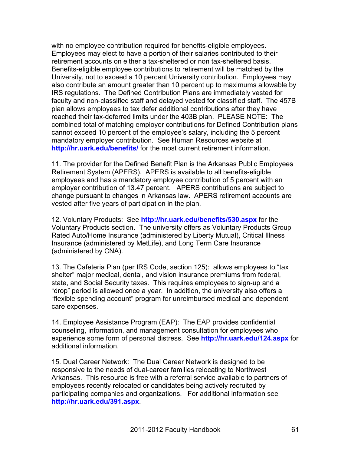with no employee contribution required for benefits-eligible employees. Employees may elect to have a portion of their salaries contributed to their retirement accounts on either a tax-sheltered or non tax-sheltered basis. Benefits-eligible employee contributions to retirement will be matched by the University, not to exceed a 10 percent University contribution. Employees may also contribute an amount greater than 10 percent up to maximums allowable by IRS regulations. The Defined Contribution Plans are immediately vested for faculty and non-classified staff and delayed vested for classified staff. The 457B plan allows employees to tax defer additional contributions after they have reached their tax-deferred limits under the 403B plan. PLEASE NOTE: The combined total of matching employer contributions for Defined Contribution plans cannot exceed 10 percent of the employee's salary, including the 5 percent mandatory employer contribution. See Human Resources website at **http://hr.uark.edu/benefits/** for the most current retirement information.

11. The provider for the Defined Benefit Plan is the Arkansas Public Employees Retirement System (APERS). APERS is available to all benefits-eligible employees and has a mandatory employee contribution of 5 percent with an employer contribution of 13.47 percent. APERS contributions are subject to change pursuant to changes in Arkansas law. APERS retirement accounts are vested after five years of participation in the plan.

12. Voluntary Products: See **http://hr.uark.edu/benefits/530.aspx** for the Voluntary Products section. The university offers as Voluntary Products Group Rated Auto/Home Insurance (administered by Liberty Mutual), Critical Illness Insurance (administered by MetLife), and Long Term Care Insurance (administered by CNA).

13. The Cafeteria Plan (per IRS Code, section 125): allows employees to "tax shelter" major medical, dental, and vision insurance premiums from federal, state, and Social Security taxes. This requires employees to sign-up and a "drop" period is allowed once a year. In addition, the university also offers a "flexible spending account" program for unreimbursed medical and dependent care expenses.

14. Employee Assistance Program (EAP): The EAP provides confidential counseling, information, and management consultation for employees who experience some form of personal distress. See **http://hr.uark.edu/124.aspx** for additional information.

15. Dual Career Network: The Dual Career Network is designed to be responsive to the needs of dual-career families relocating to Northwest Arkansas. This resource is free with a referral service available to partners of employees recently relocated or candidates being actively recruited by participating companies and organizations. For additional information see **http://hr.uark.edu/391.aspx**.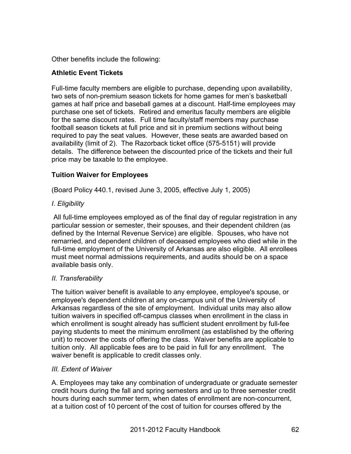Other benefits include the following:

## **Athletic Event Tickets**

Full-time faculty members are eligible to purchase, depending upon availability, two sets of non-premium season tickets for home games for men's basketball games at half price and baseball games at a discount. Half-time employees may purchase one set of tickets. Retired and emeritus faculty members are eligible for the same discount rates. Full time faculty/staff members may purchase football season tickets at full price and sit in premium sections without being required to pay the seat values. However, these seats are awarded based on availability (limit of 2). The Razorback ticket office (575-5151) will provide details. The difference between the discounted price of the tickets and their full price may be taxable to the employee.

## **Tuition Waiver for Employees**

(Board Policy 440.1, revised June 3, 2005, effective July 1, 2005)

## *I. Eligibility*

All full-time employees employed as of the final day of regular registration in any particular session or semester, their spouses, and their dependent children (as defined by the Internal Revenue Service) are eligible. Spouses, who have not remarried, and dependent children of deceased employees who died while in the full-time employment of the University of Arkansas are also eligible. All enrollees must meet normal admissions requirements, and audits should be on a space available basis only.

## *II. Transferability*

The tuition waiver benefit is available to any employee, employee's spouse, or employee's dependent children at any on-campus unit of the University of Arkansas regardless of the site of employment. Individual units may also allow tuition waivers in specified off-campus classes when enrollment in the class in which enrollment is sought already has sufficient student enrollment by full-fee paying students to meet the minimum enrollment (as established by the offering unit) to recover the costs of offering the class. Waiver benefits are applicable to tuition only. All applicable fees are to be paid in full for any enrollment. The waiver benefit is applicable to credit classes only.

## *III. Extent of Waiver*

A. Employees may take any combination of undergraduate or graduate semester credit hours during the fall and spring semesters and up to three semester credit hours during each summer term, when dates of enrollment are non-concurrent, at a tuition cost of 10 percent of the cost of tuition for courses offered by the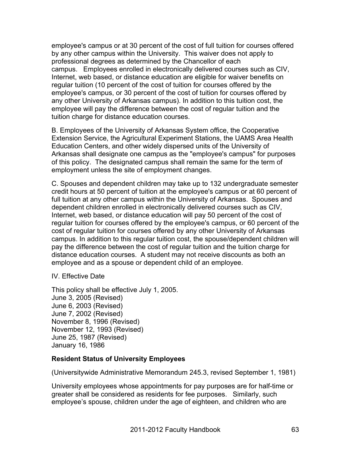employee's campus or at 30 percent of the cost of full tuition for courses offered by any other campus within the University. This waiver does not apply to professional degrees as determined by the Chancellor of each campus. Employees enrolled in electronically delivered courses such as CIV, Internet, web based, or distance education are eligible for waiver benefits on regular tuition (10 percent of the cost of tuition for courses offered by the employee's campus, or 30 percent of the cost of tuition for courses offered by any other University of Arkansas campus). In addition to this tuition cost, the employee will pay the difference between the cost of regular tuition and the tuition charge for distance education courses.

B. Employees of the University of Arkansas System office, the Cooperative Extension Service, the Agricultural Experiment Stations, the UAMS Area Health Education Centers, and other widely dispersed units of the University of Arkansas shall designate one campus as the "employee's campus" for purposes of this policy. The designated campus shall remain the same for the term of employment unless the site of employment changes.

C. Spouses and dependent children may take up to 132 undergraduate semester credit hours at 50 percent of tuition at the employee's campus or at 60 percent of full tuition at any other campus within the University of Arkansas. Spouses and dependent children enrolled in electronically delivered courses such as CIV, Internet, web based, or distance education will pay 50 percent of the cost of regular tuition for courses offered by the employee's campus, or 60 percent of the cost of regular tuition for courses offered by any other University of Arkansas campus. In addition to this regular tuition cost, the spouse/dependent children will pay the difference between the cost of regular tuition and the tuition charge for distance education courses. A student may not receive discounts as both an employee and as a spouse or dependent child of an employee.

IV. Effective Date

This policy shall be effective July 1, 2005. June 3, 2005 (Revised) June 6, 2003 (Revised) June 7, 2002 (Revised) November 8, 1996 (Revised) November 12, 1993 (Revised) June 25, 1987 (Revised) January 16, 1986

### **Resident Status of University Employees**

(Universitywide Administrative Memorandum 245.3, revised September 1, 1981)

University employees whose appointments for pay purposes are for half-time or greater shall be considered as residents for fee purposes. Similarly, such employee's spouse, children under the age of eighteen, and children who are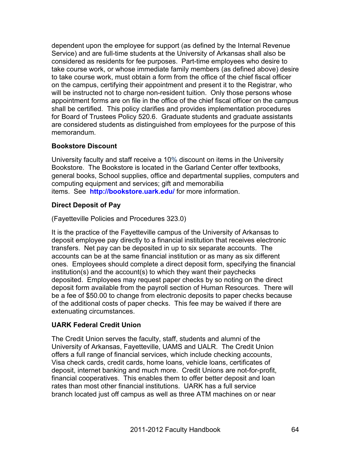dependent upon the employee for support (as defined by the Internal Revenue Service) and are full-time students at the University of Arkansas shall also be considered as residents for fee purposes. Part-time employees who desire to take course work, or whose immediate family members (as defined above) desire to take course work, must obtain a form from the office of the chief fiscal officer on the campus, certifying their appointment and present it to the Registrar, who will be instructed not to charge non-resident tuition. Only those persons whose appointment forms are on file in the office of the chief fiscal officer on the campus shall be certified. This policy clarifies and provides implementation procedures for Board of Trustees Policy 520.6. Graduate students and graduate assistants are considered students as distinguished from employees for the purpose of this memorandum.

# **Bookstore Discount**

University faculty and staff receive a 10% discount on items in the University Bookstore. The Bookstore is located in the Garland Center offer textbooks, general books, School supplies, office and departmental supplies, computers and computing equipment and services; gift and memorabilia items. See **http://bookstore.uark.edu/** for more information.

# **Direct Deposit of Pay**

(Fayetteville Policies and Procedures 323.0)

It is the practice of the Fayetteville campus of the University of Arkansas to deposit employee pay directly to a financial institution that receives electronic transfers. Net pay can be deposited in up to six separate accounts. The accounts can be at the same financial institution or as many as six different ones. Employees should complete a direct deposit form, specifying the financial institution(s) and the account(s) to which they want their paychecks deposited. Employees may request paper checks by so noting on the direct deposit form available from the payroll section of Human Resources. There will be a fee of \$50.00 to change from electronic deposits to paper checks because of the additional costs of paper checks. This fee may be waived if there are extenuating circumstances.

# **UARK Federal Credit Union**

The Credit Union serves the faculty, staff, students and alumni of the University of Arkansas, Fayetteville, UAMS and UALR. The Credit Union offers a full range of financial services, which include checking accounts, Visa check cards, credit cards, home loans, vehicle loans, certificates of deposit, internet banking and much more. Credit Unions are not-for-profit, financial cooperatives. This enables them to offer better deposit and loan rates than most other financial institutions. UARK has a full service branch located just off campus as well as three ATM machines on or near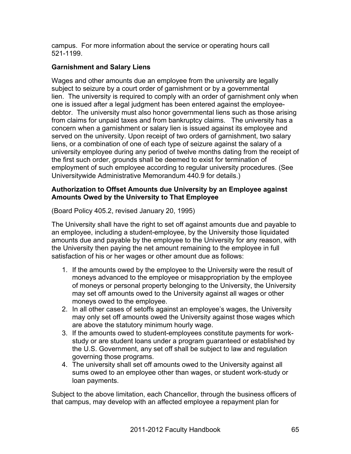campus. For more information about the service or operating hours call 521-1199.

## **Garnishment and Salary Liens**

Wages and other amounts due an employee from the university are legally subject to seizure by a court order of garnishment or by a governmental lien. The university is required to comply with an order of garnishment only when one is issued after a legal judgment has been entered against the employeedebtor. The university must also honor governmental liens such as those arising from claims for unpaid taxes and from bankruptcy claims. The university has a concern when a garnishment or salary lien is issued against its employee and served on the university. Upon receipt of two orders of garnishment, two salary liens, or a combination of one of each type of seizure against the salary of a university employee during any period of twelve months dating from the receipt of the first such order, grounds shall be deemed to exist for termination of employment of such employee according to regular university procedures. (See Universitywide Administrative Memorandum 440.9 for details.)

### **Authorization to Offset Amounts due University by an Employee against Amounts Owed by the University to That Employee**

(Board Policy 405.2, revised January 20, 1995)

The University shall have the right to set off against amounts due and payable to an employee, including a student-employee, by the University those liquidated amounts due and payable by the employee to the University for any reason, with the University then paying the net amount remaining to the employee in full satisfaction of his or her wages or other amount due as follows:

- 1. If the amounts owed by the employee to the University were the result of moneys advanced to the employee or misappropriation by the employee of moneys or personal property belonging to the University, the University may set off amounts owed to the University against all wages or other moneys owed to the employee.
- 2. In all other cases of setoffs against an employee's wages, the University may only set off amounts owed the University against those wages which are above the statutory minimum hourly wage.
- 3. If the amounts owed to student-employees constitute payments for workstudy or are student loans under a program guaranteed or established by the U.S. Government, any set off shall be subject to law and regulation governing those programs.
- 4. The university shall set off amounts owed to the University against all sums owed to an employee other than wages, or student work-study or loan payments.

Subject to the above limitation, each Chancellor, through the business officers of that campus, may develop with an affected employee a repayment plan for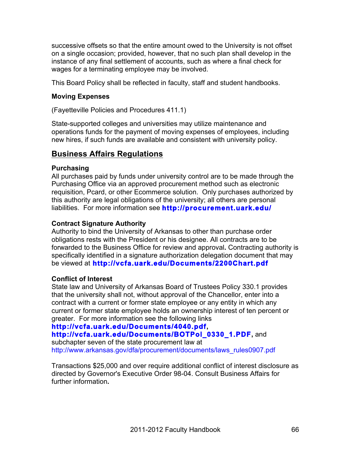successive offsets so that the entire amount owed to the University is not offset on a single occasion; provided, however, that no such plan shall develop in the instance of any final settlement of accounts, such as where a final check for wages for a terminating employee may be involved.

This Board Policy shall be reflected in faculty, staff and student handbooks.

### **Moving Expenses**

(Fayetteville Policies and Procedures 411.1)

State-supported colleges and universities may utilize maintenance and operations funds for the payment of moving expenses of employees, including new hires, if such funds are available and consistent with university policy.

# **Business Affairs Regulations**

### **Purchasing**

All purchases paid by funds under university control are to be made through the Purchasing Office via an approved procurement method such as electronic requisition, Pcard, or other Ecommerce solution. Only purchases authorized by this authority are legal obligations of the university; all others are personal liabilities. For more information see **http://procurement.uark.edu/**

## **Contract Signature Authority**

Authority to bind the University of Arkansas to other than purchase order obligations rests with the President or his designee. All contracts are to be forwarded to the Business Office for review and approval**.** Contracting authority is specifically identified in a signature authorization delegation document that may be viewed at **http://vcfa.uark.edu/Documents/2200Chart.pdf**

## **Conflict of Interest**

State law and University of Arkansas Board of Trustees Policy 330.1 provides that the university shall not, without approval of the Chancellor, enter into a contract with a current or former state employee or any entity in which any current or former state employee holds an ownership interest of ten percent or greater. For more information see the following links

# **http://vcfa.uark.edu/Documents/4040.pdf,**

# **http://vcfa.uark.edu/Documents/BOTPol\_0330\_1.PDF,** and

subchapter seven of the state procurement law at http://www.arkansas.gov/dfa/procurement/documents/laws\_rules0907.pdf

Transactions \$25,000 and over require additional conflict of interest disclosure as directed by Governor's Executive Order 98-04. Consult Business Affairs for further information**.**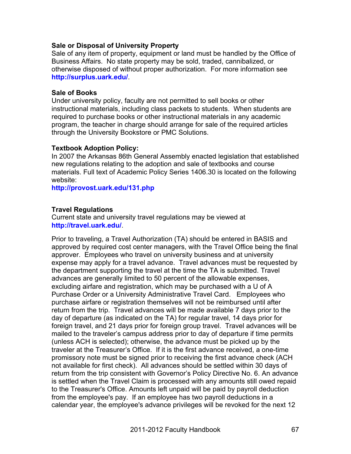### **Sale or Disposal of University Prop***e***rty**

Sale of any item of property, equipment or land must be handled by the Office of Business Affairs. No state property may be sold, traded, cannibalized, or otherwise disposed of without proper authorization. For more information see **http://surplus.uark.edu/**.

#### **Sale of Books**

Under university policy, faculty are not permitted to sell books or other instructional materials, including class packets to students. When students are required to purchase books or other instructional materials in any academic program, the teacher in charge should arrange for sale of the required articles through the University Bookstore or PMC Solutions.

### **Textbook Adoption Policy:**

In 2007 the Arkansas 86th General Assembly enacted legislation that established new regulations relating to the adoption and sale of textbooks and course materials. Full text of Academic Policy Series 1406.30 is located on the following website:

**http://provost.uark.edu/131.php**

### **Travel Regulations**

Current state and university travel regulations may be viewed at **http://travel.uark.edu/**.

Prior to traveling, a Travel Authorization (TA) should be entered in BASIS and approved by required cost center managers, with the Travel Office being the final approver. Employees who travel on university business and at university expense may apply for a travel advance. Travel advances must be requested by the department supporting the travel at the time the TA is submitted. Travel advances are generally limited to 50 percent of the allowable expenses, excluding airfare and registration, which may be purchased with a U of A Purchase Order or a University Administrative Travel Card. Employees who purchase airfare or registration themselves will not be reimbursed until after return from the trip. Travel advances will be made available 7 days prior to the day of departure (as indicated on the TA) for regular travel, 14 days prior for foreign travel, and 21 days prior for foreign group travel. Travel advances will be mailed to the traveler's campus address prior to day of departure if time permits (unless ACH is selected); otherwise, the advance must be picked up by the traveler at the Treasurer's Office. If it is the first advance received, a one-time promissory note must be signed prior to receiving the first advance check (ACH not available for first check). All advances should be settled within 30 days of return from the trip consistent with Governor's Policy Directive No. 6. An advance is settled when the Travel Claim is processed with any amounts still owed repaid to the Treasurer's Office. Amounts left unpaid will be paid by payroll deduction from the employee's pay. If an employee has two payroll deductions in a calendar year, the employee's advance privileges will be revoked for the next 12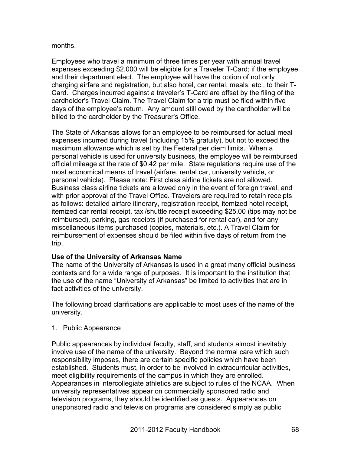### months.

Employees who travel a minimum of three times per year with annual travel expenses exceeding \$2,000 will be eligible for a Traveler T-Card; if the employee and their department elect. The employee will have the option of not only charging airfare and registration, but also hotel, car rental, meals, etc., to their T-Card. Charges incurred against a traveler's T-Card are offset by the filing of the cardholder's Travel Claim. The Travel Claim for a trip must be filed within five days of the employee's return. Any amount still owed by the cardholder will be billed to the cardholder by the Treasurer's Office.

The State of Arkansas allows for an employee to be reimbursed for actual meal expenses incurred during travel (including 15% gratuity), but not to exceed the maximum allowance which is set by the Federal per diem limits. When a personal vehicle is used for university business, the employee will be reimbursed official mileage at the rate of \$0.42 per mile. State regulations require use of the most economical means of travel (airfare, rental car, university vehicle, or personal vehicle). Please note: First class airline tickets are not allowed. Business class airline tickets are allowed only in the event of foreign travel, and with prior approval of the Travel Office. Travelers are required to retain receipts as follows: detailed airfare itinerary, registration receipt, itemized hotel receipt, itemized car rental receipt, taxi/shuttle receipt exceeding \$25.00 (tips may not be reimbursed), parking, gas receipts (if purchased for rental car), and for any miscellaneous items purchased (copies, materials, etc.). A Travel Claim for reimbursement of expenses should be filed within five days of return from the trip.

### **Use of the University of Arkansas Name**

The name of the University of Arkansas is used in a great many official business contexts and for a wide range of purposes. It is important to the institution that the use of the name "University of Arkansas" be limited to activities that are in fact activities of the university.

The following broad clarifications are applicable to most uses of the name of the university.

1. Public Appearance

Public appearances by individual faculty, staff, and students almost inevitably involve use of the name of the university. Beyond the normal care which such responsibility imposes, there are certain specific policies which have been established. Students must, in order to be involved in extracurricular activities, meet eligibility requirements of the campus in which they are enrolled. Appearances in intercollegiate athletics are subject to rules of the NCAA. When university representatives appear on commercially sponsored radio and television programs, they should be identified as guests. Appearances on unsponsored radio and television programs are considered simply as public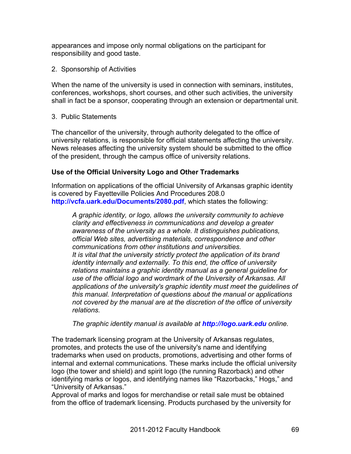appearances and impose only normal obligations on the participant for responsibility and good taste.

2. Sponsorship of Activities

When the name of the university is used in connection with seminars, institutes, conferences, workshops, short courses, and other such activities, the university shall in fact be a sponsor, cooperating through an extension or departmental unit.

3. Public Statements

The chancellor of the university, through authority delegated to the office of university relations, is responsible for official statements affecting the university. News releases affecting the university system should be submitted to the office of the president, through the campus office of university relations.

### **Use of the Official University Logo and Other Trademarks**

Information on applications of the official University of Arkansas graphic identity is covered by Fayetteville Policies And Procedures 208.0 **http://vcfa.uark.edu/Documents/2080.pdf**, which states the following:

*A graphic identity, or logo, allows the university community to achieve clarity and effectiveness in communications and develop a greater awareness of the university as a whole. It distinguishes publications, official Web sites, advertising materials, correspondence and other communications from other institutions and universities. It is vital that the university strictly protect the application of its brand identity internally and externally. To this end, the office of university relations maintains a graphic identity manual as a general guideline for use of the official logo and wordmark of the University of Arkansas. All applications of the university's graphic identity must meet the guidelines of this manual. Interpretation of questions about the manual or applications not covered by the manual are at the discretion of the office of university relations.*

*The graphic identity manual is available at http://logo.uark.edu online.*

The trademark licensing program at the University of Arkansas regulates, promotes, and protects the use of the university's name and identifying trademarks when used on products, promotions, advertising and other forms of internal and external communications. These marks include the official university logo (the tower and shield) and spirit logo (the running Razorback) and other identifying marks or logos, and identifying names like "Razorbacks," Hogs," and "University of Arkansas."

Approval of marks and logos for merchandise or retail sale must be obtained from the office of trademark licensing. Products purchased by the university for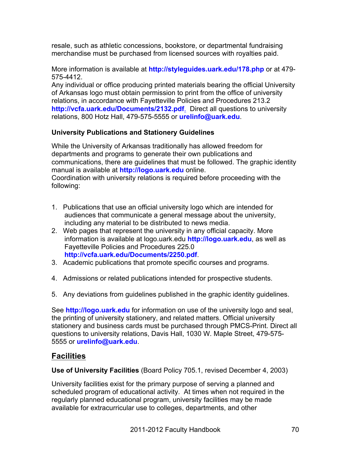resale, such as athletic concessions, bookstore, or departmental fundraising merchandise must be purchased from licensed sources with royalties paid.

More information is available at **http://styleguides.uark.edu/178.php** or at 479- 575-4412.

Any individual or office producing printed materials bearing the official University of Arkansas logo must obtain permission to print from the office of university relations, in accordance with Fayetteville Policies and Procedures 213.2 **http://vcfa.uark.edu/Documents/2132.pdf**. Direct all questions to university relations, 800 Hotz Hall, 479-575-5555 or **urelinfo@uark.edu**.

# **University Publications and Stationery Guidelines**

While the University of Arkansas traditionally has allowed freedom for departments and programs to generate their own publications and communications, there are guidelines that must be followed. The graphic identity manual is available at **http://logo.uark.edu** online. Coordination with university relations is required before proceeding with the following:

- 1. Publications that use an official university logo which are intended for audiences that communicate a general message about the university, including any material to be distributed to news media.
- 2. Web pages that represent the university in any official capacity. More information is available at logo.uark.edu **http://logo.uark.edu**, as well as Fayetteville Policies and Procedures 225.0 **http://vcfa.uark.edu/Documents/2250.pdf**.
- 3. Academic publications that promote specific courses and programs.
- 4. Admissions or related publications intended for prospective students.
- 5. Any deviations from guidelines published in the graphic identity guidelines.

See **http://logo.uark.edu** for information on use of the university logo and seal, the printing of university stationery, and related matters. Official university stationery and business cards must be purchased through PMCS-Print. Direct all questions to university relations, Davis Hall, 1030 W. Maple Street, 479-575- 5555 or **urelinfo@uark.edu**.

# **Facilities**

**Use of University Facilities** (Board Policy 705.1, revised December 4, 2003)

University facilities exist for the primary purpose of serving a planned and scheduled program of educational activity. At times when not required in the regularly planned educational program, university facilities may be made available for extracurricular use to colleges, departments, and other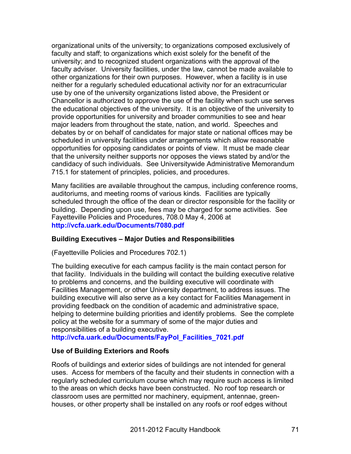organizational units of the university; to organizations composed exclusively of faculty and staff; to organizations which exist solely for the benefit of the university; and to recognized student organizations with the approval of the faculty adviser. University facilities, under the law, cannot be made available to other organizations for their own purposes. However, when a facility is in use neither for a regularly scheduled educational activity nor for an extracurricular use by one of the university organizations listed above, the President or Chancellor is authorized to approve the use of the facility when such use serves the educational objectives of the university. It is an objective of the university to provide opportunities for university and broader communities to see and hear major leaders from throughout the state, nation, and world. Speeches and debates by or on behalf of candidates for major state or national offices may be scheduled in university facilities under arrangements which allow reasonable opportunities for opposing candidates or points of view. It must be made clear that the university neither supports nor opposes the views stated by and/or the candidacy of such individuals. See Universitywide Administrative Memorandum 715.1 for statement of principles, policies, and procedures.

Many facilities are available throughout the campus, including conference rooms, auditoriums, and meeting rooms of various kinds. Facilities are typically scheduled through the office of the dean or director responsible for the facility or building. Depending upon use, fees may be charged for some activities. See Fayetteville Policies and Procedures, 708.0 May 4, 2006 at **http://vcfa.uark.edu/Documents/7080.pdf**

### **Building Executives – Major Duties and Responsibilities**

(Fayetteville Policies and Procedures 702.1)

The building executive for each campus facility is the main contact person for that facility. Individuals in the building will contact the building executive relative to problems and concerns, and the building executive will coordinate with Facilities Management, or other University department, to address issues. The building executive will also serve as a key contact for Facilities Management in providing feedback on the condition of academic and administrative space, helping to determine building priorities and identify problems. See the complete policy at the website for a summary of some of the major duties and responsibilities of a building executive.

**http://vcfa.uark.edu/Documents/FayPol\_Facilities\_7021.pdf**

### **Use of Building Exteriors and Roofs**

Roofs of buildings and exterior sides of buildings are not intended for general uses. Access for members of the faculty and their students in connection with a regularly scheduled curriculum course which may require such access is limited to the areas on which decks have been constructed. No roof top research or classroom uses are permitted nor machinery, equipment, antennae, greenhouses, or other property shall be installed on any roofs or roof edges without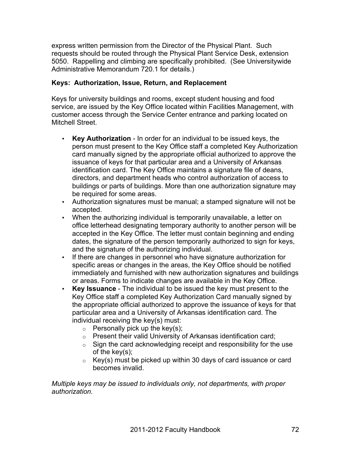express written permission from the Director of the Physical Plant. Such requests should be routed through the Physical Plant Service Desk, extension 5050. Rappelling and climbing are specifically prohibited. (See Universitywide Administrative Memorandum 720.1 for details.)

## **Keys: Authorization, Issue, Return, and Replacement**

Keys for university buildings and rooms, except student housing and food service, are issued by the Key Office located within Facilities Management, with customer access through the Service Center entrance and parking located on Mitchell Street.

- **Key Authorization** In order for an individual to be issued keys, the person must present to the Key Office staff a completed Key Authorization card manually signed by the appropriate official authorized to approve the issuance of keys for that particular area and a University of Arkansas identification card. The Key Office maintains a signature file of deans, directors, and department heads who control authorization of access to buildings or parts of buildings. More than one authorization signature may be required for some areas.
- Authorization signatures must be manual; a stamped signature will not be accepted.
- When the authorizing individual is temporarily unavailable, a letter on office letterhead designating temporary authority to another person will be accepted in the Key Office. The letter must contain beginning and ending dates, the signature of the person temporarily authorized to sign for keys, and the signature of the authorizing individual.
- If there are changes in personnel who have signature authorization for specific areas or changes in the areas, the Key Office should be notified immediately and furnished with new authorization signatures and buildings or areas. Forms to indicate changes are available in the Key Office.
- **Key Issuance** The individual to be issued the key must present to the Key Office staff a completed Key Authorization Card manually signed by the appropriate official authorized to approve the issuance of keys for that particular area and a University of Arkansas identification card. The individual receiving the key(s) must:
	- $\circ$  Personally pick up the key(s);
	- o Present their valid University of Arkansas identification card;
	- $\circ$  Sign the card acknowledging receipt and responsibility for the use of the key(s);
	- $\circ$  Key(s) must be picked up within 30 days of card issuance or card becomes invalid.

*Multiple keys may be issued to individuals only, not departments, with proper authorization.*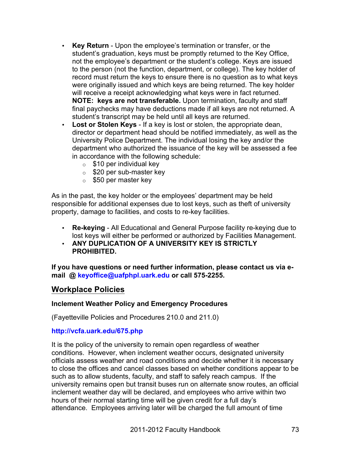- **Key Return** Upon the employee's termination or transfer, or the student's graduation, keys must be promptly returned to the Key Office, not the employee's department or the student's college. Keys are issued to the person (not the function, department, or college). The key holder of record must return the keys to ensure there is no question as to what keys were originally issued and which keys are being returned. The key holder will receive a receipt acknowledging what keys were in fact returned. **NOTE: keys are not transferable.** Upon termination, faculty and staff final paychecks may have deductions made if all keys are not returned. A student's transcript may be held until all keys are returned.
- **Lost or Stolen Keys** If a key is lost or stolen, the appropriate dean, director or department head should be notified immediately, as well as the University Police Department. The individual losing the key and/or the department who authorized the issuance of the key will be assessed a fee in accordance with the following schedule:
	- $\circ$  \$10 per individual key
	- o \$20 per sub-master key
	- $\circ$  \$50 per master key

As in the past, the key holder or the employees' department may be held responsible for additional expenses due to lost keys, such as theft of university property, damage to facilities, and costs to re-key facilities.

- **Re-keying** All Educational and General Purpose facility re-keying due to lost keys will either be performed or authorized by Facilities Management.
- **ANY DUPLICATION OF A UNIVERSITY KEY IS STRICTLY PROHIBITED.**

**If you have questions or need further information, please contact us via email @ keyoffice@uafphpl.uark.edu or call 575-2255.**

# **Workplace Policies**

#### **Inclement Weather Policy and Emergency Procedures**

(Fayetteville Policies and Procedures 210.0 and 211.0)

#### **http://vcfa.uark.edu/675.php**

It is the policy of the university to remain open regardless of weather conditions. However, when inclement weather occurs, designated university officials assess weather and road conditions and decide whether it is necessary to close the offices and cancel classes based on whether conditions appear to be such as to allow students, faculty, and staff to safely reach campus. If the university remains open but transit buses run on alternate snow routes, an official inclement weather day will be declared, and employees who arrive within two hours of their normal starting time will be given credit for a full day's attendance. Employees arriving later will be charged the full amount of time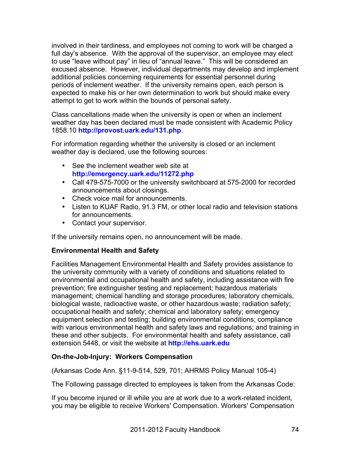involved in their tardiness, and employees not coming to work will be charged a full day's absence. With the approval of the supervisor, an employee may elect to use "leave without pay" in lieu of "annual leave." This will be considered an excused absence. However, individual departments may develop and implement additional policies concerning requirements for essential personnel during periods of inclement weather. If the university remains open, each person is expected to make his or her own determination to work but should make every attempt to get to work within the bounds of personal safety.

Class cancellations made when the university is open or when an inclement weather day has been declared must be made consistent with Academic Policy 1858.10 **http://provost.uark.edu/131.php**.

For information regarding whether the university is closed or an inclement weather day is declared, use the following sources:

- See the inclement weather web site at **http://emergency.uark.edu/11272.php**
- Call 479-575-7000 or the university switchboard at 575-2000 for recorded announcements about closings.
- Check voice mail for announcements.
- Listen to KUAF Radio, 91.3 FM, or other local radio and television stations for announcements.
- Contact your supervisor.

If the university remains open, no announcement will be made.

# **Environmental Health and Safety**

Facilities Management Environmental Health and Safety provides assistance to the university community with a variety of conditions and situations related to environmental and occupational health and safety, including assistance with fire prevention; fire extinguisher testing and replacement; hazardous materials management; chemical handling and storage procedures; laboratory chemicals, biological waste, radioactive waste, or other hazardous waste; radiation safety; occupational health and safety; chemical and laboratory safety; emergency equipment selection and testing; building environmental conditions; compliance with various environmental health and safety laws and regulations; and training in these and other subjects. For environmental health and safety assistance, call extension 5448, or visit the website at **http://ehs.uark.edu**

# **On-the-Job-Injury: Workers Compensation**

(Arkansas Code Ann. §11-9-514, 529, 701; AHRMS Policy Manual 105-4)

The Following passage directed to employees is taken from the Arkansas Code:

If you become injured or ill while you are at work due to a work-related incident, you may be eligible to receive Workers' Compensation. Workers' Compensation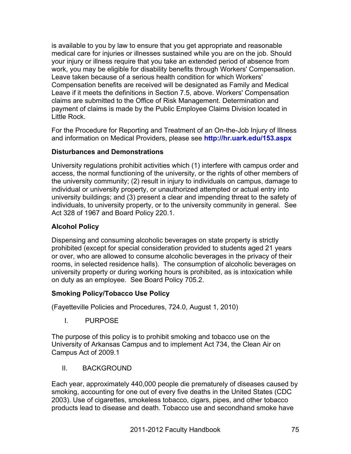is available to you by law to ensure that you get appropriate and reasonable medical care for injuries or illnesses sustained while you are on the job. Should your injury or illness require that you take an extended period of absence from work, you may be eligible for disability benefits through Workers' Compensation. Leave taken because of a serious health condition for which Workers' Compensation benefits are received will be designated as Family and Medical Leave if it meets the definitions in Section 7.5, above. Workers' Compensation claims are submitted to the Office of Risk Management. Determination and payment of claims is made by the Public Employee Claims Division located in Little Rock.

For the Procedure for Reporting and Treatment of an On-the-Job Injury of Illness and information on Medical Providers, please see **http://hr.uark.edu/153.aspx**

# **Disturbances and Demonstrations**

University regulations prohibit activities which (1) interfere with campus order and access, the normal functioning of the university, or the rights of other members of the university community; (2) result in injury to individuals on campus, damage to individual or university property, or unauthorized attempted or actual entry into university buildings; and (3) present a clear and impending threat to the safety of individuals, to university property, or to the university community in general. See Act 328 of 1967 and Board Policy 220.1.

# **Alcohol Policy**

Dispensing and consuming alcoholic beverages on state property is strictly prohibited (except for special consideration provided to students aged 21 years or over, who are allowed to consume alcoholic beverages in the privacy of their rooms, in selected residence halls). The consumption of alcoholic beverages on university property or during working hours is prohibited, as is intoxication while on duty as an employee. See Board Policy 705.2.

# **Smoking Policy/Tobacco Use Policy**

(Fayetteville Policies and Procedures, 724.0, August 1, 2010)

I. PURPOSE

The purpose of this policy is to prohibit smoking and tobacco use on the University of Arkansas Campus and to implement Act 734, the Clean Air on Campus Act of 2009.1

II. BACKGROUND

Each year, approximately 440,000 people die prematurely of diseases caused by smoking, accounting for one out of every five deaths in the United States (CDC 2003). Use of cigarettes, smokeless tobacco, cigars, pipes, and other tobacco products lead to disease and death. Tobacco use and secondhand smoke have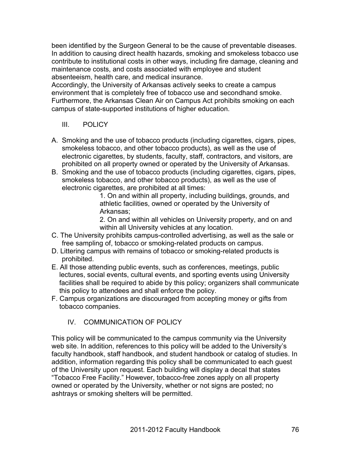been identified by the Surgeon General to be the cause of preventable diseases. In addition to causing direct health hazards, smoking and smokeless tobacco use contribute to institutional costs in other ways, including fire damage, cleaning and maintenance costs, and costs associated with employee and student absenteeism, health care, and medical insurance.

Accordingly, the University of Arkansas actively seeks to create a campus environment that is completely free of tobacco use and secondhand smoke. Furthermore, the Arkansas Clean Air on Campus Act prohibits smoking on each campus of state-supported institutions of higher education.

- III. POLICY
- A. Smoking and the use of tobacco products (including cigarettes, cigars, pipes, smokeless tobacco, and other tobacco products), as well as the use of electronic cigarettes, by students, faculty, staff, contractors, and visitors, are prohibited on all property owned or operated by the University of Arkansas.
- B. Smoking and the use of tobacco products (including cigarettes, cigars, pipes, smokeless tobacco, and other tobacco products), as well as the use of electronic cigarettes, are prohibited at all times:

1. On and within all property, including buildings, grounds, and athletic facilities, owned or operated by the University of Arkansas;

2. On and within all vehicles on University property, and on and within all University vehicles at any location.

- C. The University prohibits campus-controlled advertising, as well as the sale or free sampling of, tobacco or smoking-related products on campus.
- D. Littering campus with remains of tobacco or smoking-related products is prohibited.
- E. All those attending public events, such as conferences, meetings, public lectures, social events, cultural events, and sporting events using University facilities shall be required to abide by this policy; organizers shall communicate this policy to attendees and shall enforce the policy.
- F. Campus organizations are discouraged from accepting money or gifts from tobacco companies.

# IV. COMMUNICATION OF POLICY

This policy will be communicated to the campus community via the University web site. In addition, references to this policy will be added to the University's faculty handbook, staff handbook, and student handbook or catalog of studies. In addition, information regarding this policy shall be communicated to each guest of the University upon request. Each building will display a decal that states "Tobacco Free Facility." However, tobacco-free zones apply on all property owned or operated by the University, whether or not signs are posted; no ashtrays or smoking shelters will be permitted.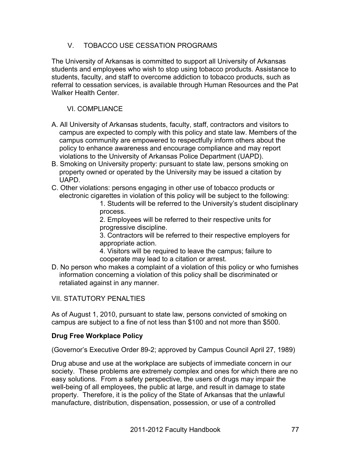# V. TOBACCO USE CESSATION PROGRAMS

The University of Arkansas is committed to support all University of Arkansas students and employees who wish to stop using tobacco products. Assistance to students, faculty, and staff to overcome addiction to tobacco products, such as referral to cessation services, is available through Human Resources and the Pat Walker Health Center.

# VI. COMPLIANCE

- A. All University of Arkansas students, faculty, staff, contractors and visitors to campus are expected to comply with this policy and state law. Members of the campus community are empowered to respectfully inform others about the policy to enhance awareness and encourage compliance and may report violations to the University of Arkansas Police Department (UAPD).
- B. Smoking on University property: pursuant to state law, persons smoking on property owned or operated by the University may be issued a citation by UAPD.
- C. Other violations: persons engaging in other use of tobacco products or electronic cigarettes in violation of this policy will be subject to the following:

1. Students will be referred to the University's student disciplinary process.

2. Employees will be referred to their respective units for progressive discipline.

3. Contractors will be referred to their respective employers for appropriate action.

4. Visitors will be required to leave the campus; failure to cooperate may lead to a citation or arrest.

D. No person who makes a complaint of a violation of this policy or who furnishes information concerning a violation of this policy shall be discriminated or retaliated against in any manner.

# VII. STATUTORY PENALTIES

As of August 1, 2010, pursuant to state law, persons convicted of smoking on campus are subject to a fine of not less than \$100 and not more than \$500.

# **Drug Free Workplace Policy**

(Governor's Executive Order 89-2; approved by Campus Council April 27, 1989)

Drug abuse and use at the workplace are subjects of immediate concern in our society. These problems are extremely complex and ones for which there are no easy solutions. From a safety perspective, the users of drugs may impair the well-being of all employees, the public at large, and result in damage to state property. Therefore, it is the policy of the State of Arkansas that the unlawful manufacture, distribution, dispensation, possession, or use of a controlled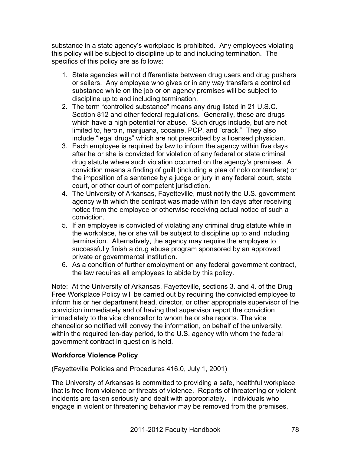substance in a state agency's workplace is prohibited. Any employees violating this policy will be subject to discipline up to and including termination. The specifics of this policy are as follows:

- 1. State agencies will not differentiate between drug users and drug pushers or sellers. Any employee who gives or in any way transfers a controlled substance while on the job or on agency premises will be subject to discipline up to and including termination.
- 2. The term "controlled substance" means any drug listed in 21 U.S.C. Section 812 and other federal regulations. Generally, these are drugs which have a high potential for abuse. Such drugs include, but are not limited to, heroin, marijuana, cocaine, PCP, and "crack." They also include "legal drugs" which are not prescribed by a licensed physician.
- 3. Each employee is required by law to inform the agency within five days after he or she is convicted for violation of any federal or state criminal drug statute where such violation occurred on the agency's premises. A conviction means a finding of guilt (including a plea of nolo contendere) or the imposition of a sentence by a judge or jury in any federal court, state court, or other court of competent jurisdiction.
- 4. The University of Arkansas, Fayetteville, must notify the U.S. government agency with which the contract was made within ten days after receiving notice from the employee or otherwise receiving actual notice of such a conviction.
- 5. If an employee is convicted of violating any criminal drug statute while in the workplace, he or she will be subject to discipline up to and including termination. Alternatively, the agency may require the employee to successfully finish a drug abuse program sponsored by an approved private or governmental institution.
- 6. As a condition of further employment on any federal government contract, the law requires all employees to abide by this policy.

Note: At the University of Arkansas, Fayetteville, sections 3. and 4. of the Drug Free Workplace Policy will be carried out by requiring the convicted employee to inform his or her department head, director, or other appropriate supervisor of the conviction immediately and of having that supervisor report the conviction immediately to the vice chancellor to whom he or she reports. The vice chancellor so notified will convey the information, on behalf of the university, within the required ten-day period, to the U.S. agency with whom the federal government contract in question is held.

# **Workforce Violence Policy**

(Fayetteville Policies and Procedures 416.0, July 1, 2001)

The University of Arkansas is committed to providing a safe, healthful workplace that is free from violence or threats of violence. Reports of threatening or violent incidents are taken seriously and dealt with appropriately. Individuals who engage in violent or threatening behavior may be removed from the premises,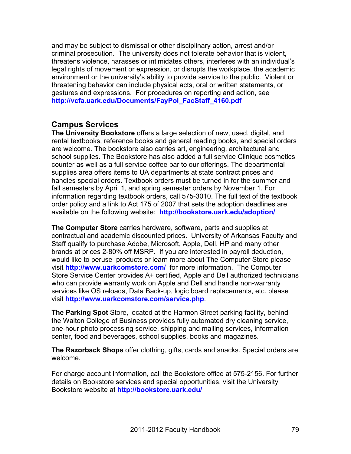and may be subject to dismissal or other disciplinary action, arrest and/or criminal prosecution. The university does not tolerate behavior that is violent, threatens violence, harasses or intimidates others, interferes with an individual's legal rights of movement or expression, or disrupts the workplace, the academic environment or the university's ability to provide service to the public. Violent or threatening behavior can include physical acts, oral or written statements, or gestures and expressions. For procedures on reporting and action, see **http://vcfa.uark.edu/Documents/FayPol\_FacStaff\_4160.pdf**

# **Campus Services**

**The University Bookstore** offers a large selection of new, used, digital, and rental textbooks, reference books and general reading books, and special orders are welcome. The bookstore also carries art, engineering, architectural and school supplies. The Bookstore has also added a full service Clinique cosmetics counter as well as a full service coffee bar to our offerings. The departmental supplies area offers items to UA departments at state contract prices and handles special orders. Textbook orders must be turned in for the summer and fall semesters by April 1, and spring semester orders by November 1. For information regarding textbook orders, call 575-3010. The full text of the textbook order policy and a link to Act 175 of 2007 that sets the adoption deadlines are available on the following website: **http://bookstore.uark.edu/adoption/**

**The Computer Store** carries hardware, software, parts and supplies at contractual and academic discounted prices. University of Arkansas Faculty and Staff qualify to purchase Adobe, Microsoft, Apple, Dell, HP and many other brands at prices 2-80% off MSRP. If you are interested in payroll deduction, would like to peruse products or learn more about The Computer Store please visit **http://www.uarkcomstore.com/** for more information. The Computer Store Service Center provides A+ certified, Apple and Dell authorized technicians who can provide warranty work on Apple and Dell and handle non-warranty services like OS reloads, Data Back-up, logic board replacements, etc. please visit **http://www.uarkcomstore.com/service.php**.

**The Parking Spot** Store, located at the Harmon Street parking facility, behind the Walton College of Business provides fully automated dry cleaning service, one-hour photo processing service, shipping and mailing services, information center, food and beverages, school supplies, books and magazines.

**The Razorback Shops** offer clothing, gifts, cards and snacks. Special orders are welcome.

For charge account information, call the Bookstore office at 575-2156. For further details on Bookstore services and special opportunities, visit the University Bookstore website at **http://bookstore.uark.edu/**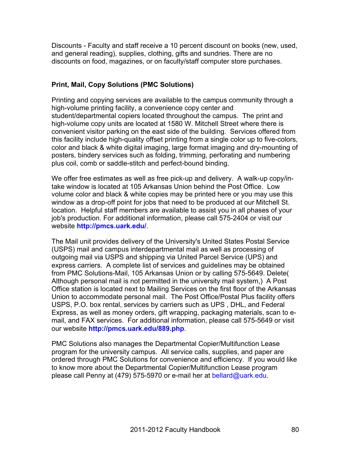Discounts - Faculty and staff receive a 10 percent discount on books (new, used, and general reading), supplies, clothing, gifts and sundries. There are no discounts on food, magazines, or on faculty/staff computer store purchases.

# **Print, Mail, Copy Solutions (PMC Solutions)**

Printing and copying services are available to the campus community through a high-volume printing facility, a convenience copy center and student/departmental copiers located throughout the campus. The print and high-volume copy units are located at 1580 W. Mitchell Street where there is convenient visitor parking on the east side of the building. Services offered from this facility include high-quality offset printing from a single color up to five-colors, color and black & white digital imaging, large format imaging and dry-mounting of posters, bindery services such as folding, trimming, perforating and numbering plus coil, comb or saddle-stitch and perfect-bound binding.

We offer free estimates as well as free pick-up and delivery. A walk-up copy/intake window is located at 105 Arkansas Union behind the Post Office. Low volume color and black & white copies may be printed here or you may use this window as a drop-off point for jobs that need to be produced at our Mitchell St. location. Helpful staff members are available to assist you in all phases of your job's production. For additional information, please call 575-2404 or visit our website **http://pmcs.uark.edu/**.

The Mail unit provides delivery of the University's United States Postal Service (USPS) mail and campus interdepartmental mail as well as processing of outgoing mail via USPS and shipping via United Parcel Service (UPS) and express carriers. A complete list of services and guidelines may be obtained from PMC Solutions-Mail, 105 Arkansas Union or by calling 575-5649. Delete( Although personal mail is not permitted in the university mail system,) A Post Office station is located next to Mailing Services on the first floor of the Arkansas Union to accommodate personal mail. The Post Office/Postal Plus facility offers USPS, P.O. box rental, services by carriers such as UPS , DHL, and Federal Express, as well as money orders, gift wrapping, packaging materials, scan to email, and FAX services. For additional information, please call 575-5649 or visit our website **http://pmcs.uark.edu/889.php**.

PMC Solutions also manages the Departmental Copier/Multifunction Lease program for the university campus. All service calls, supplies, and paper are ordered through PMC Solutions for convenience and efficiency. If you would like to know more about the Departmental Copier/Multifunction Lease program please call Penny at (479) 575-5970 or e-mail her at bellard@uark.edu.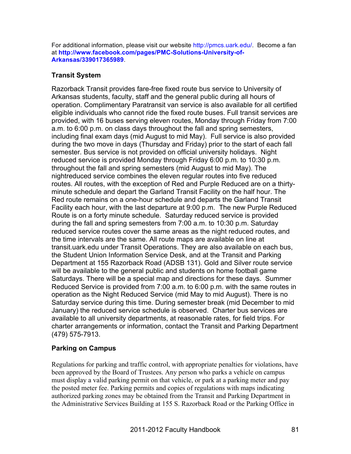For additional information, please visit our website http://pmcs.uark.edu/. Become a fan at **http://www.facebook.com/pages/PMC-Solutions-University-of-Arkansas/339017365989**.

#### **Transit System**

Razorback Transit provides fare-free fixed route bus service to University of Arkansas students, faculty, staff and the general public during all hours of operation. Complimentary Paratransit van service is also available for all certified eligible individuals who cannot ride the fixed route buses. Full transit services are provided, with 16 buses serving eleven routes, Monday through Friday from 7:00 a.m. to 6:00 p.m. on class days throughout the fall and spring semesters, including final exam days (mid August to mid May). Full service is also provided during the two move in days (Thursday and Friday) prior to the start of each fall semester. Bus service is not provided on official university holidays. Night reduced service is provided Monday through Friday 6:00 p.m. to 10:30 p.m. throughout the fall and spring semesters (mid August to mid May). The nightreduced service combines the eleven regular routes into five reduced routes. All routes, with the exception of Red and Purple Reduced are on a thirtyminute schedule and depart the Garland Transit Facility on the half hour. The Red route remains on a one-hour schedule and departs the Garland Transit Facility each hour, with the last departure at 9:00 p.m. The new Purple Reduced Route is on a forty minute schedule. Saturday reduced service is provided during the fall and spring semesters from 7:00 a.m. to 10:30 p.m. Saturday reduced service routes cover the same areas as the night reduced routes, and the time intervals are the same. All route maps are available on line at transit.uark.edu under Transit Operations. They are also available on each bus, the Student Union Information Service Desk, and at the Transit and Parking Department at 155 Razorback Road (ADSB 131). Gold and Silver route service will be available to the general public and students on home football game Saturdays. There will be a special map and directions for these days. Summer Reduced Service is provided from 7:00 a.m. to 6:00 p.m. with the same routes in operation as the Night Reduced Service (mid May to mid August). There is no Saturday service during this time. During semester break (mid December to mid January) the reduced service schedule is observed. Charter bus services are available to all university departments, at reasonable rates, for field trips. For charter arrangements or information, contact the Transit and Parking Department (479) 575-7913. 

# **Parking on Campus**

Regulations for parking and traffic control, with appropriate penalties for violations, have been approved by the Board of Trustees. Any person who parks a vehicle on campus must display a valid parking permit on that vehicle, or park at a parking meter and pay the posted meter fee. Parking permits and copies of regulations with maps indicating authorized parking zones may be obtained from the Transit and Parking Department in the Administrative Services Building at 155 S. Razorback Road or the Parking Office in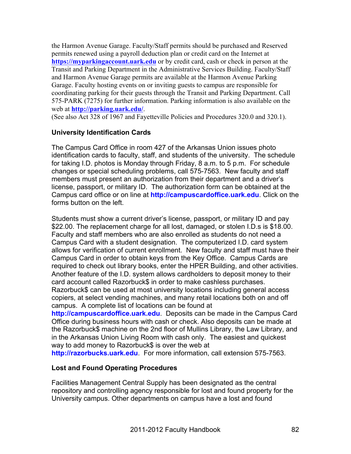the Harmon Avenue Garage. Faculty/Staff permits should be purchased and Reserved permits renewed using a payroll deduction plan or credit card on the Internet at **https://myparkingaccount.uark.edu** or by credit card, cash or check in person at the Transit and Parking Department in the Administrative Services Building. Faculty/Staff and Harmon Avenue Garage permits are available at the Harmon Avenue Parking Garage. Faculty hosting events on or inviting guests to campus are responsible for coordinating parking for their guests through the Transit and Parking Department. Call 575-PARK (7275) for further information. Parking information is also available on the web at **http://parking.uark.edu/**.

(See also Act 328 of 1967 and Fayetteville Policies and Procedures 320.0 and 320.1).

#### **University Identification Cards**

The Campus Card Office in room 427 of the Arkansas Union issues photo identification cards to faculty, staff, and students of the university. The schedule for taking I.D. photos is Monday through Friday, 8 a.m. to 5 p.m. For schedule changes or special scheduling problems, call 575-7563. New faculty and staff members must present an authorization from their department and a driver's license, passport, or military ID. The authorization form can be obtained at the Campus card office or on line at **http://campuscardoffice.uark.edu**. Click on the forms button on the left.

Students must show a current driver's license, passport, or military ID and pay \$22.00. The replacement charge for all lost, damaged, or stolen I.D.s is \$18.00. Faculty and staff members who are also enrolled as students do not need a Campus Card with a student designation. The computerized I.D. card system allows for verification of current enrollment. New faculty and staff must have their Campus Card in order to obtain keys from the Key Office. Campus Cards are required to check out library books, enter the HPER Building, and other activities. Another feature of the I.D. system allows cardholders to deposit money to their card account called Razorbuck\$ in order to make cashless purchases. Razorbuck\$ can be used at most university locations including general access copiers, at select vending machines, and many retail locations both on and off campus. A complete list of locations can be found at

**http://campuscardoffice.uark.edu**. Deposits can be made in the Campus Card Office during business hours with cash or check. Also deposits can be made at the Razorbuck\$ machine on the 2nd floor of Mullins Library, the Law Library, and in the Arkansas Union Living Room with cash only. The easiest and quickest way to add money to Razorbuck\$ is over the web at

**http://razorbucks.uark.edu**. For more information, call extension 575-7563.

# **Lost and Found Operating Procedures**

Facilities Management Central Supply has been designated as the central repository and controlling agency responsible for lost and found property for the University campus. Other departments on campus have a lost and found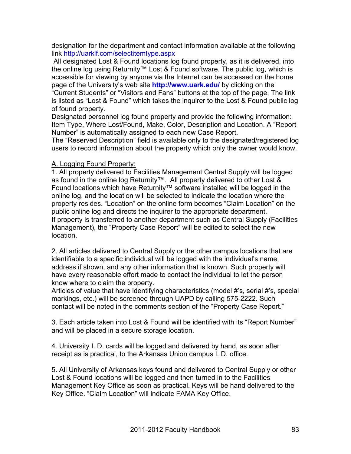designation for the department and contact information available at the following link http://uarklf.com/selectitemtype.aspx

All designated Lost & Found locations log found property, as it is delivered, into the online log using Returnity™ Lost & Found software. The public log, which is accessible for viewing by anyone via the Internet can be accessed on the home page of the University's web site **http://www.uark.edu/** by clicking on the "Current Students" or "Visitors and Fans" buttons at the top of the page. The link is listed as "Lost & Found" which takes the inquirer to the Lost & Found public log of found property.

Designated personnel log found property and provide the following information: Item Type, Where Lost/Found, Make, Color, Description and Location. A "Report Number" is automatically assigned to each new Case Report.

The "Reserved Description" field is available only to the designated/registered log users to record information about the property which only the owner would know.

#### A. Logging Found Property:

1. All property delivered to Facilities Management Central Supply will be logged as found in the online log Returnity™. All property delivered to other Lost & Found locations which have Returnity™ software installed will be logged in the online log, and the location will be selected to indicate the location where the property resides. "Location" on the online form becomes "Claim Location" on the public online log and directs the inquirer to the appropriate department. If property is transferred to another department such as Central Supply (Facilities Management), the "Property Case Report" will be edited to select the new location.

2. All articles delivered to Central Supply or the other campus locations that are identifiable to a specific individual will be logged with the individual's name, address if shown, and any other information that is known. Such property will have every reasonable effort made to contact the individual to let the person know where to claim the property.

Articles of value that have identifying characteristics (model #'s, serial #'s, special markings, etc.) will be screened through UAPD by calling 575-2222. Such contact will be noted in the comments section of the "Property Case Report."

3. Each article taken into Lost & Found will be identified with its "Report Number" and will be placed in a secure storage location.

4. University I. D. cards will be logged and delivered by hand, as soon after receipt as is practical, to the Arkansas Union campus I. D. office.

5. All University of Arkansas keys found and delivered to Central Supply or other Lost & Found locations will be logged and then turned in to the Facilities Management Key Office as soon as practical. Keys will be hand delivered to the Key Office. "Claim Location" will indicate FAMA Key Office.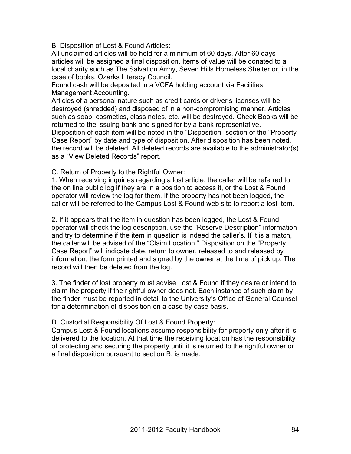B. Disposition of Lost & Found Articles:

All unclaimed articles will be held for a minimum of 60 days. After 60 days articles will be assigned a final disposition. Items of value will be donated to a local charity such as The Salvation Army, Seven Hills Homeless Shelter or, in the case of books, Ozarks Literacy Council.

Found cash will be deposited in a VCFA holding account via Facilities Management Accounting.

Articles of a personal nature such as credit cards or driver's licenses will be destroyed (shredded) and disposed of in a non-compromising manner. Articles such as soap, cosmetics, class notes, etc. will be destroyed. Check Books will be returned to the issuing bank and signed for by a bank representative.

Disposition of each item will be noted in the "Disposition" section of the "Property Case Report" by date and type of disposition. After disposition has been noted, the record will be deleted. All deleted records are available to the administrator(s) as a "View Deleted Records" report.

#### C. Return of Property to the Rightful Owner:

1. When receiving inquiries regarding a lost article, the caller will be referred to the on line public log if they are in a position to access it, or the Lost & Found operator will review the log for them. If the property has not been logged, the caller will be referred to the Campus Lost & Found web site to report a lost item.

2. If it appears that the item in question has been logged, the Lost & Found operator will check the log description, use the "Reserve Description" information and try to determine if the item in question is indeed the caller's. If it is a match, the caller will be advised of the "Claim Location." Disposition on the "Property Case Report" will indicate date, return to owner, released to and released by information, the form printed and signed by the owner at the time of pick up. The record will then be deleted from the log.

3. The finder of lost property must advise Lost & Found if they desire or intend to claim the property if the rightful owner does not. Each instance of such claim by the finder must be reported in detail to the University's Office of General Counsel for a determination of disposition on a case by case basis.

# D. Custodial Responsibility Of Lost & Found Property:

Campus Lost & Found locations assume responsibility for property only after it is delivered to the location. At that time the receiving location has the responsibility of protecting and securing the property until it is returned to the rightful owner or a final disposition pursuant to section B. is made.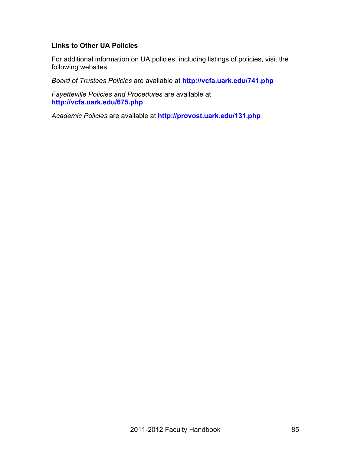#### **Links to Other UA Policies**

For additional information on UA policies, including listings of policies, visit the following websites.

*Board of Trustees Policies* are available at **http://vcfa.uark.edu/741.php**

*Fayetteville Policies and Procedures* are available at **http://vcfa.uark.edu/675.php**

*Academic Policies* are available at **http://provost.uark.edu/131.php**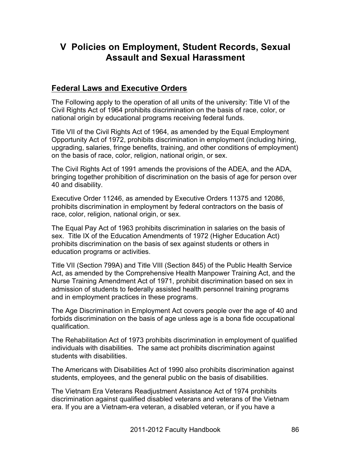# **V Policies on Employment, Student Records, Sexual Assault and Sexual Harassment**

# **Federal Laws and Executive Orders**

The Following apply to the operation of all units of the university: Title VI of the Civil Rights Act of 1964 prohibits discrimination on the basis of race, color, or national origin by educational programs receiving federal funds.

Title VII of the Civil Rights Act of 1964, as amended by the Equal Employment Opportunity Act of 1972, prohibits discrimination in employment (including hiring, upgrading, salaries, fringe benefits, training, and other conditions of employment) on the basis of race, color, religion, national origin, or sex.

The Civil Rights Act of 1991 amends the provisions of the ADEA, and the ADA, bringing together prohibition of discrimination on the basis of age for person over 40 and disability.

Executive Order 11246, as amended by Executive Orders 11375 and 12086, prohibits discrimination in employment by federal contractors on the basis of race, color, religion, national origin, or sex.

The Equal Pay Act of 1963 prohibits discrimination in salaries on the basis of sex. Title IX of the Education Amendments of 1972 (Higher Education Act) prohibits discrimination on the basis of sex against students or others in education programs or activities.

Title VII (Section 799A) and Title VIII (Section 845) of the Public Health Service Act, as amended by the Comprehensive Health Manpower Training Act, and the Nurse Training Amendment Act of 1971, prohibit discrimination based on sex in admission of students to federally assisted health personnel training programs and in employment practices in these programs.

The Age Discrimination in Employment Act covers people over the age of 40 and forbids discrimination on the basis of age unless age is a bona fide occupational qualification.

The Rehabilitation Act of 1973 prohibits discrimination in employment of qualified individuals with disabilities. The same act prohibits discrimination against students with disabilities.

The Americans with Disabilities Act of 1990 also prohibits discrimination against students, employees, and the general public on the basis of disabilities.

The Vietnam Era Veterans Readjustment Assistance Act of 1974 prohibits discrimination against qualified disabled veterans and veterans of the Vietnam era. If you are a Vietnam-era veteran, a disabled veteran, or if you have a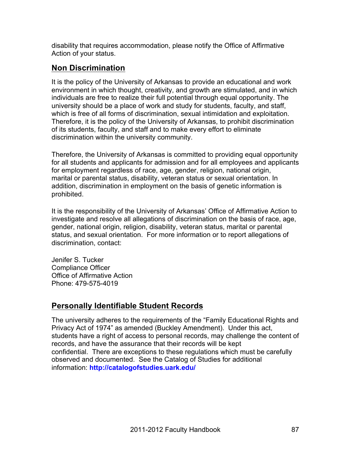disability that requires accommodation, please notify the Office of Affirmative Action of your status.

# **Non Discrimination**

It is the policy of the University of Arkansas to provide an educational and work environment in which thought, creativity, and growth are stimulated, and in which individuals are free to realize their full potential through equal opportunity. The university should be a place of work and study for students, faculty, and staff, which is free of all forms of discrimination, sexual intimidation and exploitation. Therefore, it is the policy of the University of Arkansas, to prohibit discrimination of its students, faculty, and staff and to make every effort to eliminate discrimination within the university community.

Therefore, the University of Arkansas is committed to providing equal opportunity for all students and applicants for admission and for all employees and applicants for employment regardless of race, age, gender, religion, national origin, marital or parental status, disability, veteran status or sexual orientation. In addition, discrimination in employment on the basis of genetic information is prohibited.

It is the responsibility of the University of Arkansas' Office of Affirmative Action to investigate and resolve all allegations of discrimination on the basis of race, age, gender, national origin, religion, disability, veteran status, marital or parental status, and sexual orientation. For more information or to report allegations of discrimination, contact:

Jenifer S. Tucker Compliance Officer Office of Affirmative Action Phone: 479-575-4019

# **Personally Identifiable Student Records**

The university adheres to the requirements of the "Family Educational Rights and Privacy Act of 1974" as amended (Buckley Amendment). Under this act, students have a right of access to personal records, may challenge the content of records, and have the assurance that their records will be kept confidential. There are exceptions to these regulations which must be carefully observed and documented. See the Catalog of Studies for additional information: **http://catalogofstudies.uark.edu/**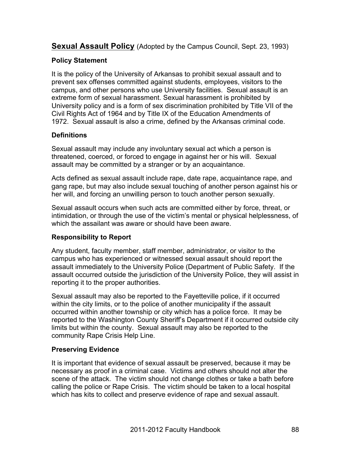**Sexual Assault Policy** (Adopted by the Campus Council, Sept. 23, 1993)

# **Policy Statement**

It is the policy of the University of Arkansas to prohibit sexual assault and to prevent sex offenses committed against students, employees, visitors to the campus, and other persons who use University facilities. Sexual assault is an extreme form of sexual harassment. Sexual harassment is prohibited by University policy and is a form of sex discrimination prohibited by Title VII of the Civil Rights Act of 1964 and by Title IX of the Education Amendments of 1972. Sexual assault is also a crime, defined by the Arkansas criminal code.

# **Definitions**

Sexual assault may include any involuntary sexual act which a person is threatened, coerced, or forced to engage in against her or his will. Sexual assault may be committed by a stranger or by an acquaintance.

Acts defined as sexual assault include rape, date rape, acquaintance rape, and gang rape, but may also include sexual touching of another person against his or her will, and forcing an unwilling person to touch another person sexually.

Sexual assault occurs when such acts are committed either by force, threat, or intimidation, or through the use of the victim's mental or physical helplessness, of which the assailant was aware or should have been aware.

# **Responsibility to Report**

Any student, faculty member, staff member, administrator, or visitor to the campus who has experienced or witnessed sexual assault should report the assault immediately to the University Police (Department of Public Safety. If the assault occurred outside the jurisdiction of the University Police, they will assist in reporting it to the proper authorities.

Sexual assault may also be reported to the Fayetteville police, if it occurred within the city limits, or to the police of another municipality if the assault occurred within another township or city which has a police force. It may be reported to the Washington County Sheriff's Department if it occurred outside city limits but within the county. Sexual assault may also be reported to the community Rape Crisis Help Line.

#### **Preserving Evidence**

It is important that evidence of sexual assault be preserved, because it may be necessary as proof in a criminal case. Victims and others should not alter the scene of the attack. The victim should not change clothes or take a bath before calling the police or Rape Crisis. The victim should be taken to a local hospital which has kits to collect and preserve evidence of rape and sexual assault.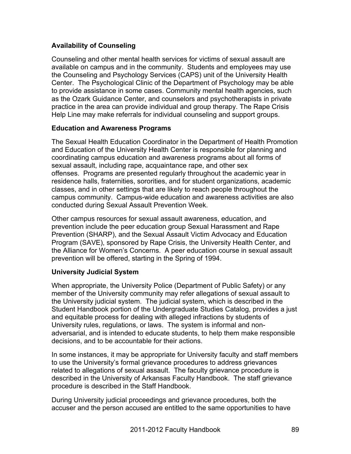# **Availability of Counseling**

Counseling and other mental health services for victims of sexual assault are available on campus and in the community. Students and employees may use the Counseling and Psychology Services (CAPS) unit of the University Health Center. The Psychological Clinic of the Department of Psychology may be able to provide assistance in some cases. Community mental health agencies, such as the Ozark Guidance Center, and counselors and psychotherapists in private practice in the area can provide individual and group therapy. The Rape Crisis Help Line may make referrals for individual counseling and support groups.

#### **Education and Awareness Programs**

The Sexual Health Education Coordinator in the Department of Health Promotion and Education of the University Health Center is responsible for planning and coordinating campus education and awareness programs about all forms of sexual assault, including rape, acquaintance rape, and other sex offenses. Programs are presented regularly throughout the academic year in residence halls, fraternities, sororities, and for student organizations, academic classes, and in other settings that are likely to reach people throughout the campus community. Campus-wide education and awareness activities are also conducted during Sexual Assault Prevention Week.

Other campus resources for sexual assault awareness, education, and prevention include the peer education group Sexual Harassment and Rape Prevention (SHARP), and the Sexual Assault Victim Advocacy and Education Program (SAVE), sponsored by Rape Crisis, the University Health Center, and the Alliance for Women's Concerns. A peer education course in sexual assault prevention will be offered, starting in the Spring of 1994.

# **University Judicial System**

When appropriate, the University Police (Department of Public Safety) or any member of the University community may refer allegations of sexual assault to the University judicial system. The judicial system, which is described in the Student Handbook portion of the Undergraduate Studies Catalog, provides a just and equitable process for dealing with alleged infractions by students of University rules, regulations, or laws. The system is informal and nonadversarial, and is intended to educate students, to help them make responsible decisions, and to be accountable for their actions.

In some instances, it may be appropriate for University faculty and staff members to use the University's formal grievance procedures to address grievances related to allegations of sexual assault. The faculty grievance procedure is described in the University of Arkansas Faculty Handbook. The staff grievance procedure is described in the Staff Handbook.

During University judicial proceedings and grievance procedures, both the accuser and the person accused are entitled to the same opportunities to have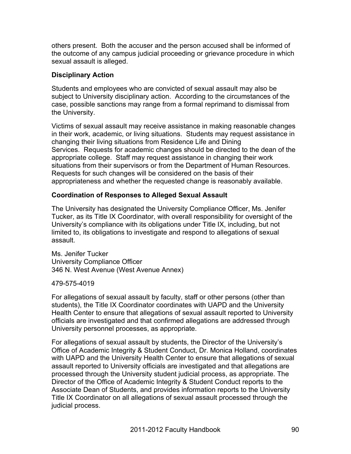others present. Both the accuser and the person accused shall be informed of the outcome of any campus judicial proceeding or grievance procedure in which sexual assault is alleged.

#### **Disciplinary Action**

Students and employees who are convicted of sexual assault may also be subject to University disciplinary action. According to the circumstances of the case, possible sanctions may range from a formal reprimand to dismissal from the University.

Victims of sexual assault may receive assistance in making reasonable changes in their work, academic, or living situations. Students may request assistance in changing their living situations from Residence Life and Dining Services. Requests for academic changes should be directed to the dean of the appropriate college. Staff may request assistance in changing their work situations from their supervisors or from the Department of Human Resources. Requests for such changes will be considered on the basis of their appropriateness and whether the requested change is reasonably available.

#### **Coordination of Responses to Alleged Sexual Assault**

The University has designated the University Compliance Officer, Ms. Jenifer Tucker, as its Title IX Coordinator, with overall responsibility for oversight of the University's compliance with its obligations under Title IX, including, but not limited to, its obligations to investigate and respond to allegations of sexual assault.

Ms. Jenifer Tucker University Compliance Officer 346 N. West Avenue (West Avenue Annex)

479-575-4019

For allegations of sexual assault by faculty, staff or other persons (other than students), the Title IX Coordinator coordinates with UAPD and the University Health Center to ensure that allegations of sexual assault reported to University officials are investigated and that confirmed allegations are addressed through University personnel processes, as appropriate.

For allegations of sexual assault by students, the Director of the University's Office of Academic Integrity & Student Conduct, Dr. Monica Holland, coordinates with UAPD and the University Health Center to ensure that allegations of sexual assault reported to University officials are investigated and that allegations are processed through the University student judicial process, as appropriate. The Director of the Office of Academic Integrity & Student Conduct reports to the Associate Dean of Students, and provides information reports to the University Title IX Coordinator on all allegations of sexual assault processed through the judicial process.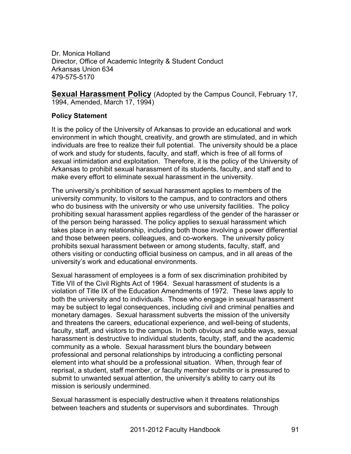Dr. Monica Holland Director, Office of Academic Integrity & Student Conduct Arkansas Union 634 479-575-5170

**Sexual Harassment Policy** (Adopted by the Campus Council, February 17, 1994, Amended, March 17, 1994)

#### **Policy Statement**

It is the policy of the University of Arkansas to provide an educational and work environment in which thought, creativity, and growth are stimulated, and in which individuals are free to realize their full potential. The university should be a place of work and study for students, faculty, and staff, which is free of all forms of sexual intimidation and exploitation. Therefore, it is the policy of the University of Arkansas to prohibit sexual harassment of its students, faculty, and staff and to make every effort to eliminate sexual harassment in the university.

The university's prohibition of sexual harassment applies to members of the university community, to visitors to the campus, and to contractors and others who do business with the university or who use university facilities. The policy prohibiting sexual harassment applies regardless of the gender of the harasser or of the person being harassed. The policy applies to sexual harassment which takes place in any relationship, including both those involving a power differential and those between peers, colleagues, and co-workers. The university policy prohibits sexual harassment between or among students, faculty, staff, and others visiting or conducting official business on campus, and in all areas of the university's work and educational environments.

Sexual harassment of employees is a form of sex discrimination prohibited by Title VII of the Civil Rights Act of 1964. Sexual harassment of students is a violation of Title IX of the Education Amendments of 1972. These laws apply to both the university and to individuals. Those who engage in sexual harassment may be subject to legal consequences, including civil and criminal penalties and monetary damages. Sexual harassment subverts the mission of the university and threatens the careers, educational experience, and well-being of students, faculty, staff, and visitors to the campus. In both obvious and subtle ways, sexual harassment is destructive to individual students, faculty, staff, and the academic community as a whole. Sexual harassment blurs the boundary between professional and personal relationships by introducing a conflicting personal element into what should be a professional situation. When, through fear of reprisal, a student, staff member, or faculty member submits or is pressured to submit to unwanted sexual attention, the university's ability to carry out its mission is seriously undermined.

Sexual harassment is especially destructive when it threatens relationships between teachers and students or supervisors and subordinates. Through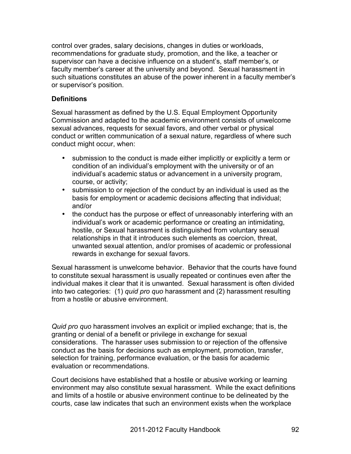control over grades, salary decisions, changes in duties or workloads, recommendations for graduate study, promotion, and the like, a teacher or supervisor can have a decisive influence on a student's, staff member's, or faculty member's career at the university and beyond. Sexual harassment in such situations constitutes an abuse of the power inherent in a faculty member's or supervisor's position.

#### **Definitions**

Sexual harassment as defined by the U.S. Equal Employment Opportunity Commission and adapted to the academic environment consists of unwelcome sexual advances, requests for sexual favors, and other verbal or physical conduct or written communication of a sexual nature, regardless of where such conduct might occur, when:

- submission to the conduct is made either implicitly or explicitly a term or condition of an individual's employment with the university or of an individual's academic status or advancement in a university program, course, or activity;
- submission to or rejection of the conduct by an individual is used as the basis for employment or academic decisions affecting that individual; and/or
- the conduct has the purpose or effect of unreasonably interfering with an individual's work or academic performance or creating an intimidating, hostile, or Sexual harassment is distinguished from voluntary sexual relationships in that it introduces such elements as coercion, threat, unwanted sexual attention, and/or promises of academic or professional rewards in exchange for sexual favors.

Sexual harassment is unwelcome behavior. Behavior that the courts have found to constitute sexual harassment is usually repeated or continues even after the individual makes it clear that it is unwanted. Sexual harassment is often divided into two categories: (1) *quid pro quo* harassment and (2) harassment resulting from a hostile or abusive environment.

*Quid pro quo* harassment involves an explicit or implied exchange; that is, the granting or denial of a benefit or privilege in exchange for sexual considerations. The harasser uses submission to or rejection of the offensive conduct as the basis for decisions such as employment, promotion, transfer, selection for training, performance evaluation, or the basis for academic evaluation or recommendations.

Court decisions have established that a hostile or abusive working or learning environment may also constitute sexual harassment. While the exact definitions and limits of a hostile or abusive environment continue to be delineated by the courts, case law indicates that such an environment exists when the workplace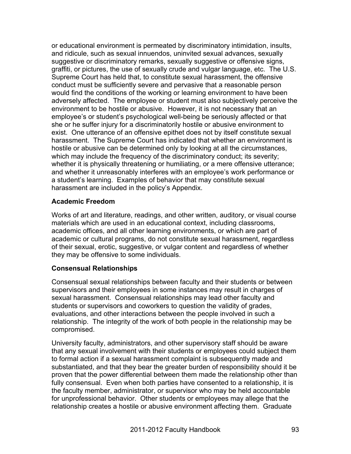or educational environment is permeated by discriminatory intimidation, insults, and ridicule, such as sexual innuendos, uninvited sexual advances, sexually suggestive or discriminatory remarks, sexually suggestive or offensive signs, graffiti, or pictures, the use of sexually crude and vulgar language, etc. The U.S. Supreme Court has held that, to constitute sexual harassment, the offensive conduct must be sufficiently severe and pervasive that a reasonable person would find the conditions of the working or learning environment to have been adversely affected. The employee or student must also subjectively perceive the environment to be hostile or abusive. However, it is not necessary that an employee's or student's psychological well-being be seriously affected or that she or he suffer injury for a discriminatorily hostile or abusive environment to exist. One utterance of an offensive epithet does not by itself constitute sexual harassment. The Supreme Court has indicated that whether an environment is hostile or abusive can be determined only by looking at all the circumstances, which may include the frequency of the discriminatory conduct; its severity; whether it is physically threatening or humiliating, or a mere offensive utterance; and whether it unreasonably interferes with an employee's work performance or a student's learning. Examples of behavior that may constitute sexual harassment are included in the policy's Appendix.

#### **Academic Freedom**

Works of art and literature, readings, and other written, auditory, or visual course materials which are used in an educational context, including classrooms, academic offices, and all other learning environments, or which are part of academic or cultural programs, do not constitute sexual harassment, regardless of their sexual, erotic, suggestive, or vulgar content and regardless of whether they may be offensive to some individuals.

# **Consensual Relationships**

Consensual sexual relationships between faculty and their students or between supervisors and their employees in some instances may result in charges of sexual harassment. Consensual relationships may lead other faculty and students or supervisors and coworkers to question the validity of grades, evaluations, and other interactions between the people involved in such a relationship. The integrity of the work of both people in the relationship may be compromised.

University faculty, administrators, and other supervisory staff should be aware that any sexual involvement with their students or employees could subject them to formal action if a sexual harassment complaint is subsequently made and substantiated, and that they bear the greater burden of responsibility should it be proven that the power differential between them made the relationship other than fully consensual. Even when both parties have consented to a relationship, it is the faculty member, administrator, or supervisor who may be held accountable for unprofessional behavior. Other students or employees may allege that the relationship creates a hostile or abusive environment affecting them. Graduate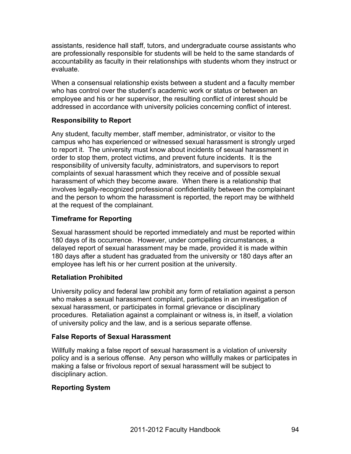assistants, residence hall staff, tutors, and undergraduate course assistants who are professionally responsible for students will be held to the same standards of accountability as faculty in their relationships with students whom they instruct or evaluate.

When a consensual relationship exists between a student and a faculty member who has control over the student's academic work or status or between an employee and his or her supervisor, the resulting conflict of interest should be addressed in accordance with university policies concerning conflict of interest.

#### **Responsibility to Report**

Any student, faculty member, staff member, administrator, or visitor to the campus who has experienced or witnessed sexual harassment is strongly urged to report it. The university must know about incidents of sexual harassment in order to stop them, protect victims, and prevent future incidents. It is the responsibility of university faculty, administrators, and supervisors to report complaints of sexual harassment which they receive and of possible sexual harassment of which they become aware. When there is a relationship that involves legally-recognized professional confidentiality between the complainant and the person to whom the harassment is reported, the report may be withheld at the request of the complainant.

#### **Timeframe for Reporting**

Sexual harassment should be reported immediately and must be reported within 180 days of its occurrence. However, under compelling circumstances, a delayed report of sexual harassment may be made, provided it is made within 180 days after a student has graduated from the university or 180 days after an employee has left his or her current position at the university.

#### **Retaliation Prohibited**

University policy and federal law prohibit any form of retaliation against a person who makes a sexual harassment complaint, participates in an investigation of sexual harassment, or participates in formal grievance or disciplinary procedures. Retaliation against a complainant or witness is, in itself, a violation of university policy and the law, and is a serious separate offense.

#### **False Reports of Sexual Harassment**

Willfully making a false report of sexual harassment is a violation of university policy and is a serious offense. Any person who willfully makes or participates in making a false or frivolous report of sexual harassment will be subject to disciplinary action.

# **Reporting System**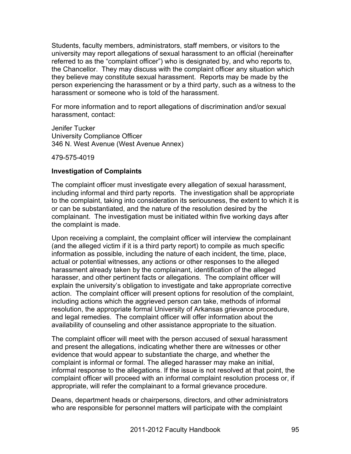Students, faculty members, administrators, staff members, or visitors to the university may report allegations of sexual harassment to an official (hereinafter referred to as the "complaint officer") who is designated by, and who reports to, the Chancellor. They may discuss with the complaint officer any situation which they believe may constitute sexual harassment. Reports may be made by the person experiencing the harassment or by a third party, such as a witness to the harassment or someone who is told of the harassment.

For more information and to report allegations of discrimination and/or sexual harassment, contact:

Jenifer Tucker University Compliance Officer 346 N. West Avenue (West Avenue Annex)

479-575-4019

#### **Investigation of Complaints**

The complaint officer must investigate every allegation of sexual harassment, including informal and third party reports. The investigation shall be appropriate to the complaint, taking into consideration its seriousness, the extent to which it is or can be substantiated, and the nature of the resolution desired by the complainant. The investigation must be initiated within five working days after the complaint is made.

Upon receiving a complaint, the complaint officer will interview the complainant (and the alleged victim if it is a third party report) to compile as much specific information as possible, including the nature of each incident, the time, place, actual or potential witnesses, any actions or other responses to the alleged harassment already taken by the complainant, identification of the alleged harasser, and other pertinent facts or allegations. The complaint officer will explain the university's obligation to investigate and take appropriate corrective action. The complaint officer will present options for resolution of the complaint, including actions which the aggrieved person can take, methods of informal resolution, the appropriate formal University of Arkansas grievance procedure, and legal remedies. The complaint officer will offer information about the availability of counseling and other assistance appropriate to the situation.

The complaint officer will meet with the person accused of sexual harassment and present the allegations, indicating whether there are witnesses or other evidence that would appear to substantiate the charge, and whether the complaint is informal or formal. The alleged harasser may make an initial, informal response to the allegations. If the issue is not resolved at that point, the complaint officer will proceed with an informal complaint resolution process or, if appropriate, will refer the complainant to a formal grievance procedure.

Deans, department heads or chairpersons, directors, and other administrators who are responsible for personnel matters will participate with the complaint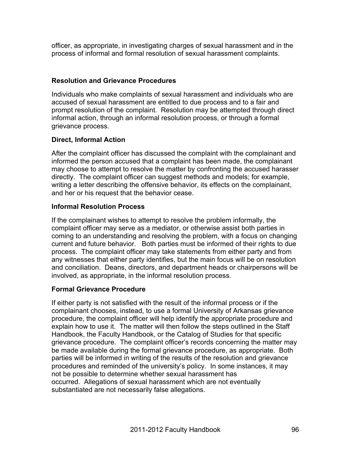officer, as appropriate, in investigating charges of sexual harassment and in the process of informal and formal resolution of sexual harassment complaints.

# **Resolution and Grievance Procedures**

Individuals who make complaints of sexual harassment and individuals who are accused of sexual harassment are entitled to due process and to a fair and prompt resolution of the complaint. Resolution may be attempted through direct informal action, through an informal resolution process, or through a formal grievance process.

# **Direct, Informal Action**

After the complaint officer has discussed the complaint with the complainant and informed the person accused that a complaint has been made, the complainant may choose to attempt to resolve the matter by confronting the accused harasser directly. The complaint officer can suggest methods and models; for example, writing a letter describing the offensive behavior, its effects on the complainant, and her or his request that the behavior cease.

# **Informal Resolution Process**

If the complainant wishes to attempt to resolve the problem informally, the complaint officer may serve as a mediator, or otherwise assist both parties in coming to an understanding and resolving the problem, with a focus on changing current and future behavior. Both parties must be informed of their rights to due process. The complaint officer may take statements from either party and from any witnesses that either party identifies, but the main focus will be on resolution and conciliation. Deans, directors, and department heads or chairpersons will be involved, as appropriate, in the informal resolution process.

# **Formal Grievance Procedure**

If either party is not satisfied with the result of the informal process or if the complainant chooses, instead, to use a formal University of Arkansas grievance procedure, the complaint officer will help identify the appropriate procedure and explain how to use it. The matter will then follow the steps outlined in the Staff Handbook, the Faculty Handbook, or the Catalog of Studies for that specific grievance procedure. The complaint officer's records concerning the matter may be made available during the formal grievance procedure, as appropriate. Both parties will be informed in writing of the results of the resolution and grievance procedures and reminded of the university's policy. In some instances, it may not be possible to determine whether sexual harassment has occurred. Allegations of sexual harassment which are not eventually substantiated are not necessarily false allegations.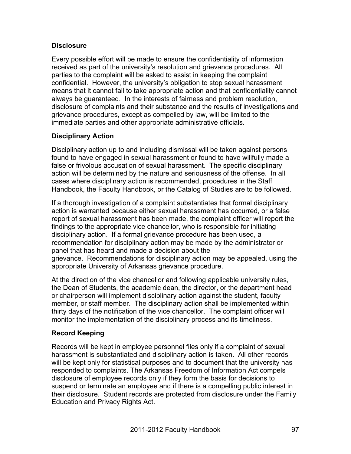#### **Disclosure**

Every possible effort will be made to ensure the confidentiality of information received as part of the university's resolution and grievance procedures. All parties to the complaint will be asked to assist in keeping the complaint confidential. However, the university's obligation to stop sexual harassment means that it cannot fail to take appropriate action and that confidentiality cannot always be guaranteed. In the interests of fairness and problem resolution, disclosure of complaints and their substance and the results of investigations and grievance procedures, except as compelled by law, will be limited to the immediate parties and other appropriate administrative officials.

#### **Disciplinary Action**

Disciplinary action up to and including dismissal will be taken against persons found to have engaged in sexual harassment or found to have willfully made a false or frivolous accusation of sexual harassment. The specific disciplinary action will be determined by the nature and seriousness of the offense. In all cases where disciplinary action is recommended, procedures in the Staff Handbook, the Faculty Handbook, or the Catalog of Studies are to be followed.

If a thorough investigation of a complaint substantiates that formal disciplinary action is warranted because either sexual harassment has occurred, or a false report of sexual harassment has been made, the complaint officer will report the findings to the appropriate vice chancellor, who is responsible for initiating disciplinary action. If a formal grievance procedure has been used, a recommendation for disciplinary action may be made by the administrator or panel that has heard and made a decision about the grievance. Recommendations for disciplinary action may be appealed, using the appropriate University of Arkansas grievance procedure.

At the direction of the vice chancellor and following applicable university rules, the Dean of Students, the academic dean, the director, or the department head or chairperson will implement disciplinary action against the student, faculty member, or staff member. The disciplinary action shall be implemented within thirty days of the notification of the vice chancellor. The complaint officer will monitor the implementation of the disciplinary process and its timeliness.

# **Record Keeping**

Records will be kept in employee personnel files only if a complaint of sexual harassment is substantiated and disciplinary action is taken. All other records will be kept only for statistical purposes and to document that the university has responded to complaints. The Arkansas Freedom of Information Act compels disclosure of employee records only if they form the basis for decisions to suspend or terminate an employee and if there is a compelling public interest in their disclosure. Student records are protected from disclosure under the Family Education and Privacy Rights Act.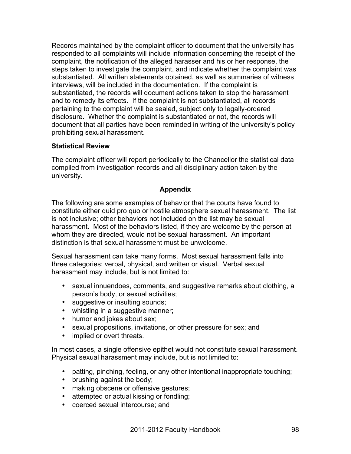Records maintained by the complaint officer to document that the university has responded to all complaints will include information concerning the receipt of the complaint, the notification of the alleged harasser and his or her response, the steps taken to investigate the complaint, and indicate whether the complaint was substantiated. All written statements obtained, as well as summaries of witness interviews, will be included in the documentation. If the complaint is substantiated, the records will document actions taken to stop the harassment and to remedy its effects. If the complaint is not substantiated, all records pertaining to the complaint will be sealed, subject only to legally-ordered disclosure. Whether the complaint is substantiated or not, the records will document that all parties have been reminded in writing of the university's policy prohibiting sexual harassment.

#### **Statistical Review**

The complaint officer will report periodically to the Chancellor the statistical data compiled from investigation records and all disciplinary action taken by the university.

#### **Appendix**

The following are some examples of behavior that the courts have found to constitute either quid pro quo or hostile atmosphere sexual harassment. The list is not inclusive; other behaviors not included on the list may be sexual harassment. Most of the behaviors listed, if they are welcome by the person at whom they are directed, would not be sexual harassment. An important distinction is that sexual harassment must be unwelcome.

Sexual harassment can take many forms. Most sexual harassment falls into three categories: verbal, physical, and written or visual. Verbal sexual harassment may include, but is not limited to:

- sexual innuendoes, comments, and suggestive remarks about clothing, a person's body, or sexual activities;
- suggestive or insulting sounds;
- whistling in a suggestive manner;
- humor and jokes about sex;
- sexual propositions, invitations, or other pressure for sex; and
- implied or overt threats.

In most cases, a single offensive epithet would not constitute sexual harassment. Physical sexual harassment may include, but is not limited to:

- patting, pinching, feeling, or any other intentional inappropriate touching;
- brushing against the body;
- making obscene or offensive gestures;
- attempted or actual kissing or fondling;
- coerced sexual intercourse; and